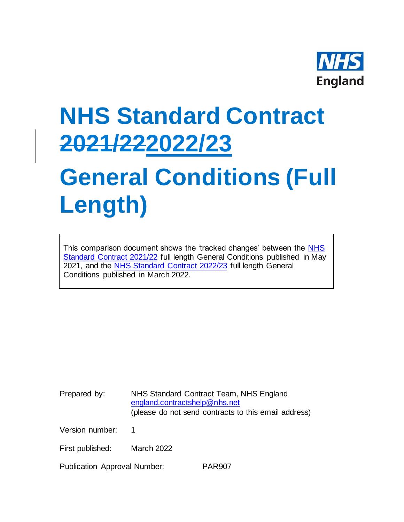

# **NHS Standard Contract 2021/222022/23**

# **General Conditions (Full Length)**

This comparison document shows the 'tracked changes' between the [NHS](https://www.england.nhs.uk/nhs-standard-contract/21-22/full-length-nhs-standard-contract-2021-22-particulars-service-conditions-general-conditions/)  [Standard Contract 2021/22](https://www.england.nhs.uk/nhs-standard-contract/21-22/full-length-nhs-standard-contract-2021-22-particulars-service-conditions-general-conditions/) full length General Conditions published in May 2021, and the [NHS Standard Contract 2022/23](https://www.england.nhs.uk/nhs-standard-contract/) full length General Conditions published in March 2022.

Prepared by: NHS Standard Contract Team, NHS England [england.contractshelp@nhs.net](mailto:england.contractshelp@nhs.net) (please do not send contracts to this email address)

Version number: 1

First published: March 2022

Publication Approval Number: PAR907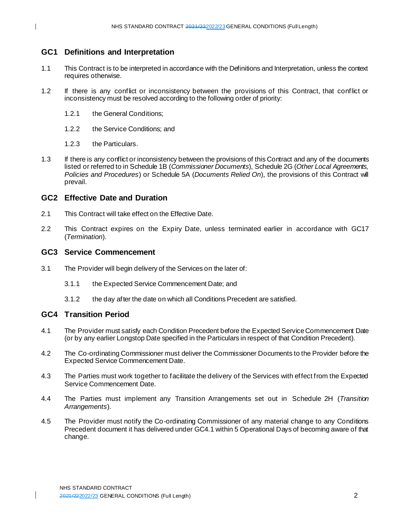## **GC1 Definitions and Interpretation**

- 1.1 This Contract is to be interpreted in accordance with the Definitions and Interpretation, unless the context requires otherwise.
- 1.2 If there is any conflict or inconsistency between the provisions of this Contract, that conflict or inconsistency must be resolved according to the following order of priority:
	- 1.2.1 the General Conditions;
	- 1.2.2 the Service Conditions; and
	- 1.2.3 the Particulars.
- 1.3 If there is any conflict or inconsistency between the provisions of this Contract and any of the documents listed or referred to in Schedule 1B (*Commissioner Documents*), Schedule 2G (*Other Local Agreements, Policies and Procedures*) or Schedule 5A (*Documents Relied On*), the provisions of this Contract will prevail.

#### **GC2 Effective Date and Duration**

- 2.1 This Contract will take effect on the Effective Date.
- 2.2 This Contract expires on the Expiry Date, unless terminated earlier in accordance with GC17 (*Termination*).

#### **GC3 Service Commencement**

- 3.1 The Provider will begin delivery of the Services on the later of:
	- 3.1.1 the Expected Service Commencement Date; and
	- 3.1.2 the day after the date on which all Conditions Precedent are satisfied.

## **GC4 Transition Period**

- 4.1 The Provider must satisfy each Condition Precedent before the Expected Service Commencement Date (or by any earlier Longstop Date specified in the Particulars in respect of that Condition Precedent).
- 4.2 The Co-ordinating Commissioner must deliver the Commissioner Documents to the Provider before the Expected Service Commencement Date.
- 4.3 The Parties must work together to facilitate the delivery of the Services with effect from the Expected Service Commencement Date.
- 4.4 The Parties must implement any Transition Arrangements set out in Schedule 2H (*Transition Arrangements*).
- 4.5 The Provider must notify the Co-ordinating Commissioner of any material change to any Conditions Precedent document it has delivered under GC4.1 within 5 Operational Days of becoming aware of that change.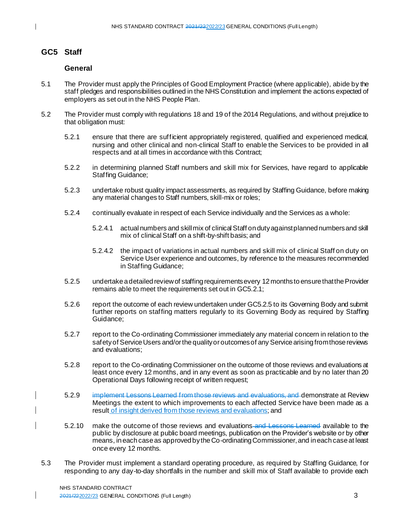# **GC5 Staff**

#### **General**

- 5.1 The Provider must apply the Principles of Good Employment Practice (where applicable), abide by the staff pledges and responsibilities outlined in the NHS Constitution and implement the actions expected of employers as set out in the NHS People Plan.
- 5.2 The Provider must comply with regulations 18 and 19 of the 2014 Regulations, and without prejudice to that obligation must:
	- 5.2.1 ensure that there are sufficient appropriately registered, qualified and experienced medical, nursing and other clinical and non-clinical Staff to enable the Services to be provided in all respects and at all times in accordance with this Contract;
	- 5.2.2 in determining planned Staff numbers and skill mix for Services, have regard to applicable Staffing Guidance;
	- 5.2.3 undertake robust quality impact assessments, as required by Staffing Guidance, before making any material changes to Staff numbers, skill-mix or roles;
	- 5.2.4 continually evaluate in respect of each Service individually and the Services as a whole:
		- 5.2.4.1 actual numbers and skill mix of clinical Staff on duty against planned numbers and skill mix of clinical Staff on a shift-by-shift basis; and
		- 5.2.4.2 the impact of variations in actual numbers and skill mix of clinical Staff on duty on Service User experience and outcomes, by reference to the measures recommended in Staffing Guidance;
	- 5.2.5 undertake a detailed review of staffing requirements every 12months to ensure that the Provider remains able to meet the requirements set out in GC5.2.1;
	- 5.2.6 report the outcome of each review undertaken under GC5.2.5 to its Governing Body and submit further reports on staffing matters regularly to its Governing Body as required by Staffing Guidance;
	- 5.2.7 report to the Co-ordinating Commissioner immediately any material concern in relation to the safety of Service Users and/or the quality or outcomes of any Service arising from those reviews and evaluations;
	- 5.2.8 report to the Co-ordinating Commissioner on the outcome of those reviews and evaluations at least once every 12 months, and in any event as soon as practicable and by no later than 20 Operational Days following receipt of written request;
	- 5.2.9 implement Lessons Learned from those reviews and evaluations, and demonstrate at Review Meetings the extent to which improvements to each affected Service have been made as a result of insight derived from those reviews and evaluations; and
	- 5.2.10 make the outcome of those reviews and evaluations and Lessons Learned available to the public by disclosure at public board meetings, publication on the Provider's website or by other means, in each case as approved by the Co-ordinating Commissioner, and in each case at least once every 12 months.
- 5.3 The Provider must implement a standard operating procedure, as required by Staffing Guidance, f or responding to any day-to-day shortfalls in the number and skill mix of Staff available to provide each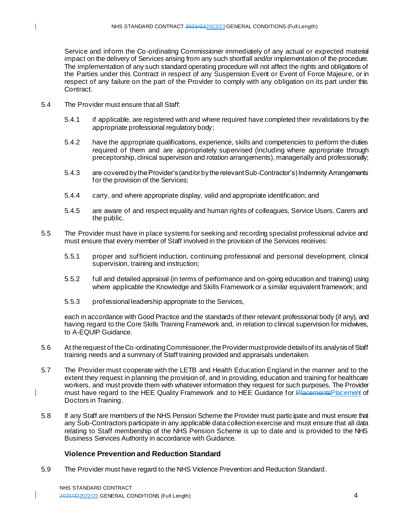Service and inform the Co-ordinating Commissioner immediately of any actual or expected material impact on the delivery of Services arising from any such shortfall and/or implementation of the procedure. The implementation of any such standard operating procedure will not affect the rights and obligations of the Parties under this Contract in respect of any Suspension Event or Event of Force Majeure, or in respect of any failure on the part of the Provider to comply with any obligation on its part under this Contract.

- 5.4 The Provider must ensure that all Staff:
	- 5.4.1 if applicable, are registered with and where required have completed their revalidations by the appropriate professional regulatory body;
	- 5.4.2 have the appropriate qualifications, experience, skills and competencies to perform the duties required of them and are appropriately supervised (including where appropriate through preceptorship, clinical supervision and rotation arrangements), managerially and professionally;
	- 5.4.3 are covered by the Provider's (and/or by the relevant Sub-Contractor's) Indemnity Arrangements for the provision of the Services;
	- 5.4.4 carry, and where appropriate display, valid and appropriate identification; and
	- 5.4.5 are aware of and respect equality and human rights of colleagues, Service Users, Carers and the public.
- 5.5 The Provider must have in place systems for seeking and recording specialist professional advice and must ensure that every member of Staff involved in the provision of the Services receives:
	- 5.5.1 proper and sufficient induction, continuing professional and personal development, clinical supervision, training and instruction;
	- 5.5.2 full and detailed appraisal (in terms of performance and on-going education and training) using where applicable the Knowledge and Skills Framework or a similar equivalent framework; and
	- 5.5.3 professional leadership appropriate to the Services,

each in accordance with Good Practice and the standards of their relevant professional body (if any), and having regard to the Core Skills Training Framework and, in relation to clinical supervision for midwives, to A-EQUIP Guidance.

- 5.6 At the request of the Co-ordinating Commissioner, the Provider must provide details of its analysis of Staff training needs and a summary of Staff training provided and appraisals undertaken.
- 5.7 The Provider must cooperate with the LETB and Health Education England in the manner and to the extent they request in planning the provision of, and in providing, education and training for healthcare workers, and must provide them with whatever information they request for such purposes. The Provider must have regard to the HEE Quality Framework and to HEE Guidance for Placements Placement of Doctors in Training.
- 5.8 If any Staff are members of the NHS Pension Scheme the Provider must participate and must ensure that any Sub-Contractors participate in any applicable data collection exercise and must ensure that all data relating to Staff membership of the NHS Pension Scheme is up to date and is provided to the NHS Business Services Authority in accordance with Guidance.

## **Violence Prevention and Reduction Standard**

5.9 The Provider must have regard to the NHS Violence Prevention and Reduction Standard.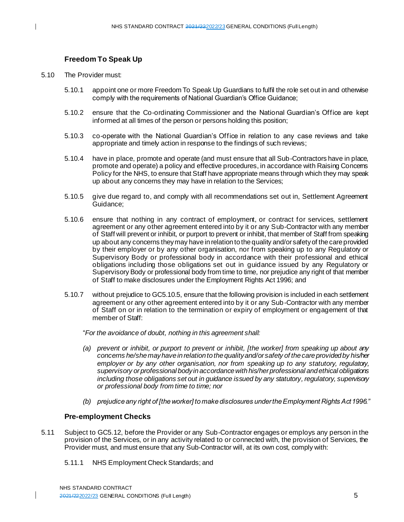## **Freedom To Speak Up**

- 5.10 The Provider must:
	- 5.10.1 appoint one or more Freedom To Speak Up Guardians to fulfil the role set out in and otherwise comply with the requirements of National Guardian's Office Guidance;
	- 5.10.2 ensure that the Co-ordinating Commissioner and the National Guardian's Office are kept informed at all times of the person or persons holding this position;
	- 5.10.3 co-operate with the National Guardian's Office in relation to any case reviews and take appropriate and timely action in response to the findings of such reviews;
	- 5.10.4 have in place, promote and operate (and must ensure that all Sub-Contractors have in place, promote and operate) a policy and effective procedures, in accordance with Raising Concerns Policy for the NHS, to ensure that Staff have appropriate means through which they may speak up about any concerns they may have in relation to the Services;
	- 5.10.5 give due regard to, and comply with all recommendations set out in, Settlement Agreement Guidance;
	- 5.10.6 ensure that nothing in any contract of employment, or contract for services, settlement agreement or any other agreement entered into by it or any Sub-Contractor with any member of Staff will prevent or inhibit, or purport to prevent or inhibit, that member of Staff from speaking up about any concerns they may have in relation to the quality and/or safety of the care provided by their employer or by any other organisation, nor from speaking up to any Regulatory or Supervisory Body or professional body in accordance with their professional and ethical obligations including those obligations set out in guidance issued by any Regulatory or Supervisory Body or professional body from time to time, nor prejudice any right of that member of Staff to make disclosures under the Employment Rights Act 1996; and
	- 5.10.7 without prejudice to GC5.10.5, ensure that the following provision is included in each settlement agreement or any other agreement entered into by it or any Sub-Contractor with any member of Staff on or in relation to the termination or expiry of employment or engagement of that member of Staff:

"*For the avoidance of doubt, nothing in this agreement shall:*

- *(a) prevent or inhibit, or purport to prevent or inhibit, [the worker] from speaking up about any concerns he/she may have in relation to the quality and/or safety of the care provided by his/her employer or by any other organisation, nor from speaking up to any statutory, regulatory, supervisory or professional body in accordance with his/her professional and ethical obligations including those obligations set out in guidance issued by any statutory, regulatory, supervisory or professional body from time to time; nor*
- *(b) prejudice any right of [the worker] to make disclosures under the Employment Rights Act 1996."*

#### **Pre-employment Checks**

- 5.11 Subject to GC5.12, before the Provider or any Sub-Contractor engages or employs any person in the provision of the Services, or in any activity related to or connected with, the provision of Services, the Provider must, and must ensure that any Sub-Contractor will, at its own cost, comply with:
	- 5.11.1 NHS Employment Check Standards; and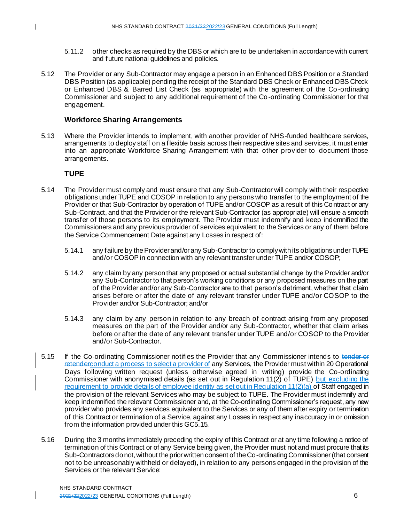- 5.11.2 other checks as required by the DBS or which are to be undertaken in accordance with current and future national guidelines and policies.
- 5.12 The Provider or any Sub-Contractor may engage a person in an Enhanced DBS Position or a Standard DBS Position (as applicable) pending the receipt of the Standard DBS Check or Enhanced DBS Check or Enhanced DBS & Barred List Check (as appropriate) with the agreement of the Co -ordinating Commissioner and subject to any additional requirement of the Co-ordinating Commissioner for that engagement.

#### **Workforce Sharing Arrangements**

5.13 Where the Provider intends to implement, with another provider of NHS-funded healthcare services, arrangements to deploy staff on a flexible basis across their respective sites and services, it must enter into an appropriate Workforce Sharing Arrangement with that other provider to document those arrangements.

## **TUPE**

- 5.14 The Provider must comply and must ensure that any Sub-Contractor will comply with their respective obligations under TUPE and COSOP in relation to any persons who transfer to the employment of the Provider or that Sub-Contractor by operation of TUPE and/or COSOP as a result of this Contract or any Sub-Contract, and that the Provider or the relevant Sub-Contractor (as appropriate) will ensure a smooth transfer of those persons to its employment. The Provider must indemnify and keep indemnified the Commissioners and any previous provider of services equivalent to the Services or any of them before the Service Commencement Date against any Losses in respect of:
	- 5.14.1 any failure by the Provider and/or any Sub-Contractor to comply with its obligations under TUPE and/or COSOP in connection with any relevant transfer under TUPE and/or COSOP;
	- 5.14.2 any claim by any person that any proposed or actual substantial change by the Provider and/or any Sub-Contractor to that person's working conditions or any proposed measures on the part of the Provider and/or any Sub-Contractor are to that person's detriment, whether that claim arises before or after the date of any relevant transfer under TUPE and/or COSOP to the Provider and/or Sub-Contractor; and/or
	- 5.14.3 any claim by any person in relation to any breach of contract arising from any proposed measures on the part of the Provider and/or any Sub-Contractor, whether that claim arises before or after the date of any relevant transfer under TUPE and/or COSOP to the Provider and/or Sub-Contractor.
- 5.15 If the Co-ordinating Commissioner notifies the Provider that any Commissioner intends to tender or retenderconduct a process to select a provider of any Services, the Provider must within 20 Operational Days following written request (unless otherwise agreed in writing) provide the Co-ordinating Commissioner with anonymised details (as set out in Regulation 11(2) of TUPE) but excluding the requirement to provide details of employee identity as set out in Requlation 11(2)(a) of Staff engaged in the provision of the relevant Services who may be subject to TUPE. The Provider must indemnify and keep indemnified the relevant Commissioner and, at the Co-ordinating Commissioner's request, any new provider who provides any services equivalent to the Services or any of them after expiry or termination of this Contract or termination of a Service, against any Losses in respect any inaccuracy in or omission from the information provided under this GC5.15.
- 5.16 During the 3 months immediately preceding the expiry of this Contract or at any time following a notice of termination of this Contract or of any Service being given, the Provider must not and must procure that its Sub-Contractors do not, without the prior written consent of the Co-ordinating Commissioner (that consent not to be unreasonably withheld or delayed), in relation to any persons engaged in the provision of the Services or the relevant Service: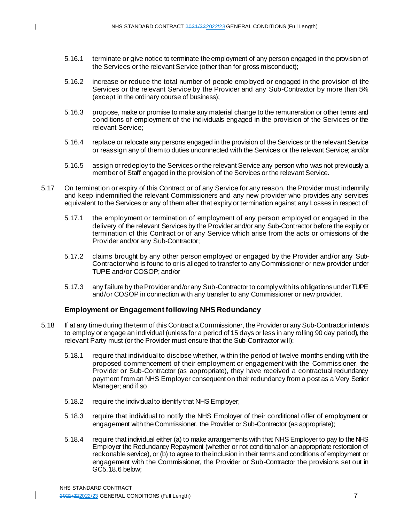- 5.16.1 terminate or give notice to terminate the employment of any person engaged in the provision of the Services or the relevant Service (other than for gross misconduct);
- 5.16.2 increase or reduce the total number of people employed or engaged in the provision of the Services or the relevant Service by the Provider and any Sub-Contractor by more than 5% (except in the ordinary course of business);
- 5.16.3 propose, make or promise to make any material change to the remuneration or other terms and conditions of employment of the individuals engaged in the provision of the Services or the relevant Service;
- 5.16.4 replace or relocate any persons engaged in the provision of the Services or the relevant Service or reassign any of them to duties unconnected with the Services or the relevant Service; and/or
- 5.16.5 assign or redeploy to the Services or the relevant Service any person who was not previously a member of Staff engaged in the provision of the Services or the relevant Service.
- 5.17 On termination or expiry of this Contract or of any Service for any reason, the Provider must indemnify and keep indemnified the relevant Commissioners and any new provider who provides any services equivalent to the Services or any of them after that expiry or termination against any Losses in respect of:
	- 5.17.1 the employment or termination of employment of any person employed or engaged in the delivery of the relevant Services by the Provider and/or any Sub-Contractor before the expiry or termination of this Contract or of any Service which arise from the acts or omissions of the Provider and/or any Sub-Contractor;
	- 5.17.2 claims brought by any other person employed or engaged by the Provider and/or any Sub-Contractor who is found to or is alleged to transfer to any Commissioner or new provider under TUPE and/or COSOP; and/or
	- 5.17.3 any failure by the Provider and/or any Sub-Contractorto comply with its obligations under TUPE and/or COSOP in connection with any transfer to any Commissioner or new provider.

#### **Employment or Engagement following NHS Redundancy**

- 5.18 If at any time during the term of this Contract a Commissioner, the Provider or any Sub-Contractor intends to employ or engage an individual (unless for a period of 15 days or less in any rolling 90 day period), the relevant Party must (or the Provider must ensure that the Sub-Contractor will):
	- 5.18.1 require that individual to disclose whether, within the period of twelve months ending with the proposed commencement of their employment or engagement with the Commissioner, the Provider or Sub-Contractor (as appropriate), they have received a contractual redundancy payment from an NHS Employer consequent on their redundancy from a post as a Very Senior Manager; and if so
	- 5.18.2 require the individual to identify that NHS Employer;
	- 5.18.3 require that individual to notify the NHS Employer of their conditional offer of employment or engagement with the Commissioner, the Provider or Sub-Contractor (as appropriate);
	- 5.18.4 require that individual either (a) to make arrangements with that NHS Employer to pay to the NHS Employer the Redundancy Repayment (whether or not conditional on an appropriate restoration of reckonable service), or (b) to agree to the inclusion in their terms and conditions of employment or engagement with the Commissioner, the Provider or Sub-Contractor the provisions set out in GC5.18.6 below;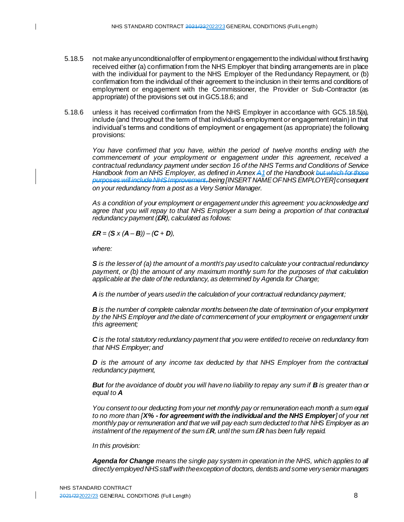- 5.18.5 not make any unconditional offer of employment or engagement to the individual without first having received either (a) confirmation from the NHS Employer that binding arrangements are in place with the individual for payment to the NHS Employer of the Redundancy Repayment, or (b) confirmation from the individual of their agreement to the inclusion in their terms and conditions of employment or engagement with the Commissioner, the Provider or Sub-Contractor (as appropriate) of the provisions set out in GC5.18.6; and
- 5.18.6 unless it has received confirmation from the NHS Employer in accordance with GC5.18.5(a), include (and throughout the term of that individual's employment or engagement retain) in that individual's terms and conditions of employment or engagement (as appropriate) the following provisions:

*You have confirmed that you have, within the period of twelve months ending with the commencement of your employment or engagement under this agreement, received a contractual redundancy payment under section 16 of the NHS Terms and Conditions of Service Handbook from an NHS Employer, as defined in Annex A1of the Handbook but which for those purposes will include NHS Improvement, being [INSERT NAME OF NHS EMPLOYER] consequent on your redundancy from a post as a Very Senior Manager.* 

*As a condition of your employment or engagement under this agreement: you acknowledge and agree that you will repay to that NHS Employer a sum being a proportion of that contractual redundancy payment (£R), calculated as follows:*

 $\pounds R = (S \times (A - B)) - (C + D)$ 

*where:*

*S is the lesser of (a) the amount of a month's pay used to calculate your contractual redundancy payment, or (b) the amount of any maximum monthly sum for the purposes of that calculation applicable at the date of the redundancy, as determined by Agenda for Change;*

*A is the number of years used in the calculation of your contractual redundancy payment;* 

*B is the number of complete calendar months between the date of termination of your employment by the NHS Employer and the date of commencement of your employment or engagement under this agreement;* 

*C is the total statutory redundancy payment that you were entitled to receive on redundancy from that NHS Employer; and*

*D* is the amount of any income tax deducted by that NHS Employer from the contractual *redundancy payment,*

*But for the avoidance of doubt you will have no liability to repay any sum if B is greater than or equal to A*

*You consent to our deducting from your net monthly pay or remuneration each month a sum equal to no more than [X% - for agreement with the individual and the NHS Employer] of your net monthly pay or remuneration and that we will pay each sum deducted to that NHS Employer as an instalment of the repayment of the sum £R, until the sum £R has been fully repaid.*

*In this provision:*

*Agenda for Change means the single pay system in operation in the NHS, which applies to all directly employed NHS staff with the exception of doctors, dentists and some very senior managers*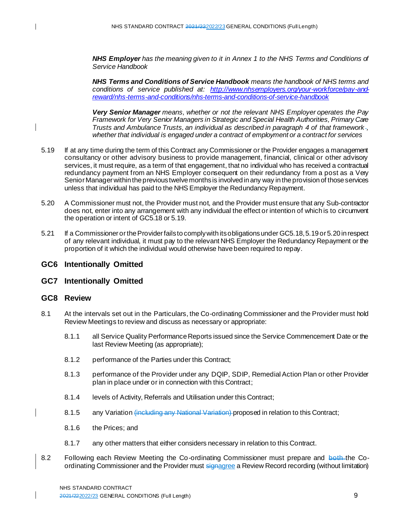*NHS Employer has the meaning given to it in Annex 1 to the NHS Terms and Conditions of Service Handbook*

*NHS Terms and Conditions of Service Handbook means the handbook of NHS terms and conditions of service published at: [http://www.nhsemployers.org/your-workforce/pay-and](http://www.nhsemployers.org/your-workforce/pay-and-reward/nhs-terms-and-conditions/nhs-terms-and-conditions-of-service-handbook)[reward/nhs-terms-and-conditions/nhs-terms-and-conditions-of-service-handbook](http://www.nhsemployers.org/your-workforce/pay-and-reward/nhs-terms-and-conditions/nhs-terms-and-conditions-of-service-handbook)*

*Very Senior Manager means, whether or not the relevant NHS Employer operates the Pay Framework for Very Senior Managers in Strategic and Special Health Authorities, Primary Care Trusts and Ambulance Trusts, an individual as described in paragraph 4 of that framework , whether that individual is engaged under a contract of employment or a contract for services*

- 5.19 If at any time during the term of this Contract any Commissioner or the Provider engages a management consultancy or other advisory business to provide management, financial, clinical or other advisory services, it must require, as a term of that engagement, that no individual who has received a contractual redundancy payment from an NHS Employer consequent on their redundancy from a post as a Very Senior Managerwithin the previous twelve months is involved in any way in the provision of those services unless that individual has paid to the NHS Employer the Redundancy Repayment.
- 5.20 A Commissioner must not, the Provider must not, and the Provider must ensure that any Sub-contractor does not, enter into any arrangement with any individual the effect or intention of which is to circumvent the operation or intent of GC5.18 or 5.19.
- 5.21 If a Commissioner or the Providerfails to comply with its obligations under GC5.18, 5.19 or 5.20in respect of any relevant individual, it must pay to the relevant NHS Employer the Redundancy Repayment or the proportion of it which the individual would otherwise have been required to repay.

## **GC6 Intentionally Omitted**

#### **GC7 Intentionally Omitted**

#### **GC8 Review**

 $\mathbf{I}$ 

- 8.1 At the intervals set out in the Particulars, the Co-ordinating Commissioner and the Provider must hold Review Meetings to review and discuss as necessary or appropriate:
	- 8.1.1 all Service Quality Performance Reports issued since the Service Commencement Date or the last Review Meeting (as appropriate);
	- 8.1.2 performance of the Parties under this Contract;
	- 8.1.3 performance of the Provider under any DQIP, SDIP, Remedial Action Plan or other Provider plan in place under or in connection with this Contract;
	- 8.1.4 levels of Activity, Referrals and Utilisation under this Contract;
	- 8.1.5 any Variation (including any National Variation) proposed in relation to this Contract;
	- 8.1.6 the Prices; and
	- 8.1.7 any other matters that either considers necessary in relation to this Contract.
- 8.2 Following each Review Meeting the Co-ordinating Commissioner must prepare and both the Coordinating Commissioner and the Provider must signagree a Review Record recording (without limitation)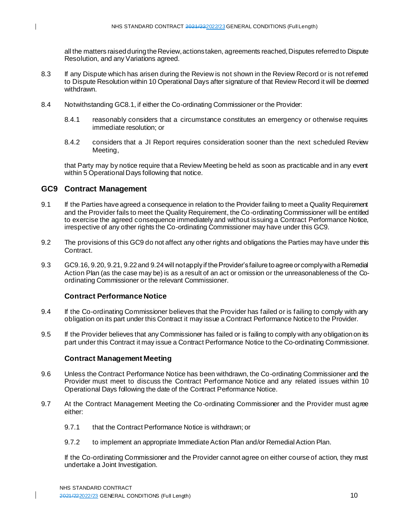all the matters raised during the Review, actions taken, agreements reached, Disputes referred to Dispute Resolution, and any Variations agreed.

- 8.3 If any Dispute which has arisen during the Review is not shown in the Review Record or is not referred to Dispute Resolution within 10 Operational Days after signature of that Review Record it will be deemed withdrawn.
- 8.4 Notwithstanding GC8.1, if either the Co-ordinating Commissioner or the Provider:
	- 8.4.1 reasonably considers that a circumstance constitutes an emergency or otherwise requires immediate resolution; or
	- 8.4.2 considers that a JI Report requires consideration sooner than the next scheduled Review Meeting,

that Party may by notice require that a Review Meeting be held as soon as practicable and in any event within 5 Operational Days following that notice.

## **GC9 Contract Management**

- 9.1 If the Parties have agreed a consequence in relation to the Provider failing to meet a Quality Requirement and the Provider fails to meet the Quality Requirement, the Co-ordinating Commissioner will be entitled to exercise the agreed consequence immediately and without issuing a Contract Performance Notice, irrespective of any other rights the Co-ordinating Commissioner may have under this GC9.
- 9.2 The provisions of this GC9 do not affect any other rights and obligations the Parties may have under this Contract.
- 9.3 GC9.16, 9.20, 9.21, 9.22 and 9.24will not apply if the Provider's failure to agree or comply with a Remedial Action Plan (as the case may be) is as a result of an act or omission or the unreasonableness of the Coordinating Commissioner or the relevant Commissioner.

#### **Contract Performance Notice**

- 9.4 If the Co-ordinating Commissioner believes that the Provider has failed or is failing to comply with any obligation on its part under this Contract it may issue a Contract Performance Notice to the Provider.
- 9.5 If the Provider believes that any Commissioner has failed or is failing to comply with any obligation on its part under this Contract it may issue a Contract Performance Notice to the Co-ordinating Commissioner.

## **Contract Management Meeting**

- 9.6 Unless the Contract Performance Notice has been withdrawn, the Co-ordinating Commissioner and the Provider must meet to discuss the Contract Performance Notice and any related issues within 10 Operational Days following the date of the Contract Performance Notice.
- 9.7 At the Contract Management Meeting the Co-ordinating Commissioner and the Provider must agree either:
	- 9.7.1 that the Contract Performance Notice is withdrawn; or
	- 9.7.2 to implement an appropriate Immediate Action Plan and/or Remedial Action Plan.

If the Co-ordinating Commissioner and the Provider cannot agree on either course of action, they must undertake a Joint Investigation.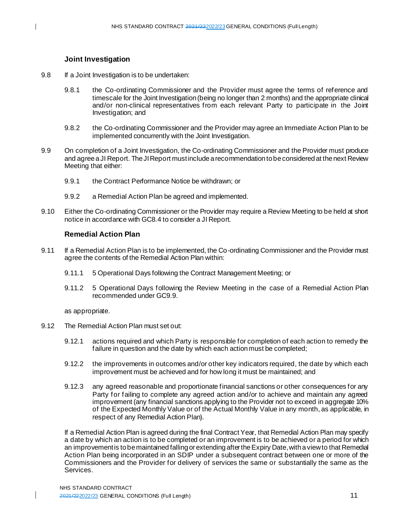## **Joint Investigation**

- 9.8 If a Joint Investigation is to be undertaken:
	- 9.8.1 the Co-ordinating Commissioner and the Provider must agree the terms of reference and timescale for the Joint Investigation (being no longer than 2 months) and the appropriate clinical and/or non-clinical representatives from each relevant Party to participate in the Joint Investigation; and
	- 9.8.2 the Co-ordinating Commissioner and the Provider may agree an Immediate Action Plan to be implemented concurrently with the Joint Investigation.
- 9.9 On completion of a Joint Investigation, the Co-ordinating Commissioner and the Provider must produce and agree a JI Report. The JI Report must include a recommendation to be considered at the next Review Meeting that either:
	- 9.9.1 the Contract Performance Notice be withdrawn; or
	- 9.9.2 a Remedial Action Plan be agreed and implemented.
- 9.10 Either the Co-ordinating Commissioner or the Provider may require a Review Meeting to be held at short notice in accordance with GC8.4 to consider a JI Report.

## **Remedial Action Plan**

- 9.11 If a Remedial Action Plan is to be implemented, the Co-ordinating Commissioner and the Provider must agree the contents of the Remedial Action Plan within:
	- 9.11.1 5 Operational Days following the Contract Management Meeting; or
	- 9.11.2 5 Operational Days following the Review Meeting in the case of a Remedial Action Plan recommended under GC9.9.

as appropriate.

- 9.12 The Remedial Action Plan must set out:
	- 9.12.1 actions required and which Party is responsible for completion of each action to remedy the failure in question and the date by which each action must be completed;
	- 9.12.2 the improvements in outcomes and/or other key indicators required, the date by which each improvement must be achieved and for how long it must be maintained; and
	- 9.12.3 any agreed reasonable and proportionate financial sanctions or other consequences for any Party for failing to complete any agreed action and/or to achieve and maintain any agreed improvement (any financial sanctions applying to the Provider not to exceed in aggregate 10% of the Expected Monthly Value or of the Actual Monthly Value in any month, as applicable, in respect of any Remedial Action Plan).

If a Remedial Action Plan is agreed during the final Contract Year, that Remedial Action Plan may specify a date by which an action is to be completed or an improvement is to be achieved or a period for which an improvement is to be maintained falling or extending after the Expiry Date, with a view to that Remedial Action Plan being incorporated in an SDIP under a subsequent contract between one or more of the Commissioners and the Provider for delivery of services the same or substantially the same as the Services.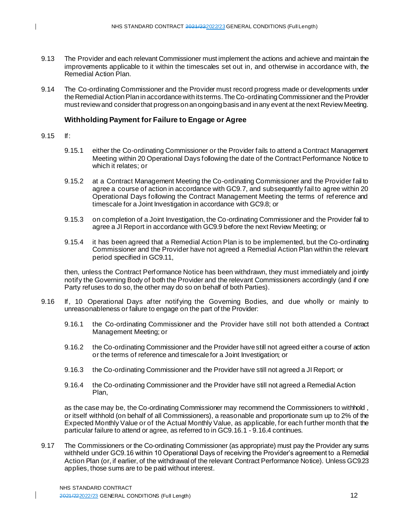- 9.13 The Provider and each relevant Commissioner must implement the actions and achieve and maintain the improvements applicable to it within the timescales set out in, and otherwise in accordance with, the Remedial Action Plan.
- 9.14 The Co-ordinating Commissioner and the Provider must record progress made or developments under the Remedial Action Plan in accordance with its terms. The Co-ordinating Commissioner and the Provider must review and consider that progress on an ongoing basis and in any event at the next Review Meeting.

#### **Withholding Payment for Failure to Engage or Agree**

- 9.15 If:
	- 9.15.1 either the Co-ordinating Commissioner or the Provider fails to attend a Contract Management Meeting within 20 Operational Days following the date of the Contract Performance Notice to which it relates; or
	- 9.15.2 at a Contract Management Meeting the Co-ordinating Commissioner and the Provider fail to agree a course of action in accordance with GC9.7, and subsequently fail to agree within 20 Operational Days following the Contract Management Meeting the terms of reference and timescale for a Joint Investigation in accordance with GC9.8; or
	- 9.15.3 on completion of a Joint Investigation, the Co-ordinating Commissioner and the Provider fail to agree a JI Report in accordance with GC9.9 before the next Review Meeting; or
	- 9.15.4 it has been agreed that a Remedial Action Plan is to be implemented, but the Co-ordinating Commissioner and the Provider have not agreed a Remedial Action Plan within the relevant period specified in GC9.11,

then, unless the Contract Performance Notice has been withdrawn, they must immediately and jointly notify the Governing Body of both the Provider and the relevant Commissioners accordingly (and if one Party refuses to do so, the other may do so on behalf of both Parties).

- 9.16 If, 10 Operational Days after notifying the Governing Bodies, and due wholly or mainly to unreasonableness or failure to engage on the part of the Provider:
	- 9.16.1 the Co-ordinating Commissioner and the Provider have still not both attended a Contract Management Meeting; or
	- 9.16.2 the Co-ordinating Commissioner and the Provider have still not agreed either a course of action or the terms of reference and timescale for a Joint Investigation; or
	- 9.16.3 the Co-ordinating Commissioner and the Provider have still not agreed a JI Report; or
	- 9.16.4 the Co-ordinating Commissioner and the Provider have still not agreed a Remedial Action Plan,

as the case may be, the Co-ordinating Commissioner may recommend the Commissioners to withhold , or itself withhold (on behalf of all Commissioners), a reasonable and proportionate sum up to 2% of the Expected Monthly Value or of the Actual Monthly Value, as applicable, for each further month that the particular failure to attend or agree, as referred to in GC9.16.1 - 9.16.4 continues.

9.17 The Commissioners or the Co-ordinating Commissioner (as appropriate) must pay the Provider any sums withheld under GC9.16 within 10 Operational Days of receiving the Provider's agreement to a Remedial Action Plan (or, if earlier, of the withdrawal of the relevant Contract Performance Notice). Unless GC9.23 applies, those sums are to be paid without interest.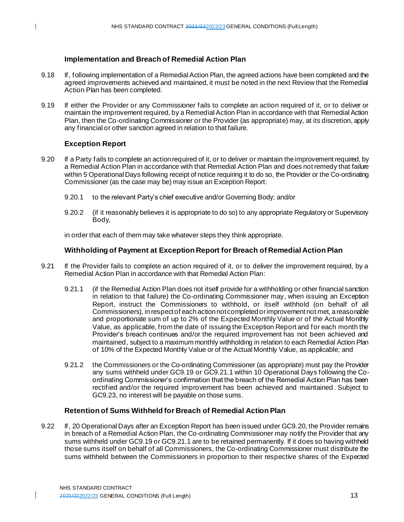## **Implementation and Breach of Remedial Action Plan**

- 9.18 If, following implementation of a Remedial Action Plan, the agreed actions have been completed and the agreed improvements achieved and maintained, it must be noted in the next Review that the Remedial Action Plan has been completed.
- 9.19 If either the Provider or any Commissioner fails to complete an action required of it, or to deliver or maintain the improvement required, by a Remedial Action Plan in accordance with that Remedial Action Plan, then the Co-ordinating Commissioner or the Provider (as appropriate) may, at its discretion, apply any financial or other sanction agreed in relation to that failure.

## **Exception Report**

- 9.20 If a Party fails to complete an action required of it, or to deliver or maintain the improvement required, by a Remedial Action Plan in accordance with that Remedial Action Plan and does not remedy that failure within 5 Operational Days following receipt of notice requiring it to do so, the Provider or the Co-ordinating Commissioner (as the case may be) may issue an Exception Report:
	- 9.20.1 to the relevant Party's chief executive and/or Governing Body; and/or
	- 9.20.2 (if it reasonably believes it is appropriate to do so) to any appropriate Regulatory or Supervisory Body,

in order that each of them may take whatever steps they think appropriate.

## **Withholding of Payment at Exception Report for Breach of Remedial Action Plan**

- 9.21 If the Provider fails to complete an action required of it, or to deliver the improvement required, by a Remedial Action Plan in accordance with that Remedial Action Plan:
	- 9.21.1 (if the Remedial Action Plan does not itself provide for a withholding or other financial sanction in relation to that failure) the Co-ordinating Commissioner may, when issuing an Exception Report, instruct the Commissioners to withhold, or itself withhold (on behalf of all Commissioners), in respectof each action not completed or improvement not met, a reasonable and proportionate sum of up to 2% of the Expected Monthly Value or of the Actual Monthly Value, as applicable, from the date of issuing the Exception Report and for each month the Provider's breach continues and/or the required improvement has not been achieved and maintained, subject to a maximum monthly withholding in relation to each Remedial Action Plan of 10% of the Expected Monthly Value or of the Actual Monthly Value, as applicable; and
	- 9.21.2 the Commissioners or the Co-ordinating Commissioner (as appropriate) must pay the Provider any sums withheld under GC9.19 or GC9.21.1 within 10 Operational Days following the Coordinating Commissioner's confirmation that the breach of the Remedial Action Plan has been rectified and/or the required improvement has been achieved and maintained . Subject to GC9.23, no interest will be payable on those sums.

## **Retention of Sums Withheld for Breach of Remedial Action Plan**

9.22 If, 20 Operational Days after an Exception Report has been issued under GC9.20, the Provider remains in breach of a Remedial Action Plan, the Co-ordinating Commissioner may notify the Provider that any sums withheld under GC9.19 or GC9.21.1 are to be retained permanently. If it does so having withheld those sums itself on behalf of all Commissioners, the Co-ordinating Commissioner must distribute the sums withheld between the Commissioners in proportion to their respective shares of the Expected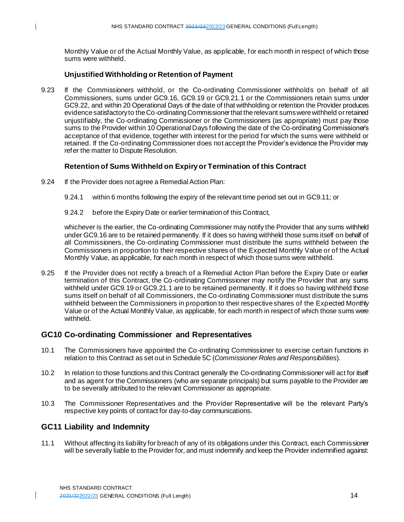Monthly Value or of the Actual Monthly Value, as applicable, for each month in respect of which those sums were withheld.

## **Unjustified Withholding or Retention of Payment**

9.23 If the Commissioners withhold, or the Co-ordinating Commissioner withholds on behalf of all Commissioners, sums under GC9.16, GC9.19 or GC9.21.1 or the Commissioners retain sums under GC9.22, and within 20 Operational Days of the date of that withholding or retention the Provider produces evidence satisfactory to the Co-ordinating Commissioner that the relevant sums were withheld or retained unjustifiably, the Co-ordinating Commissioner or the Commissioners (as appropriate) must pay those sums to the Provider within 10 Operational Days following the date of the Co-ordinating Commissioner's acceptance of that evidence, together with interest for the period for which the sums were withheld or retained. If the Co-ordinating Commissioner does not accept the Provider's evidence the Provider may refer the matter to Dispute Resolution.

## **Retention of Sums Withheld on Expiry or Termination of this Contract**

- 9.24 If the Provider does not agree a Remedial Action Plan:
	- 9.24.1 within 6 months following the expiry of the relevant time period set out in GC9.11; or
	- 9.24.2 before the Expiry Date or earlier termination of this Contract,

whichever is the earlier, the Co-ordinating Commissioner may notify the Provider that any sums withheld under GC9.16 are to be retained permanently. If it does so having withheld those sums itself on behalf of all Commissioners, the Co-ordinating Commissioner must distribute the sums withheld between the Commissioners in proportion to their respective shares of the Expected Monthly Value or of the Actual Monthly Value, as applicable, for each month in respect of which those sums were withheld.

9.25 If the Provider does not rectify a breach of a Remedial Action Plan before the Expiry Date or earlier termination of this Contract, the Co-ordinating Commissioner may notify the Provider that any sums withheld under GC9.19 or GC9.21.1 are to be retained permanently. If it does so having withheld those sums itself on behalf of all Commissioners, the Co-ordinating Commissioner must distribute the sums withheld between the Commissioners in proportion to their respective shares of the Expected Monthly Value or of the Actual Monthly Value, as applicable, for each month in respect of which those sums were withheld.

## **GC10 Co-ordinating Commissioner and Representatives**

- 10.1 The Commissioners have appointed the Co-ordinating Commissioner to exercise certain functions in relation to this Contract as set out in Schedule 5C (*Commissioner Roles and Responsibilities*).
- 10.2 In relation to those functions and this Contract generally the Co-ordinating Commissioner will act for itself and as agent for the Commissioners (who are separate principals) but sums payable to the Provider are to be severally attributed to the relevant Commissioner as appropriate.
- 10.3 The Commissioner Representatives and the Provider Representative will be the relevant Party's respective key points of contact for day-to-day communications.

# **GC11 Liability and Indemnity**

11.1 Without affecting its liability for breach of any of its obligations under this Contract, each Commissioner will be severally liable to the Provider for, and must indemnify and keep the Provider indemnified against: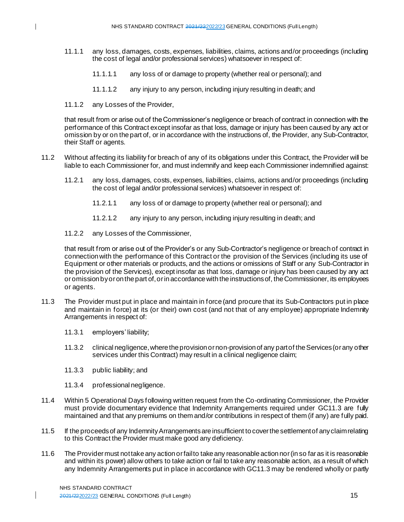- 11.1.1 any loss, damages, costs, expenses, liabilities, claims, actions and/or proceedings (including the cost of legal and/or professional services) whatsoever in respect of:
	- 11.1.1.1 any loss of or damage to property (whether real or personal); and
	- 11.1.1.2 any injury to any person, including injury resulting in death; and
- 11.1.2 any Losses of the Provider,

that result from or arise out of the Commissioner's negligence or breach of contract in connection with the performance of this Contract except insofar as that loss, damage or injury has been caused by any act or omission by or on the part of, or in accordance with the instructions of, the Provider, any Sub-Contractor, their Staff or agents.

- 11.2 Without affecting its liability for breach of any of its obligations under this Contract, the Provider will be liable to each Commissioner for, and must indemnify and keep each Commissioner indemnified against:
	- 11.2.1 any loss, damages, costs, expenses, liabilities, claims, actions and/or proceedings (including the cost of legal and/or professional services) whatsoever in respect of:
		- 11.2.1.1 any loss of or damage to property (whether real or personal); and
		- 11.2.1.2 any injury to any person, including injury resulting in death; and
	- 11.2.2 any Losses of the Commissioner,

that result from or arise out of the Provider's or any Sub-Contractor's negligence or breach of contract in connection with the performance of this Contract or the provision of the Services (including its use of Equipment or other materials or products, and the actions or omissions of Staff or any Sub-Contractor in the provision of the Services), except insofar as that loss, damage or injury has been caused by any act or omission by or on the part of, or in accordance with the instructions of, the Commissioner, its employees or agents.

- 11.3 The Provider must put in place and maintain in force (and procure that its Sub-Contractors put in place and maintain in force) at its (or their) own cost (and not that of any employee) appropriate Indemnity Arrangements in respect of:
	- 11.3.1 employers' liability;
	- 11.3.2 clinical negligence,where the provision or non-provision of any part of the Services (or any other services under this Contract) may result in a clinical negligence claim;
	- 11.3.3 public liability; and
	- 11.3.4 professional negligence.
- 11.4 Within 5 Operational Days following written request from the Co-ordinating Commissioner, the Provider must provide documentary evidence that Indemnity Arrangements required under GC11.3 are fully maintained and that any premiums on them and/or contributions in respect of them (if any) are fully paid.
- 11.5 If the proceeds of any Indemnity Arrangements are insufficient to cover the settlement of any claim relating to this Contract the Provider must make good any deficiency.
- 11.6 The Provider must not take any action or fail to take any reasonable action nor (in so far as it is reasonable and within its power) allow others to take action or fail to take any reasonable action, as a result of which any Indemnity Arrangements put in place in accordance with GC11.3 may be rendered wholly or partly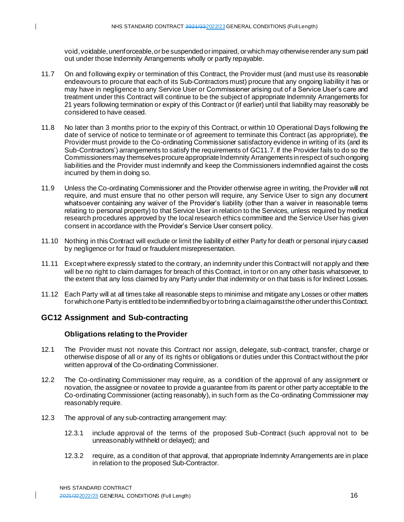void, voidable, unenforceable, or be suspended or impaired, or which may otherwise render any sum paid out under those Indemnity Arrangements wholly or partly repayable.

- 11.7 On and following expiry or termination of this Contract, the Provider must (and must use its reasonable endeavours to procure that each of its Sub-Contractors must) procure that any ongoing liability it has or may have in negligence to any Service User or Commissioner arising out of a Service User's care and treatment under this Contract will continue to be the subject of appropriate Indemnity Arrangements for 21 years following termination or expiry of this Contract or (if earlier) until that liability may reasonably be considered to have ceased.
- 11.8 No later than 3 months prior to the expiry of this Contract, or within 10 Operational Days following the date of service of notice to terminate or of agreement to terminate this Contract (as appropriate), the Provider must provide to the Co-ordinating Commissioner satisfactory evidence in writing of its (and its Sub-Contractors') arrangements to satisfy the requirements of GC11.7. If the Provider fails to do so the Commissioners may themselves procure appropriate Indemnity Arrangements in respect of such ongoing liabilities and the Provider must indemnify and keep the Commissioners indemnified against the costs incurred by them in doing so.
- 11.9 Unless the Co-ordinating Commissioner and the Provider otherwise agree in writing, the Provider will not require, and must ensure that no other person will require, any Service User to sign any document whatsoever containing any waiver of the Provider's liability (other than a waiver in reasonable terms relating to personal property) to that Service User in relation to the Services, unless required by medical research procedures approved by the local research ethics committee and the Service User has given consent in accordance with the Provider's Service User consent policy.
- 11.10 Nothing in this Contract will exclude or limit the liability of either Party for death or personal injury caused by negligence or for fraud or fraudulent misrepresentation.
- 11.11 Except where expressly stated to the contrary, an indemnity under this Contract will not apply and there will be no right to claim damages for breach of this Contract, in tort or on any other basis whatsoever, to the extent that any loss claimed by any Party under that indemnity or on that basis is for Indirect Losses.
- 11.12 Each Party will at all times take all reasonable steps to minimise and mitigate any Losses or other matters for which one Party is entitled to be indemnified by or to bring a claim against the other under this Contract.

# **GC12 Assignment and Sub-contracting**

## **Obligations relating to the Provider**

- 12.1 The Provider must not novate this Contract nor assign, delegate, sub-contract, transfer, charge or otherwise dispose of all or any of its rights or obligations or duties under this Contract without the prior written approval of the Co-ordinating Commissioner.
- 12.2 The Co-ordinating Commissioner may require, as a condition of the approval of any assignment or novation, the assignee or novatee to provide a guarantee from its parent or other party acceptable to the Co-ordinating Commissioner (acting reasonably), in such form as the Co-ordinating Commissioner may reasonably require.
- 12.3 The approval of any sub-contracting arrangement may:
	- 12.3.1 include approval of the terms of the proposed Sub-Contract (such approval not to be unreasonably withheld or delayed); and
	- 12.3.2 require, as a condition of that approval, that appropriate Indemnity Arrangements are in place in relation to the proposed Sub-Contractor.

NHS STANDARD CONTRACT 2021/222022/23 GENERAL CONDITIONS (Full Length) 16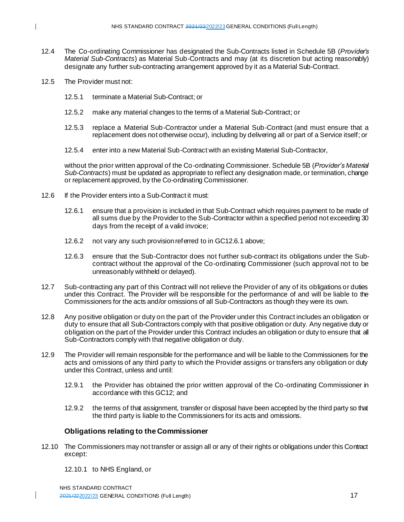- 12.4 The Co-ordinating Commissioner has designated the Sub-Contracts listed in Schedule 5B (*Provider's Material Sub-Contracts*) as Material Sub-Contracts and may (at its discretion but acting reasonably) designate any further sub-contracting arrangement approved by it as a Material Sub-Contract.
- 12.5 The Provider must not:
	- 12.5.1 terminate a Material Sub-Contract; or
	- 12.5.2 make any material changes to the terms of a Material Sub-Contract; or
	- 12.5.3 replace a Material Sub-Contractor under a Material Sub-Contract (and must ensure that a replacement does not otherwise occur), including by delivering all or part of a Service itself; or
	- 12.5.4 enter into a new Material Sub-Contract with an existing Material Sub-Contractor,

without the prior written approval of the Co-ordinating Commissioner. Schedule 5B (*Provider's Material Sub-Contracts*) must be updated as appropriate to reflect any designation made, or termination, change or replacement approved, by the Co-ordinating Commissioner.

- 12.6 If the Provider enters into a Sub-Contract it must:
	- 12.6.1 ensure that a provision is included in that Sub-Contract which requires payment to be made of all sums due by the Provider to the Sub-Contractor within a specified period not exceeding 30 days from the receipt of a valid invoice;
	- 12.6.2 not vary any such provision referred to in GC12.6.1 above;
	- 12.6.3 ensure that the Sub-Contractor does not further sub-contract its obligations under the Subcontract without the approval of the Co-ordinating Commissioner (such approval not to be unreasonably withheld or delayed).
- 12.7 Sub-contracting any part of this Contract will not relieve the Provider of any of its obligations or duties under this Contract. The Provider will be responsible for the performance of and will be liable to the Commissioners for the acts and/or omissions of all Sub-Contractors as though they were its own.
- 12.8 Any positive obligation or duty on the part of the Provider under this Contract includes an obligation or duty to ensure that all Sub-Contractors comply with that positive obligation or duty. Any negative duty or obligation on the part of the Provider under this Contract includes an obligation or duty to ensure that all Sub-Contractors comply with that negative obligation or duty.
- 12.9 The Provider will remain responsible for the performance and will be liable to the Commissioners for the acts and omissions of any third party to which the Provider assigns or transfers any obligation or duty under this Contract, unless and until:
	- 12.9.1 the Provider has obtained the prior written approval of the Co-ordinating Commissioner in accordance with this GC12; and
	- 12.9.2 the terms of that assignment, transfer or disposal have been accepted by the third party so that the third party is liable to the Commissioners for its acts and omissions.

#### **Obligations relating to the Commissioner**

- 12.10 The Commissioners may not transfer or assign all or any of their rights or obligations under this Contract except:
	- 12.10.1 to NHS England, or

NHS STANDARD CONTRACT 2021/222022/23 GENERAL CONDITIONS (Full Length) 17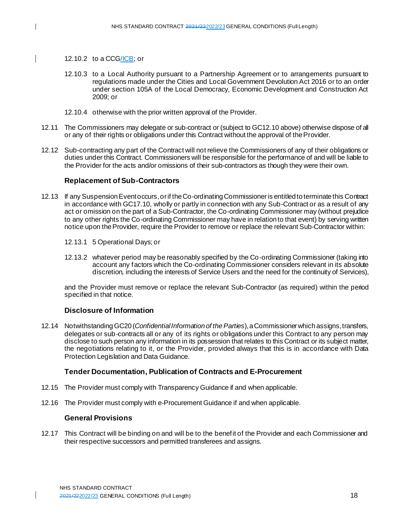#### 12.10.2 to a CCG/ICB; or

- 12.10.3 to a Local Authority pursuant to a Partnership Agreement or to arrangements pursuant to regulations made under the Cities and Local Government Devolution Act 2016 or to an order under section 105A of the Local Democracy, Economic Development and Construction Act 2009; or
- 12.10.4 otherwise with the prior written approval of the Provider.
- 12.11 The Commissioners may delegate or sub-contract or (subject to GC12.10 above) otherwise dispose of all or any of their rights or obligations under this Contract without the approval of the Provider.
- 12.12 Sub-contracting any part of the Contract will not relieve the Commissioners of any of their obligations or duties under this Contract. Commissioners will be responsible for the performance of and will be liable to the Provider for the acts and/or omissions of their sub-contractors as though they were their own.

#### **Replacement of Sub-Contractors**

- 12.13 If any Suspension Event occurs, or if the Co-ordinating Commissioner is entitled to terminate this Contract in accordance with GC17.10, wholly or partly in connection with any Sub-Contract or as a result of any act or omission on the part of a Sub-Contractor, the Co-ordinating Commissioner may (without prejudice to any other rights the Co-ordinating Commissioner may have in relation to that event) by serving written notice upon the Provider, require the Provider to remove or replace the relevant Sub-Contractor within:
	- 12.13.1 5 Operational Days; or
	- 12.13.2 whatever period may be reasonably specified by the Co-ordinating Commissioner (taking into account any factors which the Co-ordinating Commissioner considers relevant in its absolute discretion, including the interests of Service Users and the need for the continuity of Services),

and the Provider must remove or replace the relevant Sub-Contractor (as required) within the period specified in that notice.

#### **Disclosure of Information**

12.14 Notwithstanding GC20 (*Confidential Information of the Parties*), a Commissioner which assigns, transfers, delegates or sub-contracts all or any of its rights or obligations under this Contract to any person may disclose to such person any information in its possession that relates to this Contract or its subject matter, the negotiations relating to it, or the Provider, provided always that this is in accordance with Data Protection Legislation and Data Guidance.

#### **Tender Documentation, Publication of Contracts and E-Procurement**

- 12.15 The Provider must comply with Transparency Guidance if and when applicable.
- 12.16 The Provider must comply with e-Procurement Guidance if and when applicable.

#### **General Provisions**

12.17 This Contract will be binding on and will be to the benefit of the Provider and each Commissioner and their respective successors and permitted transferees and assigns.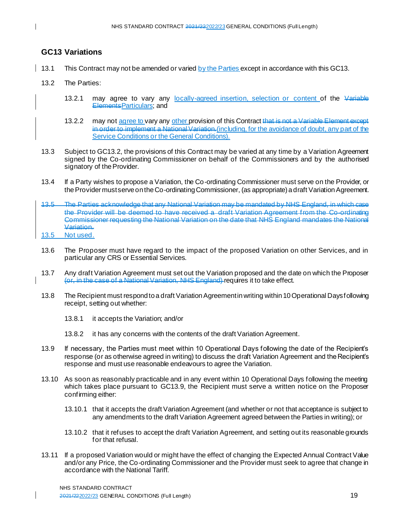## **GC13 Variations**

- 13.1 This Contract may not be amended or varied by the Parties except in accordance with this GC13.
	- 13.2 The Parties:
		- 13.2.1 may agree to vary any locally-agreed insertion, selection or content of the Variable ElementsParticulars; and
		- 13.2.2 may not agree to vary any other provision of this Contract that is not a Variable Element except in order to implement a National Variation.(including, for the avoidance of doubt, any part of the Service Conditions or the General Conditions).
	- 13.3 Subject to GC13.2, the provisions of this Contract may be varied at any time by a Variation Agreement signed by the Co-ordinating Commissioner on behalf of the Commissioners and by the authorised signatory of the Provider.
	- 13.4 If a Party wishes to propose a Variation, the Co-ordinating Commissioner must serve on the Provider, or the Provider must serve on the Co-ordinating Commissioner, (as appropriate) a draft Variation Agreement.
	- 13.5 The Parties acknowledge that any National Variation may be mandated by NHS England, in which case the Provider will be deemed to have received a draft Variation Agreement from the Co-ordinating Commissioner requesting the National Variation on the date that NHS England mandates the National Variation.
	- 13.5 Not used.
	- 13.6 The Proposer must have regard to the impact of the proposed Variation on other Services, and in particular any CRS or Essential Services.
	- 13.7 Any draft Variation Agreement must set out the Variation proposed and the date on which the Proposer (or, in the case of a National Variation, NHS England) requires it to take effect.
	- 13.8 The Recipient must respond to a draft Variation Agreementin writing within 10 Operational Days following receipt, setting out whether:
		- 13.8.1 it accepts the Variation; and/or
		- 13.8.2 it has any concerns with the contents of the draft Variation Agreement.
	- 13.9 If necessary, the Parties must meet within 10 Operational Days following the date of the Recipient's response (or as otherwise agreed in writing) to discuss the draft Variation Agreement and the Recipient's response and must use reasonable endeavours to agree the Variation.
	- 13.10 As soon as reasonably practicable and in any event within 10 Operational Days following the meeting which takes place pursuant to GC13.9, the Recipient must serve a written notice on the Proposer confirming either:
		- 13.10.1 that it accepts the draft Variation Agreement (and whether or not that acceptance is subject to any amendments to the draft Variation Agreement agreed between the Parties in writing); or
		- 13.10.2 that it refuses to accept the draft Variation Agreement, and setting out its reasonable grounds for that refusal.
	- 13.11 If a proposed Variation would or might have the effect of changing the Expected Annual Contract Value and/or any Price, the Co-ordinating Commissioner and the Provider must seek to agree that change in accordance with the National Tariff.

NHS STANDARD CONTRACT 2021/222022/23 GENERAL CONDITIONS (Full Length) 19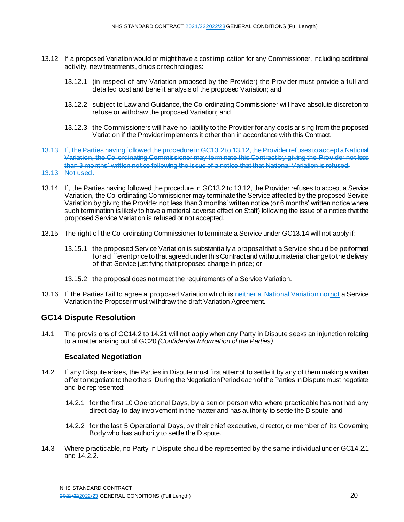- 13.12 If a proposed Variation would or might have a cost implication for any Commissioner, including additional activity, new treatments, drugs or technologies:
	- 13.12.1 (in respect of any Variation proposed by the Provider) the Provider must provide a full and detailed cost and benefit analysis of the proposed Variation; and
	- 13.12.2 subject to Law and Guidance, the Co-ordinating Commissioner will have absolute discretion to refuse or withdraw the proposed Variation; and
	- 13.12.3 the Commissioners will have no liability to the Provider for any costs arising from the proposed Variation if the Provider implements it other than in accordance with this Contract.
- If, the Parties having followed the procedure in GC13.2 to 13.12, the Provider refuses to accepte Variation, the Co-ordinating Commissioner may terminate this Contract by giving the Provider not less than 3 months' written notice following the issue of a notice that that National Variation is refused. 13.13 Not used.
- 13.14 If, the Parties having followed the procedure in GC13.2 to 13.12, the Provider refuses to accept a Service Variation, the Co-ordinating Commissioner may terminate the Service affected by the proposed Service Variation by giving the Provider not less than 3 months' written notice (or 6 months' written notice where such termination is likely to have a material adverse effect on Staff) following the issue of a notice that the proposed Service Variation is refused or not accepted.
- 13.15 The right of the Co-ordinating Commissioner to terminate a Service under GC13.14 will not apply if:
	- 13.15.1 the proposed Service Variation is substantially a proposal that a Service should be performed for a different price to that agreed under this Contract and without material change to the delivery of that Service justifying that proposed change in price; or
	- 13.15.2 the proposal does not meet the requirements of a Service Variation.
- 13.16 If the Parties fail to agree a proposed Variation which is neither a National Variation nornot a Service Variation the Proposer must withdraw the draft Variation Agreement.

## **GC14 Dispute Resolution**

14.1 The provisions of GC14.2 to 14.21 will not apply when any Party in Dispute seeks an injunction relating to a matter arising out of GC20 *(Confidential Information of the Parties)*.

#### **Escalated Negotiation**

- 14.2 If any Dispute arises, the Parties in Dispute must first attempt to settle it by any of them making a written offer to negotiate to the others. During the Negotiation Period each of the Parties in Dispute must negotiate and be represented:
	- 14.2.1 for the first 10 Operational Days, by a senior person who where practicable has not had any direct day-to-day involvement in the matter and has authority to settle the Dispute; and
	- 14.2.2 for the last 5 Operational Days, by their chief executive, director, or member of its Governing Body who has authority to settle the Dispute.
- 14.3 Where practicable, no Party in Dispute should be represented by the same individual under GC14.2.1 and 14.2.2.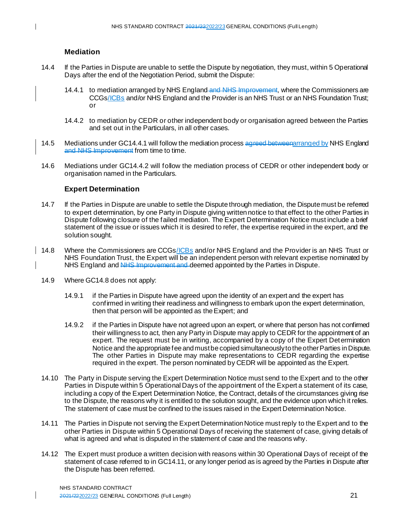## **Mediation**

- 14.4 If the Parties in Dispute are unable to settle the Dispute by negotiation, they must, within 5 Operational Days after the end of the Negotiation Period, submit the Dispute:
	- 14.4.1 to mediation arranged by NHS England and NHS Improvement, where the Commissioners are CCGs/ICBs and/or NHS England and the Provider is an NHS Trust or an NHS Foundation Trust; or
	- 14.4.2 to mediation by CEDR or other independent body or organisation agreed between the Parties and set out in the Particulars, in all other cases.
- 14.5 Mediations under GC14.4.1 will follow the mediation process agreed betweenarranged by NHS England and NHS Improvement from time to time.
- 14.6 Mediations under GC14.4.2 will follow the mediation process of CEDR or other independent body or organisation named in the Particulars.

#### **Expert Determination**

- 14.7 If the Parties in Dispute are unable to settle the Dispute through mediation, the Dispute must be referred to expert determination, by one Party in Dispute giving written notice to that effect to the other Parties in Dispute following closure of the failed mediation. The Expert Determination Notice must include a brief statement of the issue or issues which it is desired to refer, the expertise required in the expert, and the solution sought.
- 14.8 Where the Commissioners are CCGs/ICBs and/or NHS England and the Provider is an NHS Trust or NHS Foundation Trust, the Expert will be an independent person with relevant expertise nominated by NHS England and NHS Improvement and deemed appointed by the Parties in Dispute.
	- 14.9 Where GC14.8 does not apply:
		- 14.9.1 if the Parties in Dispute have agreed upon the identity of an expert and the expert has confirmed in writing their readiness and willingness to embark upon the expert determination, then that person will be appointed as the Expert; and
		- 14.9.2 if the Parties in Dispute have not agreed upon an expert, or where that person has not confirmed their willingness to act, then any Party in Dispute may apply to CEDR for the appointment of an expert. The request must be in writing, accompanied by a copy of the Expert Determination Notice and the appropriate fee and must be copied simultaneously to the other Parties in Dispute. The other Parties in Dispute may make representations to CEDR regarding the expertise required in the expert. The person nominated by CEDR will be appointed as the Expert.
	- 14.10 The Party in Dispute serving the Expert Determination Notice must send to the Expert and to the other Parties in Dispute within 5 Operational Days of the appointment of the Expert a statement of its case, including a copy of the Expert Determination Notice, the Contract, details of the circumstances giving rise to the Dispute, the reasons why it is entitled to the solution sought, and the evidence upon which it relies. The statement of case must be confined to the issues raised in the Expert Determination Notice.
	- 14.11 The Parties in Dispute not serving the Expert Determination Notice must reply to the Expert and to the other Parties in Dispute within 5 Operational Days of receiving the statement of case, giving details of what is agreed and what is disputed in the statement of case and the reasons why.
	- 14.12 The Expert must produce a written decision with reasons within 30 Operational Days of receipt of the statement of case referred to in GC14.11, or any longer period as is agreed by the Parties in Dispute after the Dispute has been referred.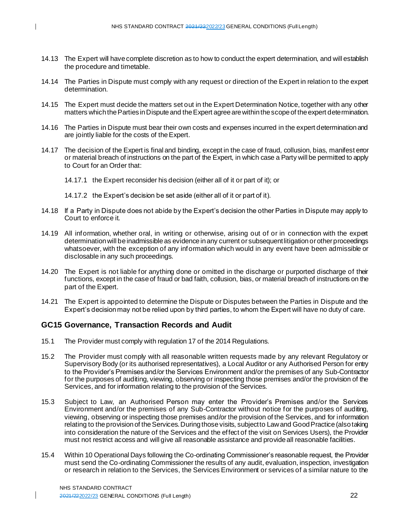- 14.13 The Expert will have complete discretion as to how to conduct the expert determination, and will establish the procedure and timetable.
- 14.14 The Parties in Dispute must comply with any request or direction of the Expert in relation to the expert determination.
- 14.15 The Expert must decide the matters set out in the Expert Determination Notice, together with any other matters which the Parties in Dispute and the Expert agree are within the scope of the expert determination.
- 14.16 The Parties in Dispute must bear their own costs and expenses incurred in the expert determination and are jointly liable for the costs of the Expert.
- 14.17 The decision of the Expert is final and binding, except in the case of fraud, collusion, bias, manifest error or material breach of instructions on the part of the Expert, in which case a Party will be permitted to apply to Court for an Order that:
	- 14.17.1 the Expert reconsider his decision (either all of it or part of it); or
	- 14.17.2 the Expert's decision be set aside (either all of it or part of it).
- 14.18 If a Party in Dispute does not abide by the Expert's decision the other Parties in Dispute may apply to Court to enforce it.
- 14.19 All information, whether oral, in writing or otherwise, arising out of or in connection with the expert determination will be inadmissible as evidence in any current or subsequent litigation or other proceedings whatsoever, with the exception of any information which would in any event have been admissible or disclosable in any such proceedings.
- 14.20 The Expert is not liable for anything done or omitted in the discharge or purported discharge of their functions, except in the case of fraud or bad faith, collusion, bias, or material breach of instructions on the part of the Expert.
- 14.21 The Expert is appointed to determine the Dispute or Disputes between the Parties in Dispute and the Expert's decision may not be relied upon by third parties, to whom the Expert will have no duty of care.

#### **GC15 Governance, Transaction Records and Audit**

- 15.1 The Provider must comply with regulation 17 of the 2014 Regulations.
- 15.2 The Provider must comply with all reasonable written requests made by any relevant Regulatory or Supervisory Body (or its authorised representatives), a Local Auditor or any Authorised Person for entry to the Provider's Premises and/or the Services Environment and/or the premises of any Sub-Contractor for the purposes of auditing, viewing, observing or inspecting those premises and/or the provision of the Services, and for information relating to the provision of the Services.
- 15.3 Subject to Law, an Authorised Person may enter the Provider's Premises and/or the Services Environment and/or the premises of any Sub-Contractor without notice for the purposes of auditing, viewing, observing or inspecting those premises and/or the provision of the Services, and for information relating to the provision of the Services. During those visits, subject to Law and Good Practice (also taking into consideration the nature of the Services and the effect of the visit on Services Users), the Provider must not restrict access and will give all reasonable assistance and provide all reasonable facilities.
- 15.4 Within 10 Operational Days following the Co-ordinating Commissioner's reasonable request, the Provider must send the Co-ordinating Commissioner the results of any audit, evaluation, inspection, investigation or research in relation to the Services, the Services Environment or services of a similar nature to the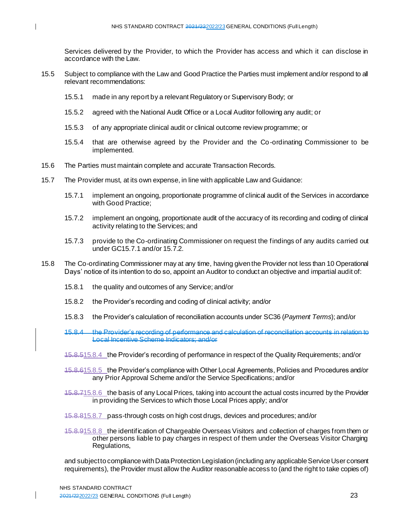Services delivered by the Provider, to which the Provider has access and which it can disclose in accordance with the Law.

- 15.5 Subject to compliance with the Law and Good Practice the Parties must implement and/or respond to all relevant recommendations:
	- 15.5.1 made in any report by a relevant Regulatory or Supervisory Body; or
	- 15.5.2 agreed with the National Audit Office or a Local Auditor following any audit; or
	- 15.5.3 of any appropriate clinical audit or clinical outcome review programme; or
	- 15.5.4 that are otherwise agreed by the Provider and the Co-ordinating Commissioner to be implemented.
- 15.6 The Parties must maintain complete and accurate Transaction Records.
- 15.7 The Provider must, at its own expense, in line with applicable Law and Guidance:
	- 15.7.1 implement an ongoing, proportionate programme of clinical audit of the Services in accordance with Good Practice;
	- 15.7.2 implement an ongoing, proportionate audit of the accuracy of its recording and coding of clinical activity relating to the Services; and
	- 15.7.3 provide to the Co-ordinating Commissioner on request the findings of any audits carried out under GC15.7.1 and/or 15.7.2.
- 15.8 The Co-ordinating Commissioner may at any time, having given the Provider not less than 10 Operational Days' notice of its intention to do so, appoint an Auditor to conduct an objective and impartial audit of:
	- 15.8.1 the quality and outcomes of any Service; and/or
	- 15.8.2 the Provider's recording and coding of clinical activity; and/or
	- 15.8.3 the Provider's calculation of reconciliation accounts under SC36 (*Payment Terms*); and/or
	- 15.8.4 the Provider's recording of performance and calculation of reconciliation accounts in relation to Local Incentive Scheme Indicators; and/or
	- 15.8.515.8.4 the Provider's recording of performance in respect of the Quality Requirements; and/or
	- 15.8.615.8.5 the Provider's compliance with Other Local Agreements, Policies and Procedures and/or any Prior Approval Scheme and/or the Service Specifications; and/or
	- 15.8.715.8.6 the basis of any Local Prices, taking into account the actual costs incurred by the Provider in providing the Services to which those Local Prices apply; and/or
	- 15.8.815.8.7 pass-through costs on high cost drugs, devices and procedures; and/or
	- 15.8.915.8.8 the identification of Chargeable Overseas Visitors and collection of charges from them or other persons liable to pay charges in respect of them under the Overseas Visitor Charging Regulations,

and subject to compliance with Data Protection Legislation (including any applicable Service User consent requirements), the Provider must allow the Auditor reasonable access to (and the right to take copies of)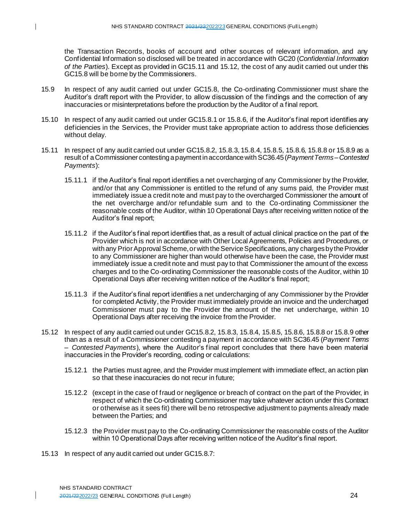the Transaction Records, books of account and other sources of relevant information, and any Confidential Information so disclosed will be treated in accordance with GC20 (*Confidential Information of the Parties*). Except as provided in GC15.11 and 15.12, the cost of any audit carried out under this GC15.8 will be borne by the Commissioners.

- 15.9 In respect of any audit carried out under GC15.8, the Co-ordinating Commissioner must share the Auditor's draft report with the Provider, to allow discussion of the findings and the correction of any inaccuracies or misinterpretations before the production by the Auditor of a final report.
- 15.10 In respect of any audit carried out under GC15.8.1 or 15.8.6, if the Auditor's final report identifies any deficiencies in the Services, the Provider must take appropriate action to address those deficiencies without delay.
- 15.11 In respect of any audit carried out under GC15.8.2, 15.8.3, 15.8.4, 15.8.5, 15.8.6, 15.8.8 or 15.8.9 as a result of a Commissioner contesting a payment in accordance with SC36.45(*Payment Terms –Contested Payments*):
	- 15.11.1 if the Auditor's final report identifies a net overcharging of any Commissioner by the Provider, and/or that any Commissioner is entitled to the refund of any sums paid, the Provider must immediately issue a credit note and must pay to the overcharged Commissioner the amount of the net overcharge and/or refundable sum and to the Co-ordinating Commissioner the reasonable costs of the Auditor, within 10 Operational Days after receiving written notice of the Auditor's final report;
	- 15.11.2 if the Auditor's final report identifies that, as a result of actual clinical practice on the part of the Provider which is not in accordance with Other Local Agreements, Policies and Procedures, or with any Prior Approval Scheme, or with the Service Specifications, any charges by the Provider to any Commissioner are higher than would otherwise have been the case, the Provider must immediately issue a credit note and must pay to that Commissioner the amount of the excess charges and to the Co-ordinating Commissioner the reasonable costs of the Auditor, within 10 Operational Days after receiving written notice of the Auditor's final report;
	- 15.11.3 if the Auditor's final report identifies a net undercharging of any Commissioner by the Provider for completed Activity, the Provider must immediately provide an invoice and the undercharged Commissioner must pay to the Provider the amount of the net undercharge, within 10 Operational Days after receiving the invoice from the Provider.
- 15.12 In respect of any audit carried out under GC15.8.2, 15.8.3, 15.8.4, 15.8.5, 15.8.6, 15.8.8 or 15.8.9 other than as a result of a Commissioner contesting a payment in accordance with SC36.45 (*Payment Terms – Contested Payments*), where the Auditor's final report concludes that there have been material inaccuracies in the Provider's recording, coding or calculations:
	- 15.12.1 the Parties must agree, and the Provider must implement with immediate effect, an action plan so that these inaccuracies do not recur in future;
	- 15.12.2 (except in the case of fraud or negligence or breach of contract on the part of the Provider, in respect of which the Co-ordinating Commissioner may take whatever action under this Contract or otherwise as it sees fit) there will be no retrospective adjustment to payments already made between the Parties; and
	- 15.12.3 the Provider must pay to the Co-ordinating Commissioner the reasonable costs of the Auditor within 10 Operational Days after receiving written notice of the Auditor's final report.
- 15.13 In respect of any audit carried out under GC15.8.7: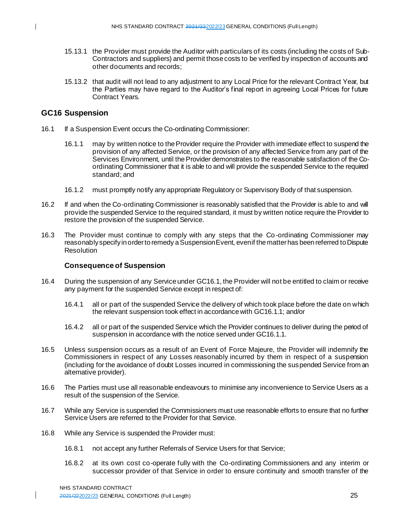- 15.13.1 the Provider must provide the Auditor with particulars of its costs (including the costs of Sub-Contractors and suppliers) and permit those costs to be verified by inspection of accounts and other documents and records;
- 15.13.2 that audit will not lead to any adjustment to any Local Price for the relevant Contract Year, but the Parties may have regard to the Auditor's final report in agreeing Local Prices for future Contract Years.

## **GC16 Suspension**

- 16.1 If a Suspension Event occurs the Co-ordinating Commissioner:
	- 16.1.1 may by written notice to the Provider require the Provider with immediate effect to suspend the provision of any affected Service, or the provision of any affected Service from any part of the Services Environment, until the Provider demonstrates to the reasonable satisfaction of the Coordinating Commissioner that it is able to and will provide the suspended Service to the required standard; and
	- 16.1.2 must promptly notify any appropriate Regulatory or Supervisory Body of that suspension.
- 16.2 If and when the Co-ordinating Commissioner is reasonably satisfied that the Provider is able to and will provide the suspended Service to the required standard, it must by written notice require the Provider to restore the provision of the suspended Service.
- 16.3 The Provider must continue to comply with any steps that the Co -ordinating Commissioner may reasonably specify in order to remedy a Suspension Event, even if the matter has been referred to Dispute Resolution

#### **Consequence of Suspension**

- 16.4 During the suspension of any Service under GC16.1, the Provider will not be entitled to claim or receive any payment for the suspended Service except in respect of:
	- 16.4.1 all or part of the suspended Service the delivery of which took place before the date on which the relevant suspension took effect in accordance with GC16.1.1; and/or
	- 16.4.2 all or part of the suspended Service which the Provider continues to deliver during the period of suspension in accordance with the notice served under GC16.1.1.
- 16.5 Unless suspension occurs as a result of an Event of Force Majeure, the Provider will indemnify the Commissioners in respect of any Losses reasonably incurred by them in respect of a suspension (including for the avoidance of doubt Losses incurred in commissioning the suspended Service from an alternative provider).
- 16.6 The Parties must use all reasonable endeavours to minimise any inconvenience to Service Users as a result of the suspension of the Service.
- 16.7 While any Service is suspended the Commissioners must use reasonable efforts to ensure that no further Service Users are referred to the Provider for that Service.
- 16.8 While any Service is suspended the Provider must:
	- 16.8.1 not accept any further Referrals of Service Users for that Service;
	- 16.8.2 at its own cost co-operate fully with the Co-ordinating Commissioners and any interim or successor provider of that Service in order to ensure continuity and smooth transfer of the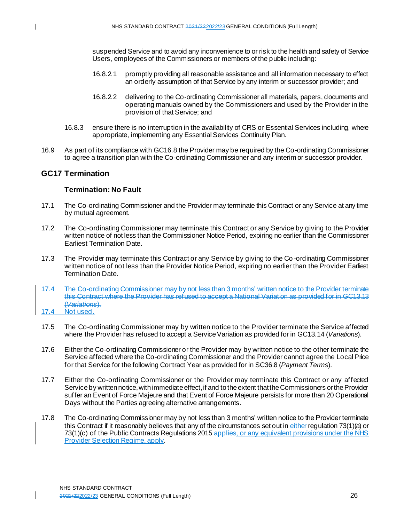suspended Service and to avoid any inconvenience to or risk to the health and safety of Service Users, employees of the Commissioners or members of the public including:

- 16.8.2.1 promptly providing all reasonable assistance and all information necessary to effect an orderly assumption of that Service by any interim or successor provider; and
- 16.8.2.2 delivering to the Co-ordinating Commissioner all materials, papers, documents and operating manuals owned by the Commissioners and used by the Provider in the provision of that Service; and
- 16.8.3 ensure there is no interruption in the availability of CRS or Essential Services including, where appropriate, implementing any Essential Services Continuity Plan.
- 16.9 As part of its compliance with GC16.8 the Provider may be required by the Co-ordinating Commissioner to agree a transition plan with the Co-ordinating Commissioner and any interim or successor provider.

## **GC17 Termination**

## **Termination: No Fault**

- 17.1 The Co-ordinating Commissioner and the Provider may terminate this Contract or any Service at any time by mutual agreement.
- 17.2 The Co-ordinating Commissioner may terminate this Contract or any Service by giving to the Provider written notice of not less than the Commissioner Notice Period, expiring no earlier than the Commissioner Earliest Termination Date.
- 17.3 The Provider may terminate this Contract or any Service by giving to the Co -ordinating Commissioner written notice of not less than the Provider Notice Period, expiring no earlier than the Provider Earliest Termination Date.
- 17.4 The Co-ordinating Commissioner may by not less than 3 months' written notice to the Provider terminate this Contract where the Provider has refused to accept a National Variation as provided for in GC13.13 (*Variations*).
- 17.4 Not used.
- 17.5 The Co-ordinating Commissioner may by written notice to the Provider terminate the Service affected where the Provider has refused to accept a Service Variation as provided for in GC13.14 (*Variations*).
- 17.6 Either the Co-ordinating Commissioner or the Provider may by written notice to the other terminate the Service affected where the Co-ordinating Commissioner and the Provider cannot agree the Local Price for that Service for the following Contract Year as provided for in SC36.8 (*Payment Terms*).
- 17.7 Either the Co-ordinating Commissioner or the Provider may terminate this Contract or any affected Service by written notice, with immediate effect, if and to the extent that the Commissioners or the Provider suffer an Event of Force Majeure and that Event of Force Majeure persists for more than 20 Operational Days without the Parties agreeing alternative arrangements.
- 17.8 The Co-ordinating Commissioner may by not less than 3 months' written notice to the Provider terminate this Contract if it reasonably believes that any of the circumstances set out in either regulation 73(1)(a) or 73(1)(c) of the Public Contracts Regulations 2015 applies, or any equivalent provisions under the NHS Provider Selection Regime, apply.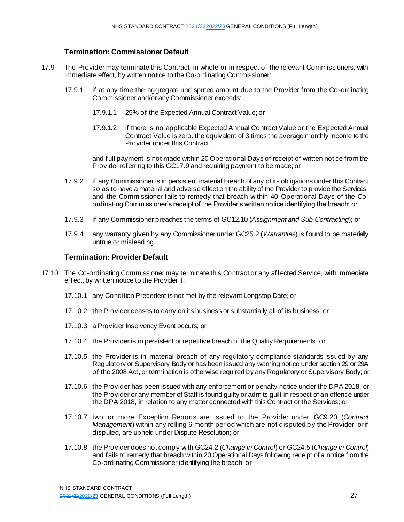## **Termination: Commissioner Default**

- 17.9 The Provider may terminate this Contract, in whole or in respect of the relevant Commissioners, with immediate effect, by written notice to the Co-ordinating Commissioner:
	- 17.9.1 if at any time the aggregate undisputed amount due to the Provider from the Co-ordinating Commissioner and/or any Commissioner exceeds:
		- 17.9.1.1 25% of the Expected Annual Contract Value; or
		- 17.9.1.2 if there is no applicable Expected Annual Contract Value or the Expected Annual Contract Value is zero, the equivalent of 3 times the average monthly income to the Provider under this Contract,

and full payment is not made within 20 Operational Days of receipt of written notice from the Provider referring to this GC17.9 and requiring payment to be made; or

- 17.9.2 if any Commissioner is in persistent material breach of any of its obligations under this Contract so as to have a material and adverse effect on the ability of the Provider to provide the Services, and the Commissioner fails to remedy that breach within 40 Operational Days of the Co ordinating Commissioner's receipt of the Provider's written notice identifying the breach; or
- 17.9.3 if any Commissioner breaches the terms of GC12.10 (*Assignment and Sub-Contracting*); or
- 17.9.4 any warranty given by any Commissioner under GC25.2 (*Warranties*) is found to be materially untrue or misleading.

#### **Termination: Provider Default**

- 17.10 The Co-ordinating Commissioner may terminate this Contract or any affected Service, with immediate effect, by written notice to the Provider if:
	- 17.10.1 any Condition Precedent is not met by the relevant Longstop Date; or
	- 17.10.2 the Provider ceases to carry on its business or substantially all of its business; or
	- 17.10.3 a Provider Insolvency Event occurs; or
	- 17.10.4 the Provider is in persistent or repetitive breach of the Quality Requirements; or
	- 17.10.5 the Provider is in material breach of any regulatory compliance standards issued by any Regulatory or Supervisory Body or has been issued any warning notice under section 29 or 29A of the 2008 Act, or termination is otherwise required by any Regulatory or Supervisory Body; or
	- 17.10.6 the Provider has been issued with any enforcement or penalty notice under the DPA 2018, or the Provider or any member of Staff is found guilty or admits guilt in respect of an offence under the DPA 2018, in relation to any matter connected with this Contract or the Services; or
	- 17.10.7 two or more Exception Reports are issued to the Provider under GC9.20 (*Contract Management*) within any rolling 6 month period which are not disputed by the Provider, or if disputed, are upheld under Dispute Resolution; or
	- 17.10.8 the Provider does not comply with GC24.2 (*Change in Control*) or GC24.5 (*Change in Control*) and fails to remedy that breach within 20 Operational Days following receipt of a notice from the Co-ordinating Commissioner identifying the breach; or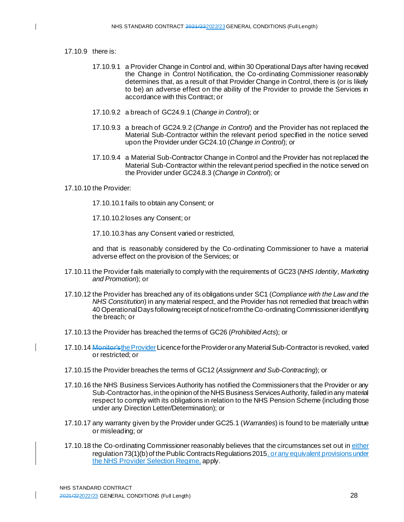#### 17.10.9 there is:

- 17.10.9.1 a Provider Change in Control and, within 30 Operational Days after having received the Change in Control Notification, the Co-ordinating Commissioner reasonably determines that, as a result of that Provider Change in Control, there is (or is likely to be) an adverse effect on the ability of the Provider to provide the Services in accordance with this Contract; or
- 17.10.9.2 a breach of GC24.9.1 (*Change in Control*); or
- 17.10.9.3 a breach of GC24.9.2 (*Change in Control*) and the Provider has not replaced the Material Sub-Contractor within the relevant period specified in the notice served upon the Provider under GC24.10 (*Change in Control*); or
- 17.10.9.4 a Material Sub-Contractor Change in Control and the Provider has not replaced the Material Sub-Contractor within the relevant period specified in the notice served on the Provider under GC24.8.3 (*Change in Control*); or

17.10.10 the Provider:

17.10.10.1 fails to obtain any Consent; or

17.10.10.2 loses any Consent; or

17.10.10.3 has any Consent varied or restricted,

and that is reasonably considered by the Co-ordinating Commissioner to have a material adverse effect on the provision of the Services; or

- 17.10.11 the Provider fails materially to comply with the requirements of GC23 (*NHS Identity, Marketing and Promotion*); or
- 17.10.12 the Provider has breached any of its obligations under SC1 (*Compliance with the Law and the NHS Constitution*) in any material respect, and the Provider has not remedied that breach within 40 Operational Days following receipt of notice from the Co-ordinating Commissioner identifying the breach; or
- 17.10.13 the Provider has breached the terms of GC26 (*Prohibited Acts*); or
- 17.10.14 Monitor's the Provider Licence for the Provider or any Material Sub-Contractor is revoked, varied or restricted; or
- 17.10.15 the Provider breaches the terms of GC12 (*Assignment and Sub-Contracting*); or
- 17.10.16 the NHS Business Services Authority has notified the Commissioners that the Provider or any Sub-Contractor has, in the opinion of the NHS Business Services Authority, failed in any material respect to comply with its obligations in relation to the NHS Pension Scheme (including those under any Direction Letter/Determination); or
- 17.10.17 any warranty given by the Provider under GC25.1 (*Warranties*) is found to be materially untrue or misleading; or
- 17.10.18 the Co-ordinating Commissioner reasonably believes that the circumstances set out in either regulation 73(1)(b) of the Public Contracts Regulations 2015, or any equivalent provisions under the NHS Provider Selection Regime, apply.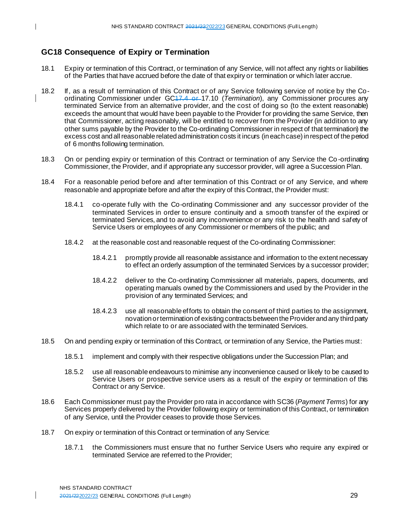# **GC18 Consequence of Expiry or Termination**

- 18.1 Expiry or termination of this Contract, or termination of any Service, will not affect any rights or liabilities of the Parties that have accrued before the date of that expiry or termination or which later accrue.
- 18.2 If, as a result of termination of this Contract or of any Service following service of notice by the Coordinating Commissioner under GC17.4 or 17.10 (*Termination*), any Commissioner procures any terminated Service from an alternative provider, and the cost of doing so (to the extent reasonable) exceeds the amount that would have been payable to the Provider for providing the same Service, then that Commissioner, acting reasonably, will be entitled to recover from the Provider (in addition to any other sums payable by the Provider to the Co-ordinating Commissioner in respect of that termination) the excess cost and all reasonable related administration costs it incurs (in each case) in respect of the period of 6 months following termination.
- 18.3 On or pending expiry or termination of this Contract or termination of any Service the Co -ordinating Commissioner, the Provider, and if appropriate any successor provider, will agree a Succession Plan.
- 18.4 For a reasonable period before and after termination of this Contract or of any Service, and where reasonable and appropriate before and after the expiry of this Contract, the Provider must:
	- 18.4.1 co-operate fully with the Co-ordinating Commissioner and any successor provider of the terminated Services in order to ensure continuity and a smooth transfer of the expired or terminated Services, and to avoid any inconvenience or any risk to the health and safety of Service Users or employees of any Commissioner or members of the public; and
	- 18.4.2 at the reasonable cost and reasonable request of the Co-ordinating Commissioner:
		- 18.4.2.1 promptly provide all reasonable assistance and information to the extent necessary to effect an orderly assumption of the terminated Services by a successor provider;
		- 18.4.2.2 deliver to the Co-ordinating Commissioner all materials, papers, documents, and operating manuals owned by the Commissioners and used by the Provider in the provision of any terminated Services; and
		- 18.4.2.3 use all reasonable efforts to obtain the consent of third parties to the assignment, novation or termination of existing contracts between the Provider and any third party which relate to or are associated with the terminated Services.
- 18.5 On and pending expiry or termination of this Contract, or termination of any Service, the Parties must:
	- 18.5.1 implement and comply with their respective obligations under the Succession Plan; and
	- 18.5.2 use all reasonable endeavours to minimise any inconvenience caused or likely to be caused to Service Users or prospective service users as a result of the expiry or termination of this Contract or any Service.
- 18.6 Each Commissioner must pay the Provider pro rata in accordance with SC36 (*Payment Terms*) for any Services properly delivered by the Provider following expiry or termination of this Contract, or termination of any Service, until the Provider ceases to provide those Services.
- 18.7 On expiry or termination of this Contract or termination of any Service:
	- 18.7.1 the Commissioners must ensure that no further Service Users who require any expired or terminated Service are referred to the Provider;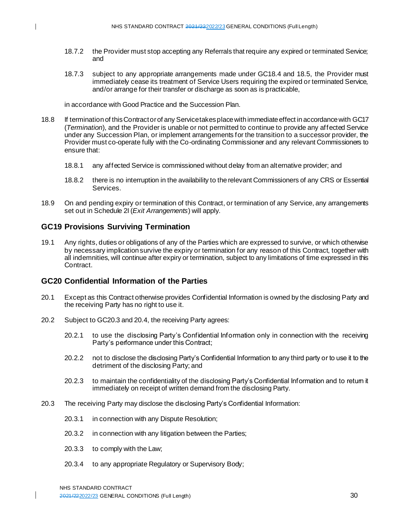- 18.7.2 the Provider must stop accepting any Referrals that require any expired or terminated Service; and
- 18.7.3 subject to any appropriate arrangements made under GC18.4 and 18.5, the Provider must immediately cease its treatment of Service Users requiring the expired or terminated Service, and/or arrange for their transfer or discharge as soon as is practicable,

in accordance with Good Practice and the Succession Plan.

- 18.8 If termination of this Contract or of any Service takes place with immediate effect in accordance with GC17 (*Termination*), and the Provider is unable or not permitted to continue to provide any affected Service under any Succession Plan, or implement arrangements for the transition to a successor provider, the Provider must co-operate fully with the Co-ordinating Commissioner and any relevant Commissioners to ensure that:
	- 18.8.1 any affected Service is commissioned without delay from an alternative provider; and
	- 18.8.2 there is no interruption in the availability to the relevant Commissioners of any CRS or Essential Services.
- 18.9 On and pending expiry or termination of this Contract, or termination of any Service, any arrangements set out in Schedule 2I (*Exit Arrangements*) will apply.

## **GC19 Provisions Surviving Termination**

19.1 Any rights, duties or obligations of any of the Parties which are expressed to survive, or which otherwise by necessary implication survive the expiry or termination for any reason of this Contract, together with all indemnities, will continue after expiry or termination, subject to any limitations of time expressed in this **Contract** 

## **GC20 Confidential Information of the Parties**

- 20.1 Except as this Contract otherwise provides Confidential Information is owned by the disclosing Party and the receiving Party has no right to use it.
- 20.2 Subject to GC20.3 and 20.4, the receiving Party agrees:
	- 20.2.1 to use the disclosing Party's Confidential Information only in connection with the receiving Party's performance under this Contract;
	- 20.2.2 not to disclose the disclosing Party's Confidential Information to any third party or to use it to the detriment of the disclosing Party; and
	- 20.2.3 to maintain the confidentiality of the disclosing Party's Confidential Information and to return it immediately on receipt of written demand from the disclosing Party.
- 20.3 The receiving Party may disclose the disclosing Party's Confidential Information:
	- 20.3.1 in connection with any Dispute Resolution;
	- 20.3.2 in connection with any litigation between the Parties;
	- 20.3.3 to comply with the Law;
	- 20.3.4 to any appropriate Regulatory or Supervisory Body;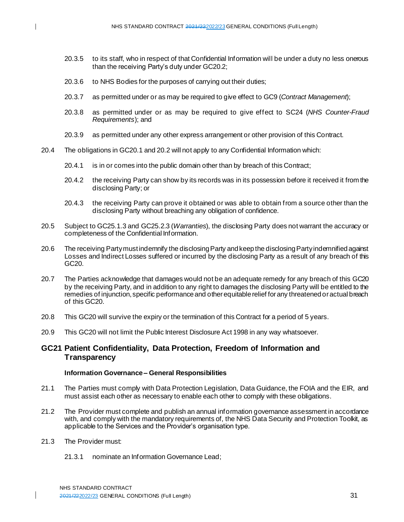- 20.3.5 to its staff, who in respect of that Confidential Information will be under a duty no less onerous than the receiving Party's duty under GC20.2;
- 20.3.6 to NHS Bodies for the purposes of carrying out their duties;
- 20.3.7 as permitted under or as may be required to give effect to GC9 (*Contract Management*);
- 20.3.8 as permitted under or as may be required to give effect to SC24 (*NHS Counter-Fraud Requirements*); and
- 20.3.9 as permitted under any other express arrangement or other provision of this Contract.
- 20.4 The obligations in GC20.1 and 20.2 will not apply to any Confidential Information which:
	- 20.4.1 is in or comes into the public domain other than by breach of this Contract;
	- 20.4.2 the receiving Party can show by its records was in its possession before it received it from the disclosing Party; or
	- 20.4.3 the receiving Party can prove it obtained or was able to obtain from a source other than the disclosing Party without breaching any obligation of confidence.
- 20.5 Subject to GC25.1.3 and GC25.2.3 (*Warranties*), the disclosing Party does not warrant the accuracy or completeness of the Confidential Information.
- 20.6 The receiving Party must indemnify the disclosing Party and keep the disclosing Party indemnified against Losses and Indirect Losses suffered or incurred by the disclosing Party as a result of any breach of this GC20.
- 20.7 The Parties acknowledge that damages would not be an adequate remedy for any breach of this GC20 by the receiving Party, and in addition to any right to damages the disclosing Party will be entitled to the remedies of injunction, specific performance and other equitable relief for any threatened or actual breach of this GC20.
- 20.8 This GC20 will survive the expiry or the termination of this Contract for a period of 5 years.
- 20.9 This GC20 will not limit the Public Interest Disclosure Act 1998 in any way whatsoever.

## **GC21 Patient Confidentiality, Data Protection, Freedom of Information and Transparency**

#### **Information Governance – General Responsibilities**

- 21.1 The Parties must comply with Data Protection Legislation, Data Guidance, the FOIA and the EIR, and must assist each other as necessary to enable each other to comply with these obligations.
- 21.2 The Provider must complete and publish an annual information governance assessment in accordance with, and comply with the mandatory requirements of, the NHS Data Security and Protection Toolkit, as applicable to the Services and the Provider's organisation type.
- 21.3 The Provider must:
	- 21.3.1 nominate an Information Governance Lead;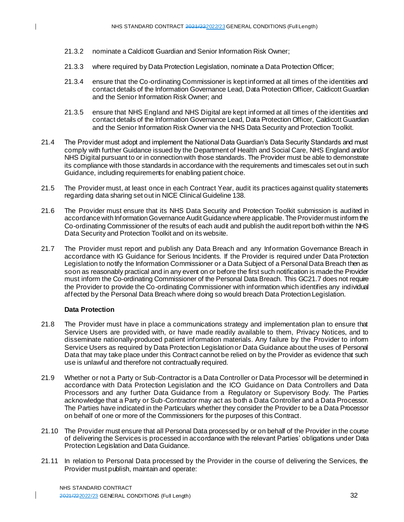- 21.3.2 nominate a Caldicott Guardian and Senior Information Risk Owner;
- 21.3.3 where required by Data Protection Legislation, nominate a Data Protection Officer;
- 21.3.4 ensure that the Co-ordinating Commissioner is kept informed at all times of the identities and contact details of the Information Governance Lead, Data Protection Officer, Caldicott Guardian and the Senior Information Risk Owner; and
- 21.3.5 ensure that NHS England and NHS Digital are kept informed at all times of the identities and contact details of the Information Governance Lead, Data Protection Officer, Caldicott Guardian and the Senior Information Risk Owner via the NHS Data Security and Protection Toolkit.
- 21.4 The Provider must adopt and implement the National Data Guardian's Data Security Standards and must comply with further Guidance issued by the Department of Health and Social Care, NHS England and/or NHS Digital pursuant to or in connection with those standards. The Provider must be able to demonstrate its compliance with those standards in accordance with the requirements and timescales set out in such Guidance, including requirements for enabling patient choice.
- 21.5 The Provider must, at least once in each Contract Year, audit its practices against quality statements regarding data sharing set out in NICE Clinical Guideline 138.
- 21.6 The Provider must ensure that its NHS Data Security and Protection Toolkit submission is audited in accordance with Information Governance Audit Guidance where applicable. The Provider must inform the Co-ordinating Commissioner of the results of each audit and publish the audit report both within the NHS Data Security and Protection Toolkit and on its website.
- 21.7 The Provider must report and publish any Data Breach and any Information Governance Breach in accordance with IG Guidance for Serious Incidents. If the Provider is required under Data Protection Legislation to notify the Information Commissioner or a Data Subject of a Personal Data Breach then as soon as reasonably practical and in any event on or before the first such notification is made the Provider must inform the Co-ordinating Commissioner of the Personal Data Breach. This GC21.7 does not require the Provider to provide the Co-ordinating Commissioner with information which identifies any individual affected by the Personal Data Breach where doing so would breach Data Protection Legislation.

#### **Data Protection**

- 21.8 The Provider must have in place a communications strategy and implementation plan to ensure that Service Users are provided with, or have made readily available to them, Privacy Notices, and to disseminate nationally-produced patient information materials. Any failure by the Provider to inform Service Users as required by Data Protection Legislation or Data Guidance about the uses of Personal Data that may take place under this Contract cannot be relied on by the Provider as evidence that such use is unlawful and therefore not contractually required.
- 21.9 Whether or not a Party or Sub-Contractor is a Data Controller or Data Processor will be determined in accordance with Data Protection Legislation and the ICO Guidance on Data Controllers and Data Processors and any further Data Guidance from a Regulatory or Supervisory Body. The Parties acknowledge that a Party or Sub-Contractor may act as both a Data Controller and a Data Processor. The Parties have indicated in the Particulars whether they consider the Provider to be a Data Processor on behalf of one or more of the Commissioners for the purposes of this Contract.
- 21.10 The Provider must ensure that all Personal Data processed by or on behalf of the Provider in the course of delivering the Services is processed in accordance with the relevant Parties' obligations under Data Protection Legislation and Data Guidance.
- 21.11 In relation to Personal Data processed by the Provider in the course of delivering the Services, the Provider must publish, maintain and operate: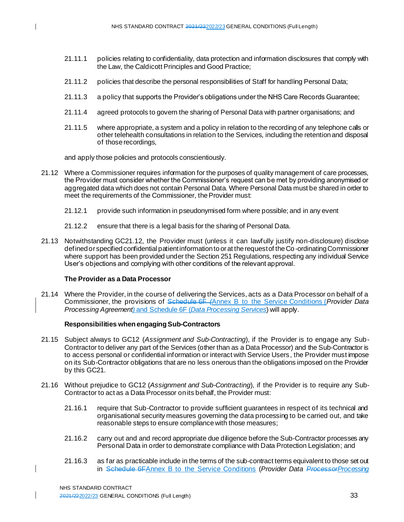- 21.11.1 policies relating to confidentiality, data protection and information disclosures that comply with the Law, the Caldicott Principles and Good Practice;
- 21.11.2 policies that describe the personal responsibilities of Staff for handling Personal Data;
- 21.11.3 a policy that supports the Provider's obligations under the NHS Care Records Guarantee;
- 21.11.4 agreed protocols to govern the sharing of Personal Data with partner organisations; and
- 21.11.5 where appropriate, a system and a policy in relation to the recording of any telephone calls or other telehealth consultations in relation to the Services, including the retention and disposal of those recordings,

and apply those policies and protocols conscientiously.

- 21.12 Where a Commissioner requires information for the purposes of quality management of care processes, the Provider must consider whether the Commissioner's request can be met by providing anonymised or aggregated data which does not contain Personal Data. Where Personal Data must be shared in order to meet the requirements of the Commissioner, the Provider must:
	- 21.12.1 provide such information in pseudonymised form where possible; and in any event
	- 21.12.2 ensure that there is a legal basis for the sharing of Personal Data.
- 21.13 Notwithstanding GC21.12, the Provider must (unless it can lawfully justify non-disclosure) disclose defined or specified confidential patient information to or at the request of the Co-ordinating Commissioner where support has been provided under the Section 251 Regulations, respecting any individual Service User's objections and complying with other conditions of the relevant approval.

#### **The Provider as a Data Processor**

21.14 Where the Provider, in the course of delivering the Services, acts as a Data Processor on behalf of a Commissioner, the provisions of Schedule 6F *(*Annex B to the Service Conditions (*Provider Data Processing Agreement)* and Schedule 6F (*Data Processing Services*) will apply.

#### **Responsibilities when engaging Sub-Contractors**

- 21.15 Subject always to GC12 (*Assignment and Sub-Contracting*), if the Provider is to engage any Sub-Contractor to deliver any part of the Services (other than as a Data Processor) and the Sub-Contractor is to access personal or confidential information or interact with Service Users, the Provider must impose on its Sub-Contractor obligations that are no less onerous than the obligations imposed on the Provider by this GC21.
- 21.16 Without prejudice to GC12 (*Assignment and Sub-Contracting*), if the Provider is to require any Sub-Contractor to act as a Data Processor on its behalf, the Provider must:
	- 21.16.1 require that Sub-Contractor to provide sufficient guarantees in respect of its technical and organisational security measures governing the data processing to be carried out, and take reasonable steps to ensure compliance with those measures;
	- 21.16.2 carry out and and record appropriate due diligence before the Sub-Contractor processes any Personal Data in order to demonstrate compliance with Data Protection Legislation; and
	- 21.16.3 as far as practicable include in the terms of the sub-contract terms equivalent to those set out in Schedule 6FAnnex B to the Service Conditions (*Provider Data ProcessorProcessing*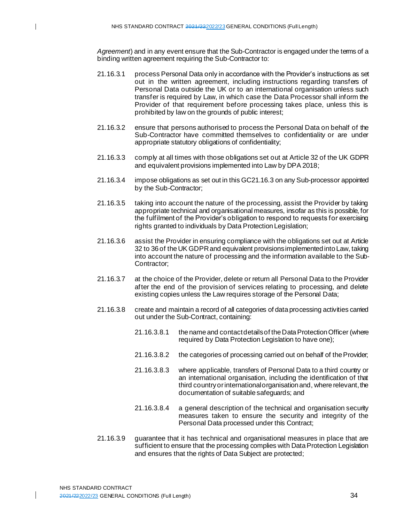*Agreement*) and in any event ensure that the Sub-Contractor is engaged under the terms of a binding written agreement requiring the Sub-Contractor to:

- 21.16.3.1 process Personal Data only in accordance with the Provider's instructions as set out in the written agreement, including instructions regarding transfers of Personal Data outside the UK or to an international organisation unless such transfer is required by Law, in which case the Data Processor shall inform the Provider of that requirement before processing takes place, unless this is prohibited by law on the grounds of public interest;
- 21.16.3.2 ensure that persons authorised to process the Personal Data on behalf of the Sub-Contractor have committed themselves to confidentiality or are under appropriate statutory obligations of confidentiality;
- 21.16.3.3 comply at all times with those obligations set out at Article 32 of the UK GDPR and equivalent provisions implemented into Law by DPA 2018;
- 21.16.3.4 impose obligations as set out in this GC21.16.3 on any Sub-processor appointed by the Sub-Contractor;
- 21.16.3.5 taking into account the nature of the processing, assist the Provider by taking appropriate technical and organisational measures, insofar as this is possible, for the fulfilment of the Provider's obligation to respond to requests for exercising rights granted to individuals by Data Protection Legislation;
- 21.16.3.6 assist the Provider in ensuring compliance with the obligations set out at Article 32 to 36 of the UK GDPR and equivalent provisions implemented into Law, taking into account the nature of processing and the information available to the Sub-Contractor;
- 21.16.3.7 at the choice of the Provider, delete or return all Personal Data to the Provider after the end of the provision of services relating to processing, and delete existing copies unless the Law requires storage of the Personal Data;
- 21.16.3.8 create and maintain a record of all categories of data processing activities carried out under the Sub-Contract, containing:
	- 21.16.3.8.1 the name and contact details of the Data Protection Officer (where required by Data Protection Legislation to have one);
	- 21.16.3.8.2 the categories of processing carried out on behalf of the Provider;
	- 21.16.3.8.3 where applicable, transfers of Personal Data to a third country or an international organisation, including the identification of that third country or international organisation and, where relevant, the documentation of suitable safeguards; and
	- 21.16.3.8.4 a general description of the technical and organisation security measures taken to ensure the security and integrity of the Personal Data processed under this Contract;
- 21.16.3.9 guarantee that it has technical and organisational measures in place that are sufficient to ensure that the processing complies with Data Protection Legislation and ensures that the rights of Data Subject are protected;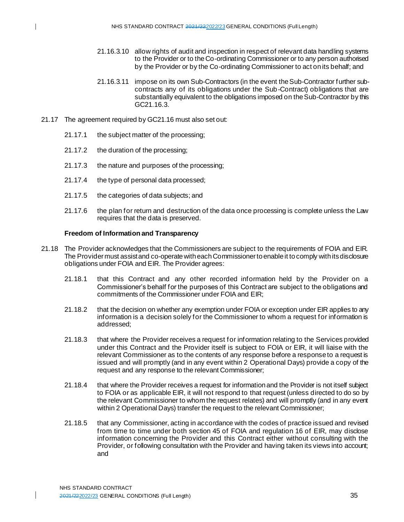- 21.16.3.10 allow rights of audit and inspection in respect of relevant data handling systems to the Provider or to the Co-ordinating Commissioner or to any person authorised by the Provider or by the Co-ordinating Commissioner to act on its behalf; and
- 21.16.3.11 impose on its own Sub-Contractors (in the event the Sub-Contractor further subcontracts any of its obligations under the Sub-Contract) obligations that are substantially equivalent to the obligations imposed on the Sub-Contractor by this GC21.16.3.
- 21.17 The agreement required by GC21.16 must also set out:
	- 21.17.1 the subject matter of the processing;
	- 21.17.2 the duration of the processing;
	- 21.17.3 the nature and purposes of the processing;
	- 21.17.4 the type of personal data processed;
	- 21.17.5 the categories of data subjects; and
	- 21.17.6 the plan for return and destruction of the data once processing is complete unless the Law requires that the data is preserved.

#### **Freedom of Information and Transparency**

- 21.18 The Provider acknowledges that the Commissioners are subject to the requirements of FOIA and EIR. The Provider must assist and co-operate with each Commissioner to enable it to comply with its disclosure obligations under FOIA and EIR. The Provider agrees:
	- 21.18.1 that this Contract and any other recorded information held by the Provider on a Commissioner's behalf for the purposes of this Contract are subject to the obligations and commitments of the Commissioner under FOIA and EIR;
	- 21.18.2 that the decision on whether any exemption under FOIA or exception under EIR applies to any information is a decision solely for the Commissioner to whom a request for information is addressed;
	- 21.18.3 that where the Provider receives a request for information relating to the Services provided under this Contract and the Provider itself is subject to FOIA or EIR, it will liaise with the relevant Commissioner as to the contents of any response before a response to a request is issued and will promptly (and in any event within 2 Operational Days) provide a copy of the request and any response to the relevant Commissioner;
	- 21.18.4 that where the Provider receives a request for information and the Provider is not itself subject to FOIA or as applicable EIR, it will not respond to that request (unless directed to do so by the relevant Commissioner to whom the request relates) and will promptly (and in any event within 2 Operational Days) transfer the request to the relevant Commissioner;
	- 21.18.5 that any Commissioner, acting in accordance with the codes of practice issued and revised from time to time under both section 45 of FOIA and regulation 16 of EIR, may disclose information concerning the Provider and this Contract either without consulting with the Provider, or following consultation with the Provider and having taken its views into account; and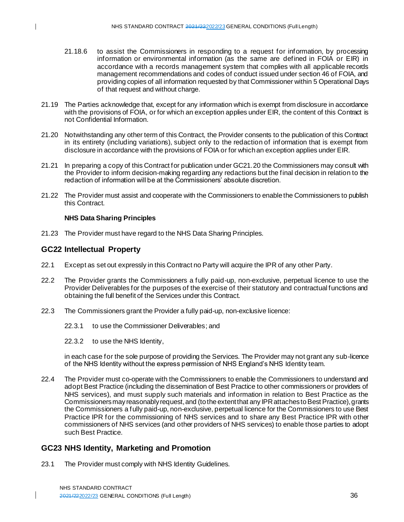- 21.18.6 to assist the Commissioners in responding to a request for information, by processing information or environmental information (as the same are defined in FOIA or EIR) in accordance with a records management system that complies with all applicable records management recommendations and codes of conduct issued under section 46 of FOIA, and providing copies of all information requested by that Commissioner within 5 Operational Days of that request and without charge.
- 21.19 The Parties acknowledge that, except for any information which is exempt from disclosure in accordance with the provisions of FOIA, or for which an exception applies under EIR, the content of this Contract is not Confidential Information.
- 21.20 Notwithstanding any other term of this Contract, the Provider consents to the publication of this Contract in its entirety (including variations), subject only to the redaction of information that is exempt from disclosure in accordance with the provisions of FOIA or for which an exception applies under EIR.
- 21.21 In preparing a copy of this Contract for publication under GC21.20 the Commissioners may consult with the Provider to inform decision-making regarding any redactions but the final decision in relation to the redaction of information will be at the Commissioners' absolute discretion.
- 21.22 The Provider must assist and cooperate with the Commissioners to enable the Commissioners to publish this Contract.

#### **NHS Data Sharing Principles**

21.23 The Provider must have regard to the NHS Data Sharing Principles.

## **GC22 Intellectual Property**

- 22.1 Except as set out expressly in this Contract no Party will acquire the IPR of any other Party.
- 22.2 The Provider grants the Commissioners a fully paid-up, non-exclusive, perpetual licence to use the Provider Deliverables for the purposes of the exercise of their statutory and contractual functions and obtaining the full benefit of the Services under this Contract.
- 22.3 The Commissioners grant the Provider a fully paid-up, non-exclusive licence:
	- 22.3.1 to use the Commissioner Deliverables; and
	- 22.3.2 to use the NHS Identity,

in each case for the sole purpose of providing the Services. The Provider may not grant any sub-licence of the NHS Identity without the express permission of NHS England's NHS Identity team.

22.4 The Provider must co-operate with the Commissioners to enable the Commissioners to understand and adopt Best Practice (including the dissemination of Best Practice to other commissioners or providers of NHS services), and must supply such materials and information in relation to Best Practice as the Commissioners may reasonably request, and (to the extent that any IPR attaches to Best Practice), grants the Commissioners a fully paid-up, non-exclusive, perpetual licence for the Commissioners to use Best Practice IPR for the commissioning of NHS services and to share any Best Practice IPR with other commissioners of NHS services (and other providers of NHS services) to enable those parties to adopt such Best Practice.

## **GC23 NHS Identity, Marketing and Promotion**

23.1 The Provider must comply with NHS Identity Guidelines.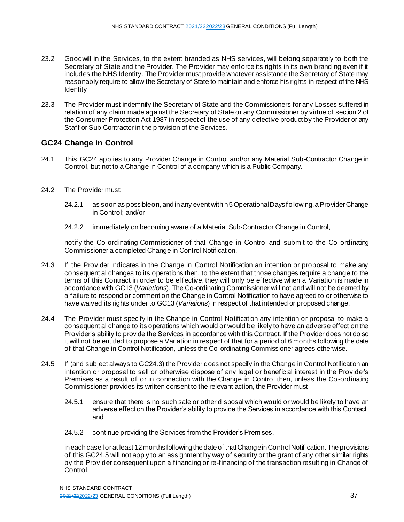- 23.2 Goodwill in the Services, to the extent branded as NHS services, will belong separately to both the Secretary of State and the Provider. The Provider may enforce its rights in its own branding even if it includes the NHS Identity. The Provider must provide whatever assistance the Secretary of State may reasonably require to allow the Secretary of State to maintain and enforce his rights in respect of the NHS Identity.
- 23.3 The Provider must indemnify the Secretary of State and the Commissioners for any Losses suffered in relation of any claim made against the Secretary of State or any Commissioner by virtue of section 2 of the Consumer Protection Act 1987 in respect of the use of any defective product by the Provider or any Staff or Sub-Contractor in the provision of the Services.

# **GC24 Change in Control**

- 24.1 This GC24 applies to any Provider Change in Control and/or any Material Sub-Contractor Change in Control, but not to a Change in Control of a company which is a Public Company.
- 24.2 The Provider must:
	- 24.2.1 as soon as possible on, and in any event within 5 Operational Days following, a Provider Change in Control; and/or
	- 24.2.2 immediately on becoming aware of a Material Sub-Contractor Change in Control,

notify the Co-ordinating Commissioner of that Change in Control and submit to the Co -ordinating Commissioner a completed Change in Control Notification.

- 24.3 If the Provider indicates in the Change in Control Notification an intention or proposal to make any consequential changes to its operations then, to the extent that those changes require a change to the terms of this Contract in order to be effective, they will only be effective when a Variation is made in accordance with GC13 (*Variations*). The Co-ordinating Commissioner will not and will not be deemed by a failure to respond or comment on the Change in Control Notification to have agreed to or otherwise to have waived its rights under to GC13 (*Variations*) in respect of that intended or proposed change.
- 24.4 The Provider must specify in the Change in Control Notification any intention or proposal to make a consequential change to its operations which would or would be likely to have an adverse effect on the Provider's ability to provide the Services in accordance with this Contract. If the Provider does not do so it will not be entitled to propose a Variation in respect of that for a period of 6 months following the date of that Change in Control Notification, unless the Co-ordinating Commissioner agrees otherwise.
- 24.5 If (and subject always to GC24.3) the Provider does not specify in the Change in Control Notification an intention or proposal to sell or otherwise dispose of any legal or beneficial interest in the Provider's Premises as a result of or in connection with the Change in Control then, unless the Co-ordinating Commissioner provides its written consent to the relevant action, the Provider must:
	- 24.5.1 ensure that there is no such sale or other disposal which would or would be likely to have an adverse effect on the Provider's ability to provide the Services in accordance with this Contract; and
	- 24.5.2 continue providing the Services from the Provider's Premises,

in each case for at least 12 months following the date of that Change in Control Notification. The provisions of this GC24.5 will not apply to an assignment by way of security or the grant of any other similar rights by the Provider consequent upon a financing or re-financing of the transaction resulting in Change of Control.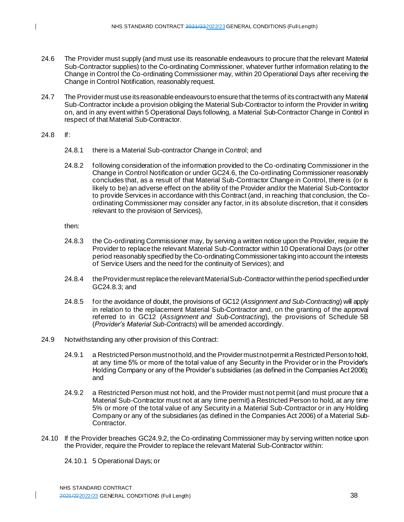- 24.6 The Provider must supply (and must use its reasonable endeavours to procure that the relevant Material Sub-Contractor supplies) to the Co-ordinating Commissioner, whatever further information relating to the Change in Control the Co-ordinating Commissioner may, within 20 Operational Days after receiving the Change in Control Notification, reasonably request.
- 24.7 The Provider must use its reasonable endeavours to ensure that the terms of its contract with any Material Sub-Contractor include a provision obliging the Material Sub-Contractor to inform the Provider in writing on, and in any event within 5 Operational Days following, a Material Sub-Contractor Change in Control in respect of that Material Sub-Contractor.
- 24.8 If:
	- 24.8.1 there is a Material Sub-contractor Change in Control; and
	- 24.8.2 following consideration of the information provided to the Co-ordinating Commissioner in the Change in Control Notification or under GC24.6, the Co-ordinating Commissioner reasonably concludes that, as a result of that Material Sub-Contractor Change in Control, there is (or is likely to be) an adverse effect on the ability of the Provider and/or the Material Sub-Contractor to provide Services in accordance with this Contract (and, in reaching that conclusion, the Coordinating Commissioner may consider any factor, in its absolute discretion, that it considers relevant to the provision of Services),

then:

- 24.8.3 the Co-ordinating Commissioner may, by serving a written notice upon the Provider, require the Provider to replace the relevant Material Sub-Contractor within 10 Operational Days (or other period reasonably specified by the Co-ordinating Commissioner taking into account the interests of Service Users and the need for the continuity of Services); and
- 24.8.4 the Provider must replace the relevant Material Sub-Contractorwithin the period specified under GC24.8.3; and
- 24.8.5 for the avoidance of doubt, the provisions of GC12 (*Assignment and Sub-Contracting*) will apply in relation to the replacement Material Sub-Contractor and, on the granting of the approval referred to in GC12 (*Assignment and Sub-Contracting*), the provisions of Schedule 5B (*Provider's Material Sub-Contracts*) will be amended accordingly.
- 24.9 Notwithstanding any other provision of this Contract:
	- 24.9.1 a Restricted Person must not hold, and the Provider must not permit a Restricted Person to hold, at any time 5% or more of the total value of any Security in the Provider or in the Provider's Holding Company or any of the Provider's subsidiaries (as defined in the Companies Act 2006); and
	- 24.9.2 a Restricted Person must not hold, and the Provider must not permit (and must procure that a Material Sub-Contractor must not at any time permit) a Restricted Person to hold, at any time 5% or more of the total value of any Security in a Material Sub-Contractor or in any Holding Company or any of the subsidiaries (as defined in the Companies Act 2006) of a Material Sub-Contractor.
- 24.10 If the Provider breaches GC24.9.2, the Co-ordinating Commissioner may by serving written notice upon the Provider, require the Provider to replace the relevant Material Sub-Contractor within:

24.10.1 5 Operational Days; or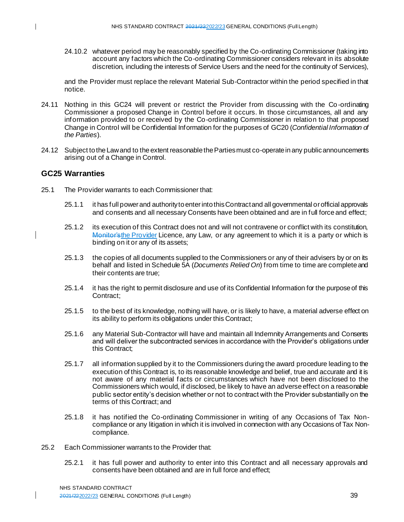24.10.2 whatever period may be reasonably specified by the Co-ordinating Commissioner (taking into account any factors which the Co-ordinating Commissioner considers relevant in its absolute discretion, including the interests of Service Users and the need for the continuity of Services),

and the Provider must replace the relevant Material Sub-Contractor within the period specified in that notice.

- 24.11 Nothing in this GC24 will prevent or restrict the Provider from discussing with the Co -ordinating Commissioner a proposed Change in Control before it occurs. In those circumstances, all and any information provided to or received by the Co-ordinating Commissioner in relation to that proposed Change in Control will be Confidential Information for the purposes of GC20 (*Confidential Information of the Parties*).
- 24.12 Subject to the Law and to the extent reasonable the Parties must co-operate in any public announcements arising out of a Change in Control.

## **GC25 Warranties**

- 25.1 The Provider warrants to each Commissioner that:
	- 25.1.1 it has full power and authority to enter into this Contract and all governmental or official approvals and consents and all necessary Consents have been obtained and are in full force and effect;
	- 25.1.2 its execution of this Contract does not and will not contravene or conflict with its constitution, Monitor's the Provider Licence, any Law, or any agreement to which it is a party or which is binding on it or any of its assets;
	- 25.1.3 the copies of all documents supplied to the Commissioners or any of their advisers by or on its behalf and listed in Schedule 5A (*Documents Relied On*) from time to time are complete and their contents are true;
	- 25.1.4 it has the right to permit disclosure and use of its Confidential Information for the purpose of this Contract;
	- 25.1.5 to the best of its knowledge, nothing will have, or is likely to have, a material adverse effect on its ability to perform its obligations under this Contract;
	- 25.1.6 any Material Sub-Contractor will have and maintain all Indemnity Arrangements and Consents and will deliver the subcontracted services in accordance with the Provider's obligations under this Contract;
	- 25.1.7 all information supplied by it to the Commissioners during the award procedure leading to the execution of this Contract is, to its reasonable knowledge and belief, true and accurate and it is not aware of any material f acts or circumstances which have not been disclosed to the Commissioners which would, if disclosed, be likely to have an adverse effect on a reasonable public sector entity's decision whether or not to contract with the Provider substantially on the terms of this Contract; and
	- 25.1.8 it has notified the Co-ordinating Commissioner in writing of any Occasions of Tax Noncompliance or any litigation in which it is involved in connection with any Occasions of Tax Noncompliance.
- 25.2 Each Commissioner warrants to the Provider that:
	- 25.2.1 it has full power and authority to enter into this Contract and all necessary approvals and consents have been obtained and are in full force and effect;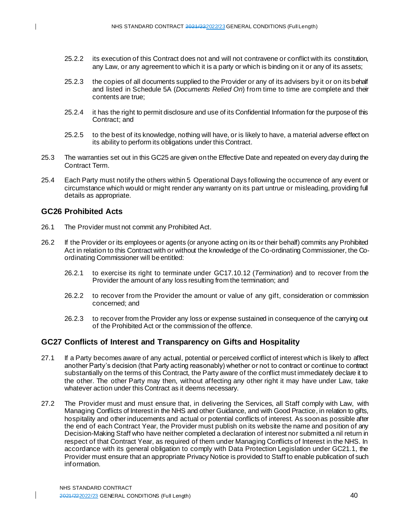- 25.2.2 its execution of this Contract does not and will not contravene or conflict with its constitution, any Law, or any agreement to which it is a party or which is binding on it or any of its assets;
- 25.2.3 the copies of all documents supplied to the Provider or any of its advisers by it or on its behalf and listed in Schedule 5A (*Documents Relied On*) from time to time are complete and their contents are true;
- 25.2.4 it has the right to permit disclosure and use of its Confidential Information for the purpose of this Contract; and
- 25.2.5 to the best of its knowledge, nothing will have, or is likely to have, a material adverse effect on its ability to perform its obligations under this Contract.
- 25.3 The warranties set out in this GC25 are given on the Effective Date and repeated on every day during the Contract Term.
- 25.4 Each Party must notify the others within 5 Operational Days following the occurrence of any event or circumstance which would or might render any warranty on its part untrue or misleading, providing full details as appropriate.

## **GC26 Prohibited Acts**

- 26.1 The Provider must not commit any Prohibited Act.
- 26.2 If the Provider or its employees or agents (or anyone acting on its or their behalf) commits any Prohibited Act in relation to this Contract with or without the knowledge of the Co-ordinating Commissioner, the Coordinating Commissioner will be entitled:
	- 26.2.1 to exercise its right to terminate under GC17.10.12 (*Termination*) and to recover from the Provider the amount of any loss resulting from the termination; and
	- 26.2.2 to recover from the Provider the amount or value of any gift, consideration or commission concerned; and
	- 26.2.3 to recover from the Provider any loss or expense sustained in consequence of the carrying out of the Prohibited Act or the commission of the offence.

## **GC27 Conflicts of Interest and Transparency on Gifts and Hospitality**

- 27.1 If a Party becomes aware of any actual, potential or perceived conflict of interest which is likely to affect another Party's decision (that Party acting reasonably) whether or not to contract or continue to contract substantially on the terms of this Contract, the Party aware of the conflict must immediately declare it to the other. The other Party may then, without affecting any other right it may have under Law, take whatever action under this Contract as it deems necessary.
- 27.2 The Provider must and must ensure that, in delivering the Services, all Staff comply with Law, with Managing Conflicts of Interest in the NHS and other Guidance, and with Good Practice, in relation to gifts, hospitality and other inducements and actual or potential conflicts of interest. As soon as possible after the end of each Contract Year, the Provider must publish on its website the name and position of any Decision-Making Staff who have neither completed a declaration of interest nor submitted a nil return in respect of that Contract Year, as required of them under Managing Conflicts of Interest in the NHS. In accordance with its general obligation to comply with Data Protection Legislation under GC21.1, the Provider must ensure that an appropriate Privacy Notice is provided to Staff to enable publication of such information.

 $\mathbf{I}$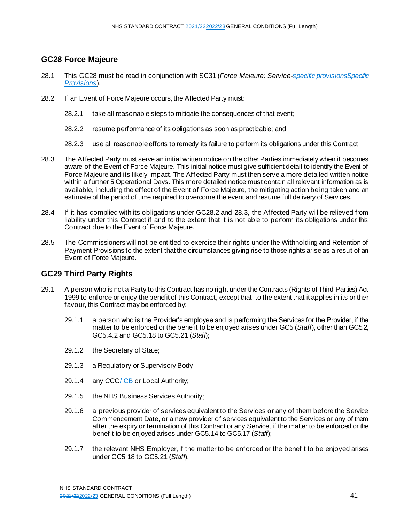# **GC28 Force Majeure**

- 28.1 This GC28 must be read in conjunction with SC31 (*Force Majeure: Service-specific provisionsSpecific Provisions*).
- 28.2 If an Event of Force Majeure occurs, the Affected Party must:
	- 28.2.1 take all reasonable steps to mitigate the consequences of that event;
	- 28.2.2 resume performance of its obligations as soon as practicable; and
	- 28.2.3 use all reasonable efforts to remedy its failure to perform its obligations under this Contract.
- 28.3 The Affected Party must serve an initial written notice on the other Parties immediately when it becomes aware of the Event of Force Majeure. This initial notice must give sufficient detail to identify the Event of Force Majeure and its likely impact. The Affected Party must then serve a more detailed written notice within a further 5 Operational Days. This more detailed notice must contain all relevant information as is available, including the effect of the Event of Force Majeure, the mitigating action being taken and an estimate of the period of time required to overcome the event and resume full delivery of Services.
- 28.4 If it has complied with its obligations under GC28.2 and 28.3, the Affected Party will be relieved from liability under this Contract if and to the extent that it is not able to perform its obligations under this Contract due to the Event of Force Majeure.
- 28.5 The Commissioners will not be entitled to exercise their rights under the Withholding and Retention of Payment Provisions to the extent that the circumstances giving rise to those rights arise as a result of an Event of Force Majeure.

# **GC29 Third Party Rights**

- 29.1 A person who is not a Party to this Contract has no right under the Contracts (Rights of Third Parties) Act 1999 to enforce or enjoy the benefit of this Contract, except that, to the extent that it applies in its or their favour, this Contract may be enforced by:
	- 29.1.1 a person who is the Provider's employee and is performing the Services for the Provider, if the matter to be enforced or the benefit to be enjoyed arises under GC5 (*Staff*), other than GC5.2, GC5.4.2 and GC5.18 to GC5.21 (*Staff*);
	- 29.1.2 the Secretary of State;
	- 29.1.3 a Regulatory or Supervisory Body
- 29.1.4 any CCG/ICB or Local Authority;
	- 29.1.5 the NHS Business Services Authority;
	- 29.1.6 a previous provider of services equivalent to the Services or any of them before the Service Commencement Date, or a new provider of services equivalent to the Services or any of them after the expiry or termination of this Contract or any Service, if the matter to be enforced or the benefit to be enjoyed arises under GC5.14 to GC5.17 (*Staff*);
	- 29.1.7 the relevant NHS Employer, if the matter to be enforced or the benefit to be enjoyed arises under GC5.18 to GC5.21 (*Staff*).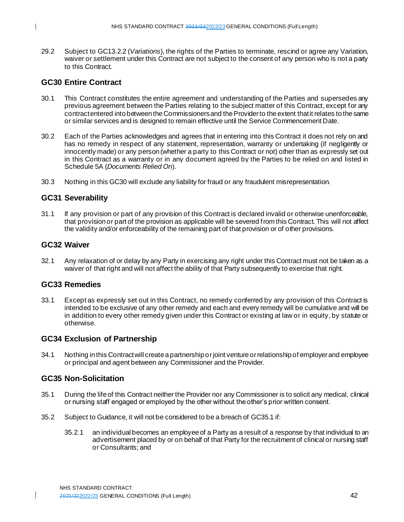29.2 Subject to GC13.2.2 (*Variations*), the rights of the Parties to terminate, rescind or agree any Variation, waiver or settlement under this Contract are not subject to the consent of any person who is not a party to this Contract.

## **GC30 Entire Contract**

 $\mathbf{I}$ 

- 30.1 This Contract constitutes the entire agreement and understanding of the Parties and supersedes any previous agreement between the Parties relating to the subject matter of this Contract, except for any contract entered into between the Commissioners and the Provider to the extent that it relates to the same or similar services and is designed to remain effective until the Service Commencement Date.
- 30.2 Each of the Parties acknowledges and agrees that in entering into this Contract it does not rely on and has no remedy in respect of any statement, representation, warranty or undertaking (if negligently or innocently made) or any person (whether a party to this Contract or not) other than as expressly set out in this Contract as a warranty or in any document agreed by the Parties to be relied on and listed in Schedule 5A (*Documents Relied On*).
- 30.3 Nothing in this GC30 will exclude any liability for fraud or any fraudulent misrepresentation.

# **GC31 Severability**

31.1 If any provision or part of any provision of this Contract is declared invalid or otherwise unenforceable, that provision or part of the provision as applicable will be severed from this Contract. This will not affect the validity and/or enforceability of the remaining part of that provision or of other provisions.

## **GC32 Waiver**

32.1 Any relaxation of or delay by any Party in exercising any right under this Contract must not be taken as a waiver of that right and will not affect the ability of that Party subsequently to exercise that right.

## **GC33 Remedies**

33.1 Except as expressly set out in this Contract, no remedy conferred by any provision of this Contract is intended to be exclusive of any other remedy and each and every remedy will be cumulative and will be in addition to every other remedy given under this Contract or existing at law or in equity, by statute or otherwise.

## **GC34 Exclusion of Partnership**

34.1 Nothing in this Contract will create a partnership or joint venture or relationship of employer and employee or principal and agent between any Commissioner and the Provider.

## **GC35 Non-Solicitation**

- 35.1 During the life of this Contract neither the Provider nor any Commissioner is to solicit any medical, clinical or nursing staff engaged or employed by the other without the other's prior written consent.
- 35.2 Subject to Guidance, it will not be considered to be a breach of GC35.1 if:
	- 35.2.1 an individual becomes an employee of a Party as a result of a response by that individual to an advertisement placed by or on behalf of that Party for the recruitment of clinical or nursing staff or Consultants; and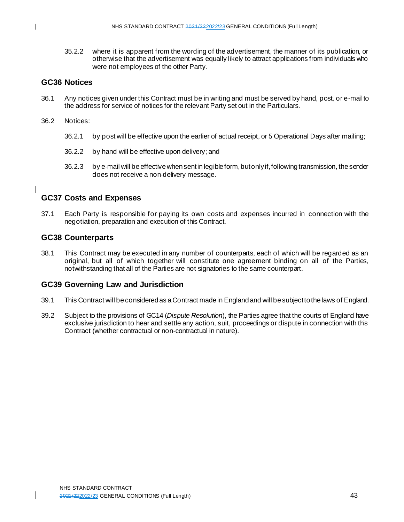35.2.2 where it is apparent from the wording of the advertisement, the manner of its publication, or otherwise that the advertisement was equally likely to attract applications from individuals who were not employees of the other Party.

## **GC36 Notices**

- 36.1 Any notices given under this Contract must be in writing and must be served by hand, post, or e-mail to the address for service of notices for the relevant Party set out in the Particulars.
- 36.2 Notices:
	- 36.2.1 by post will be effective upon the earlier of actual receipt, or 5 Operational Days after mailing;
	- 36.2.2 by hand will be effective upon delivery; and
	- 36.2.3 by e-mail will be effective when sent in legible form, but only if, following transmission, the sender does not receive a non-delivery message.

# **GC37 Costs and Expenses**

37.1 Each Party is responsible for paying its own costs and expenses incurred in connection with the negotiation, preparation and execution of this Contract.

## **GC38 Counterparts**

38.1 This Contract may be executed in any number of counterparts, each of which will be regarded as an original, but all of which together will constitute one agreement binding on all of the Parties, notwithstanding that all of the Parties are not signatories to the same counterpart.

## **GC39 Governing Law and Jurisdiction**

- 39.1 This Contract will be considered as a Contract made in England and will be subject to the laws of England.
- 39.2 Subject to the provisions of GC14 (*Dispute Resolution*), the Parties agree that the courts of England have exclusive jurisdiction to hear and settle any action, suit, proceedings or dispute in connection with this Contract (whether contractual or non-contractual in nature).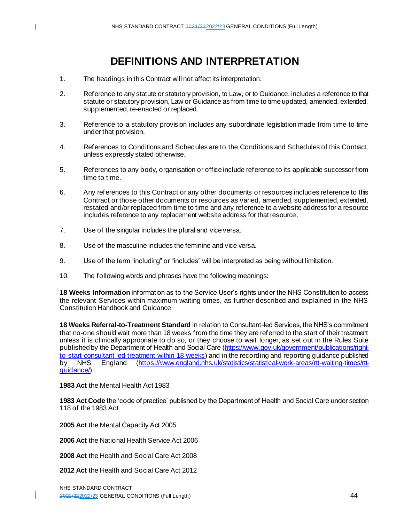# **DEFINITIONS AND INTERPRETATION**

- 1. The headings in this Contract will not affect its interpretation.
- 2. Reference to any statute or statutory provision, to Law, or to Guidance, includes a reference to that statute or statutory provision, Law or Guidance as from time to time updated, amended, extended, supplemented, re-enacted or replaced.
- 3. Reference to a statutory provision includes any subordinate legislation made from time to time under that provision.
- 4. References to Conditions and Schedules are to the Conditions and Schedules of this Contract, unless expressly stated otherwise.
- 5. References to any body, organisation or office include reference to its applicable successor from time to time.
- 6. Any references to this Contract or any other documents or resources includes reference to this Contract or those other documents or resources as varied, amended, supplemented, extended, restated and/or replaced from time to time and any reference to a website address for a resource includes reference to any replacement website address for that resource.
- 7. Use of the singular includes the plural and vice versa.
- 8. Use of the masculine includes the feminine and vice versa.
- 9. Use of the term "including" or "includes" will be interpreted as being without limitation.
- 10. The following words and phrases have the following meanings:

**18 Weeks Information** information as to the Service User's rights under the NHS Constitution to access the relevant Services within maximum waiting times, as further described and explained in the NHS Constitution Handbook and Guidance

**18 Weeks Referral-to-Treatment Standard** in relation to Consultant-led Services, the NHS's commitment that no-one should wait more than 18 weeks from the time they are referred to the start of their treatment unless it is clinically appropriate to do so, or they choose to wait longer, as set out in the Rules Suite published by the Department of Health and Social Care [\(https://www.gov.uk/government/publications/right](https://www.gov.uk/government/publications/right-to-start-consultant-led-treatment-within-18-weeks)[to-start-consultant-led-treatment-within-18-weeks](https://www.gov.uk/government/publications/right-to-start-consultant-led-treatment-within-18-weeks)) and in the recording and reporting guidance published<br>by NHS England (https://www.england.nhs.uk/statistics/statistical-work-areas/rtt-waiting-times/rtt-by NHS England [\(https://www.england.nhs.uk/statistics/statistical-work-areas/rtt-waiting-times/rtt](https://www.england.nhs.uk/statistics/statistical-work-areas/rtt-waiting-times/rtt-guidance/)[guidance/](https://www.england.nhs.uk/statistics/statistical-work-areas/rtt-waiting-times/rtt-guidance/))

#### **1983 Act** the Mental Health Act 1983

**1983 Act Code** the 'code of practice' published by the Department of Health and Social Care under section 118 of the 1983 Act

**2005 Act** the Mental Capacity Act 2005

**2006 Act** the National Health Service Act 2006

**2008 Act** the Health and Social Care Act 2008

**2012 Act** the Health and Social Care Act 2012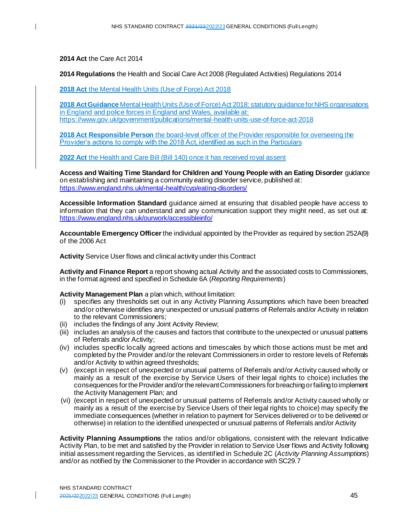**2014 Act** the Care Act 2014

**2014 Regulations** the Health and Social Care Act 2008 (Regulated Activities) Regulations 2014

**2018 Act** the Mental Health Units (Use of Force) Act 2018

**2018 Act Guidance** Mental Health Units (Use of Force) Act 2018: statutory guidance for NHS organisations in England and police forces in England and Wales, available at: <https://www.gov.uk/government/publications/mental-health-units-use-of-force-act-2018>

**2018 Act Responsible Person** the board-level officer of the Provider responsible for overseeing the Provider's actions to comply with the 2018 Act, identified as such in the Particulars

**2022 Act** the Health and Care Bill (Bill 140) once it has received royal assent

**Access and Waiting Time Standard for Children and Young People with an Eating Disorder** guidance on establishing and maintaining a community eating disorder service, published at: <https://www.england.nhs.uk/mental-health/cyp/eating-disorders/>

**Accessible Information Standard** guidance aimed at ensuring that disabled people have access to information that they can understand and any communication support they might need, as set out at: <https://www.england.nhs.uk/ourwork/accessibleinfo/>

**Accountable Emergency Officer**the individual appointed by the Provider as required by section 252A(9) of the 2006 Act

**Activity** Service User flows and clinical activity under this Contract

**Activity and Finance Report** a report showing actual Activity and the associated costs to Commissioners, in the format agreed and specified in Schedule 6A (*Reporting Requirements*)

**Activity Management Plan** a plan which, without limitation:

- (i) specifies any thresholds set out in any Activity Planning Assumptions which have been breached and/or otherwise identifies any unexpected or unusual patterns of Referrals and/or Activity in relation to the relevant Commissioners;
- (ii) includes the findings of any Joint Activity Review;
- (iii) includes an analysis of the causes and factors that contribute to the unexpected or unusual patterns of Referrals and/or Activity;
- (iv) includes specific locally agreed actions and timescales by which those actions must be met and completed by the Provider and/or the relevant Commissioners in order to restore levels of Referrals and/or Activity to within agreed thresholds;
- (v) (except in respect of unexpected or unusual patterns of Referrals and/or Activity caused wholly or mainly as a result of the exercise by Service Users of their legal rights to choice) includes the consequences for the Provider and/or the relevant Commissioners for breaching or failing to implement the Activity Management Plan; and
- (vi) (except in respect of unexpected or unusual patterns of Referrals and/or Activity caused wholly or mainly as a result of the exercise by Service Users of their legal rights to choice) may specify the immediate consequences (whether in relation to payment for Services delivered or to be delivered or otherwise) in relation to the identified unexpected or unusual patterns of Referrals and/or Activity

**Activity Planning Assumptions** the ratios and/or obligations, consistent with the relevant Indicative Activity Plan, to be met and satisfied by the Provider in relation to Service User flows and Activity following initial assessment regarding the Services, as identified in Schedule 2C (*Activity Planning Assumptions*) and/or as notified by the Commissioner to the Provider in accordance with SC29.7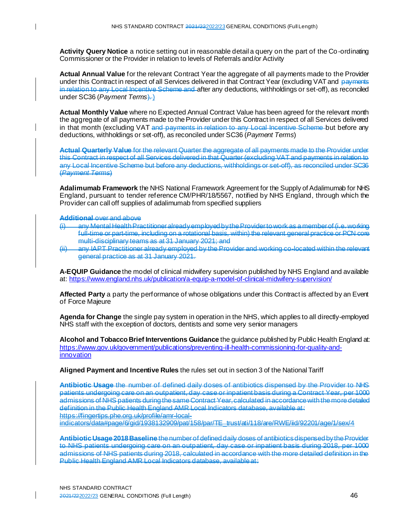**Activity Query Notice** a notice setting out in reasonable detail a query on the part of the Co-ordinating Commissioner or the Provider in relation to levels of Referrals and/or Activity

**Actual Annual Value** for the relevant Contract Year the aggregate of all payments made to the Provider under this Contract in respect of all Services delivered in that Contract Year (excluding VAT and payments in relation to any Local Incentive Scheme and after any deductions, withholdings or set-off), as reconciled under SC36 (*Payment Terms*).

**Actual Monthly Value** where no Expected Annual Contract Value has been agreed for the relevant month the aggregate of all payments made to the Provider under this Contract in respect of all Services delivered in that month (excluding VAT and payments in relation to any Local Incentive Scheme but before any deductions, withholdings or set-off), as reconciled under SC36 (*Payment Terms*)

**Actual Quarterly Value** for the relevant Quarter the aggregate of all payments made to the Provider under this Contract in respect of all Services delivered in that Quarter (excluding VAT and payments in relation to any Local Incentive Scheme but before any deductions, withholdings or set-off), as reconciled under SC36 (*Payment Terms*)

**Adalimumab Framework** the NHS National Framework Agreement for the Supply of Adalimumab for NHS England, pursuant to tender reference CM/PHR/18/5567, notified by NHS England, through which the Provider can call off supplies of adalimumab from specified suppliers

#### **Additional** over and above

 $\mathbf{I}$ 

- (i) any Mental Health Practitioner already employed by the Provider to work as a member of (i.e. working full-time or part-time, including on a rotational basis, within) the relevant general practice or PCN core multi-disciplinary teams as at 31 January 2021; and
- (ii) any IAPT Practitioner already employed by the Provider and working co-located within the relevant general practice as at 31 January 2021.

**A-EQUIP Guidance** the model of clinical midwifery supervision published by NHS England and available at: <https://www.england.nhs.uk/publication/a-equip-a-model-of-clinical-midwifery-supervision/>

**Affected Party** a party the performance of whose obligations under this Contract is affected by an Event of Force Majeure

**Agenda for Change** the single pay system in operation in the NHS, which applies to all directly-employed NHS staff with the exception of doctors, dentists and some very senior managers

**Alcohol and Tobacco Brief Interventions Guidance** the guidance published by Public Health England at: [https://www.gov.uk/government/publications/preventing-ill-health-commissioning-for-quality-and](https://www.gov.uk/government/publications/preventing-ill-health-commissioning-for-quality-and-innovation)[innovation](https://www.gov.uk/government/publications/preventing-ill-health-commissioning-for-quality-and-innovation)

**Aligned Payment and Incentive Rules** the rules set out in section 3 of the National Tariff

**Antibiotic Usage** the number of defined daily doses of antibiotics dispensed by the Provider to NHS patients undergoing care on an outpatient, day case or inpatient basis during a Contract Year, per 1000 admissions of NHS patients during the same Contract Year, calculated in accordance with the more detailed definition in the Public Health England AMR Local Indicators database, available at: https://fingertips.phe.org.uk/profile/amr-local-

indicators/data#page/6/gid/1938132909/pat/158/par/TE\_trust/ati/118/are/RWE/iid/92201/age/1/sex/4

**Antibiotic Usage 2018 Baseline** the number of defined daily doses of antibiotics dispensed by the Provider to NHS patients undergoing care on an outpatient, day case or inpatient basis during 2018, per 1000 admissions of NHS patients during 2018, calculated in accordance with the more detailed definition in the Public Health England AMR Local Indicators database, available at: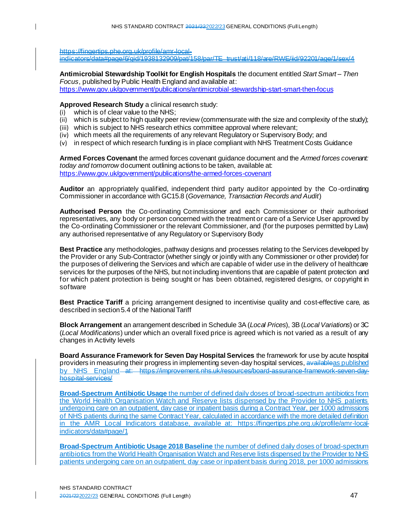https://fingertips.phe.org.uk/profile/amr-local-

 $\mathbf{I}$ 

indicators/data#page/6/gid/1938132909/pat/158/par/TE\_trust/ati/118/are/RWE/iid/92201/age/1/sex/4

**Antimicrobial Stewardship Toolkit for English Hospitals** the document entitled *Start Smart – Then Focus*, published by Public Health England and available at: <https://www.gov.uk/government/publications/antimicrobial-stewardship-start-smart-then-focus>

**Approved Research Study** a clinical research study:

- (i) which is of clear value to the NHS;
- (ii) which is subject to high quality peer review (commensurate with the size and complexity of the study);
- (iii) which is subject to NHS research ethics committee approval where relevant;
- (iv) which meets all the requirements of any relevant Regulatory or Supervisory Body; and
- (v) in respect of which research funding is in place compliant with NHS Treatment Costs Guidance

**Armed Forces Covenant** the armed forces covenant guidance document and the *Armed forces covenant: today and tomorrow* document outlining actions to be taken, available at: <https://www.gov.uk/government/publications/the-armed-forces-covenant>

**Auditor** an appropriately qualified, independent third party auditor appointed by the Co -ordinating Commissioner in accordance with GC15.8 (*Governance, Transaction Records and Audit*)

**Authorised Person** the Co-ordinating Commissioner and each Commissioner or their authorised representatives, any body or person concerned with the treatment or care of a Service User approved by the Co-ordinating Commissioner or the relevant Commissioner, and (for the purposes permitted by Law) any authorised representative of any Regulatory or Supervisory Body

**Best Practice** any methodologies, pathway designs and processes relating to the Services developed by the Provider or any Sub-Contractor (whether singly or jointly with any Commissioner or other provider) for the purposes of delivering the Services and which are capable of wider use in the delivery of healthcare services for the purposes of the NHS, but not including inventions that are capable of patent protection and for which patent protection is being sought or has been obtained, registered designs, or copyright in software

**Best Practice Tariff** a pricing arrangement designed to incentivise quality and cost-effective care, as described in section 5.4 of the National Tariff

**Block Arrangement** an arrangement described in Schedule 3A (*Local Prices*), 3B (*Local Variations*) or 3C (*Local Modifications*) under which an overall fixed price is agreed which is not varied as a result of any changes in Activity levels

**Board Assurance Framework for Seven Day Hospital Services** the framework for use by acute hospital providers in measuring their progress in implementing seven-day hospital services, availableas published by NHS England at: https://improvement.nhs.uk/resources/board-assurance-framework-seven-dayhospital-services/

**Broad-Spectrum Antibiotic Usage** the number of defined daily doses of broad-spectrum antibiotics from the World Health Organisation Watch and Reserve lists dispensed by the Provider to NHS patients undergoing care on an outpatient, day case or inpatient basis during a Contract Year, per 1000 admissions of NHS patients during the same Contract Year, calculated in accordance with the more detailed definition in the AMR Local Indicators database, available at: [https://fingertips.phe.org.uk/profile/amr-local](https://fingertips.phe.org.uk/profile/amr-local-indicators/data#page/1)[indicators/data#page/1](https://fingertips.phe.org.uk/profile/amr-local-indicators/data#page/1)

**Broad-Spectrum Antibiotic Usage 2018 Baseline** the number of defined daily doses of broad-spectrum antibiotics from the World Health Organisation Watch and Reserve lists dispensed by the Provider to NHS patients undergoing care on an outpatient, day case or inpatient basis during 2018, per 1000 admissions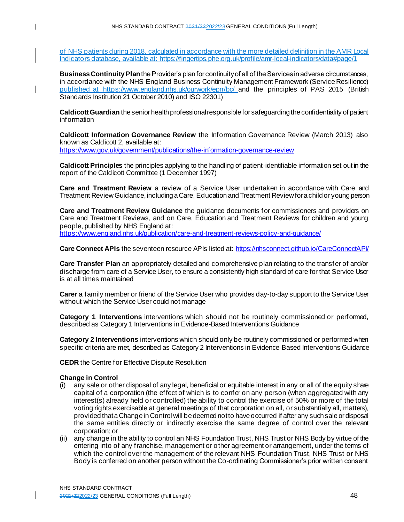of NHS patients during 2018, calculated in accordance with the more detailed definition in the AMR Local Indicators database, available at[: https://fingertips.phe.org.uk/profile/amr-local-indicators/data#page/1](https://fingertips.phe.org.uk/profile/amr-local-indicators/data#page/1)

**Business Continuity Plan** the Provider's plan for continuity of all of the Services in adverse circumstances, in accordance with the NHS England Business Continuity Management Framework (Service Resilience) published at <https://www.england.nhs.uk/ourwork/eprr/bc/> and the principles of PAS 2015 (British Standards Institution 21 October 2010) and ISO 22301)

**Caldicott Guardian** the senior health professional responsible for safeguarding the confidentiality of patient information

**Caldicott Information Governance Review** the Information Governance Review (March 2013) also known as Caldicott 2, available at:

<https://www.gov.uk/government/publications/the-information-governance-review>

**Caldicott Principles** the principles applying to the handling of patient-identifiable information set out in the report of the Caldicott Committee (1 December 1997)

**Care and Treatment Review** a review of a Service User undertaken in accordance with Care and Treatment Review Guidance, including a Care, Education and Treatment Review for a child or young person

**Care and Treatment Review Guidance** the guidance documents for commissioners and providers on Care and Treatment Reviews, and on Care, Education and Treatment Reviews for children and young people, published by NHS England at: <https://www.england.nhs.uk/publication/care-and-treatment-reviews-policy-and-guidance/>

**Care Connect APIs** the seventeen resource APIs listed at[: https://nhsconnect.github.io/CareConnectAPI/](https://nhsconnect.github.io/CareConnectAPI/)

**Care Transfer Plan** an appropriately detailed and comprehensive plan relating to the transfer of and/or discharge from care of a Service User, to ensure a consistently high standard of care for that Service User is at all times maintained

**Carer** a family member or friend of the Service User who provides day-to-day support to the Service User without which the Service User could not manage

**Category 1 Interventions** interventions which should not be routinely commissioned or performed, described as Category 1 Interventions in Evidence-Based Interventions Guidance

**Category 2 Interventions** interventions which should only be routinely commissioned or performed when specific criteria are met, described as Category 2 Interventions in Evidence-Based Interventions Guidance

**CEDR** the Centre for Effective Dispute Resolution

#### **Change in Control**

 $\mathbf{I}$ 

- (i) any sale or other disposal of any legal, beneficial or equitable interest in any or all of the equity share capital of a corporation (the effect of which is to confer on any person (when aggregated with any interest(s) already held or controlled) the ability to control the exercise of 50% or more of the total voting rights exercisable at general meetings of that corporation on all, or substantially all, matters), provided that a Change in Control will be deemed not to have occurred if after any such sale or disposal the same entities directly or indirectly exercise the same degree of control over the relevant corporation; or
- (ii) any change in the ability to control an NHS Foundation Trust, NHS Trust or NHS Body by virtue of the entering into of any franchise, management or other agreement or arrangement, under the terms of which the control over the management of the relevant NHS Foundation Trust, NHS Trust or NHS Body is conferred on another person without the Co-ordinating Commissioner's prior written consent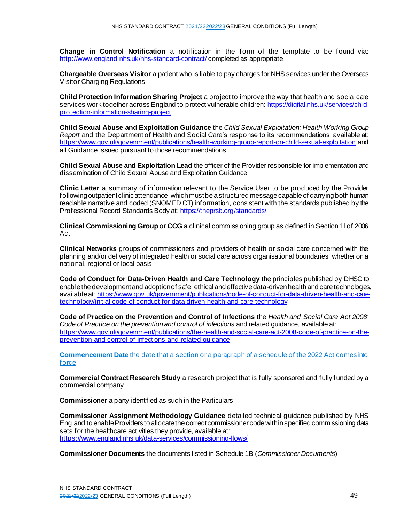$\mathbf{I}$ 

**Change in Control Notification** a notification in the form of the template to be found via: <http://www.england.nhs.uk/nhs-standard-contract/> completed as appropriate

**Chargeable Overseas Visitor** a patient who is liable to pay charges for NHS services under the Overseas Visitor Charging Regulations

**Child Protection Information Sharing Project** a project to improve the way that health and social care services work together across England to protect vulnerable children: [https://digital.nhs.uk/services/child](https://digital.nhs.uk/services/child-protection-information-sharing-project)[protection-information-sharing-project](https://digital.nhs.uk/services/child-protection-information-sharing-project)

**Child Sexual Abuse and Exploitation Guidance** the *Child Sexual Exploitation: Health Working Group Report* and the Department of Health and Social Care's response to its recommendations, available at: <https://www.gov.uk/government/publications/health-working-group-report-on-child-sexual-exploitation> and all Guidance issued pursuant to those recommendations

**Child Sexual Abuse and Exploitation Lead** the officer of the Provider responsible for implementation and dissemination of Child Sexual Abuse and Exploitation Guidance

**Clinic Letter** a summary of information relevant to the Service User to be produced by the Provider following outpatient clinic attendance, which must be a structured message capable of carrying both human readable narrative and coded (SNOMED CT) information, consistent with the standards published by the Professional Record Standards Body at: <https://theprsb.org/standards/>

**Clinical Commissioning Group** or **CCG** a clinical commissioning group as defined in Section 1l of 2006 Act

**Clinical Networks** groups of commissioners and providers of health or social care concerned with the planning and/or delivery of integrated health or social care across organisational boundaries, whether on a national, regional or local basis

**Code of Conduct for Data-Driven Health and Care Technology** the principles published by DHSC to enable the development and adoption of safe, ethical and effective data-driven health and care technologies, available at: [https://www.gov.uk/government/publications/code-of-conduct-for-data-driven-health-and-care](https://www.gov.uk/government/publications/code-of-conduct-for-data-driven-health-and-care-technology/initial-code-of-conduct-for-data-driven-health-and-care-technology)[technology/initial-code-of-conduct-for-data-driven-health-and-care-technology](https://www.gov.uk/government/publications/code-of-conduct-for-data-driven-health-and-care-technology/initial-code-of-conduct-for-data-driven-health-and-care-technology)

**Code of Practice on the Prevention and Control of Infections** the *Health and Social Care Act 2008: Code of Practice on the prevention and control of infections* and related guidance, available at: [https://www.gov.uk/government/publications/the-health-and-social-care-act-2008-code-of-practice-on-the](https://www.gov.uk/government/publications/the-health-and-social-care-act-2008-code-of-practice-on-the-prevention-and-control-of-infections-and-related-guidance)[prevention-and-control-of-infections-and-related-guidance](https://www.gov.uk/government/publications/the-health-and-social-care-act-2008-code-of-practice-on-the-prevention-and-control-of-infections-and-related-guidance)

**Commencement Date** the date that a section or a paragraph of a schedule of the 2022 Act comes into force

**Commercial Contract Research Study** a research project that is fully sponsored and fully funded by a commercial company

**Commissioner** a party identified as such in the Particulars

**Commissioner Assignment Methodology Guidance** detailed technical guidance published by NHS England to enable Providers to allocate the correct commissioner code withinspecified commissioning data sets for the healthcare activities they provide, available at: <https://www.england.nhs.uk/data-services/commissioning-flows/>

**Commissioner Documents** the documents listed in Schedule 1B (*Commissioner Documents*)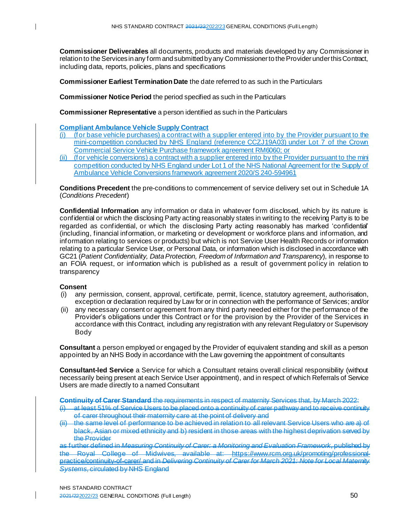**Commissioner Deliverables** all documents, products and materials developed by any Commissioner in relation to the Services in any form and submitted by any Commissioner to the Provider under this Contract, including data, reports, policies, plans and specifications

**Commissioner Earliest Termination Date** the date referred to as such in the Particulars

**Commissioner Notice Period** the period specified as such in the Particulars

**Commissioner Representative** a person identified as such in the Particulars

**Compliant Ambulance Vehicle Supply Contract**

- (i) (for base vehicle purchases) a contract with a supplier entered into by the Provider pursuant to the mini-competition conducted by NHS England (reference CCZJ19A03) under Lot 7 of the Crown Commercial Service Vehicle Purchase framework agreement RM6060; or
- (ii) (for vehicle conversions) a contract with a supplier entered into by the Provider pursuant to the mini competition conducted by NHS England under Lot 1 of the NHS National Agreement for the Supply of Ambulance Vehicle Conversions framework agreement 2020/S 240-594961

**Conditions Precedent** the pre-conditions to commencement of service delivery set out in Schedule 1A (*Conditions Precedent*)

**Confidential Information** any information or data in whatever form disclosed, which by its nature is confidential or which the disclosing Party acting reasonably states in writing to the receiving Party is to be regarded as confidential, or which the disclosing Party acting reasonably has marked 'confidential' (including, financial information, or marketing or development or workforce plans and information, and information relating to services or products) but which is not Service User Health Records or information relating to a particular Service User, or Personal Data, or information which is disclosed in accordance with GC21 (*Patient Confidentiality, Data Protection, Freedom of Information and Transparency*), in response to an FOIA request, or information which is published as a result of government policy in relation to transparency

#### **Consent**

- (i) any permission, consent, approval, certificate, permit, licence, statutory agreement, authorisation, exception or declaration required by Law for or in connection with the performance of Services; and/or
- (ii) any necessary consent or agreement from any third party needed either for the performance of the Provider's obligations under this Contract or for the provision by the Provider of the Services in accordance with this Contract, including any registration with any relevant Regulatory or Supervisory Body

**Consultant** a person employed or engaged by the Provider of equivalent standing and skill as a person appointed by an NHS Body in accordance with the Law governing the appointment of consultants

**Consultant-led Service** a Service for which a Consultant retains overall clinical responsibility (without necessarily being present at each Service User appointment), and in respect of which Referrals of Service Users are made directly to a named Consultant

**Continuity of Carer Standard** the requirements in respect of maternity Services that, by March 2022:

- (i) at least 51% of Service Users to be placed onto a continuity of carer pathway and to receive continuity of carer throughout their maternity care at the point of delivery and
- the same level of performance to be achieved in relation to all relevant Service Users who are a) of black, Asian or mixed ethnicity and b) resident in those areas with the highest deprivation served by the Provider

as further defined in *Measuring Continuity of Carer: a Monitoring and Evaluation Framework*, published by the Royal College of Midwives, available at: https://www.rcm.org.uk/promoting/professionalpractice/continuity-of-carer/ and in *Delivering Continuity of Carer for March 2021: Note for Local Maternity Systems*, circulated by NHS England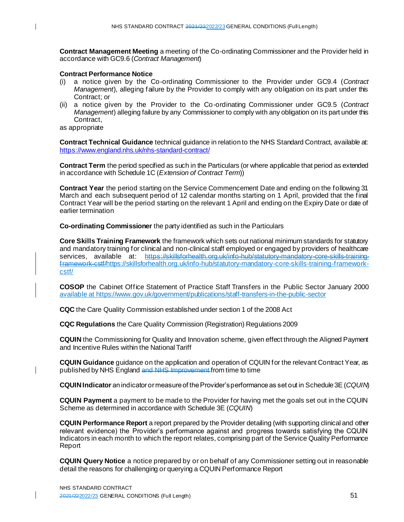**Contract Management Meeting** a meeting of the Co-ordinating Commissioner and the Provider held in accordance with GC9.6 (*Contract Management*)

#### **Contract Performance Notice**

- (i) a notice given by the Co-ordinating Commissioner to the Provider under GC9.4 (*Contract Management*), alleging failure by the Provider to comply with any obligation on its part under this Contract; or
- (ii) a notice given by the Provider to the Co-ordinating Commissioner under GC9.5 (*Contract Management*) alleging failure by any Commissioner to comply with any obligation on its part under this Contract,

as appropriate

**Contract Technical Guidance** technical guidance in relation to the NHS Standard Contract, available at: <https://www.england.nhs.uk/nhs-standard-contract/>

**Contract Term** the period specified as such in the Particulars (or where applicable that period as extended in accordance with Schedule 1C (*Extension of Contract Term*))

**Contract Year** the period starting on the Service Commencement Date and ending on the following 31 March and each subsequent period of 12 calendar months starting on 1 April, provided that the final Contract Year will be the period starting on the relevant 1 April and ending on the Expiry Date or date of earlier termination

**Co-ordinating Commissioner** the party identified as such in the Particulars

**Core Skills Training Framework** the framework which sets out national minimum standards for statutory and mandatory training for clinical and non-clinical staff employed or engaged by providers of healthcare services, available at: https://skillsforhealth.org.uk/info-hub/statutory-mandatory-core-skills-trainingframework-cst[f/https://skillsforhealth.org.uk/info-hub/statutory-mandatory-core-skills-training-framework](https://skillsforhealth.org.uk/info-hub/statutory-mandatory-core-skills-training-framework-cstf/)[cstf/](https://skillsforhealth.org.uk/info-hub/statutory-mandatory-core-skills-training-framework-cstf/)

**COSOP** the Cabinet Office Statement of Practice Staff Transfers in the Public Sector January 2000 available at https://www.gov.uk/government/publications/staff-transfers-in-the-public-sector

**CQC** the Care Quality Commission established under section 1 of the 2008 Act

**CQC Regulations** the Care Quality Commission (Registration) Regulations 2009

**CQUIN** the Commissioning for Quality and Innovation scheme, given effect through the Aligned Payment and Incentive Rules within the National Tariff

**CQUIN Guidance** guidance on the application and operation of CQUIN for the relevant Contract Year, as published by NHS England and NHS Improvement from time to time

**CQUIN Indicator** an indicator or measure of the Provider's performance as set out in Schedule 3E (*CQUIN*)

**CQUIN Payment** a payment to be made to the Provider for having met the goals set out in the CQUIN Scheme as determined in accordance with Schedule 3E (*CQUIN*)

**CQUIN Performance Report** a report prepared by the Provider detailing (with supporting clinical and other relevant evidence) the Provider's performance against and progress towards satisfying the CQUIN Indicators in each month to which the report relates, comprising part of the Service Quality Performance Report

**CQUIN Query Notice** a notice prepared by or on behalf of any Commissioner setting out in reasonable detail the reasons for challenging or querying a CQUIN Performance Report

 $\mathsf{l}$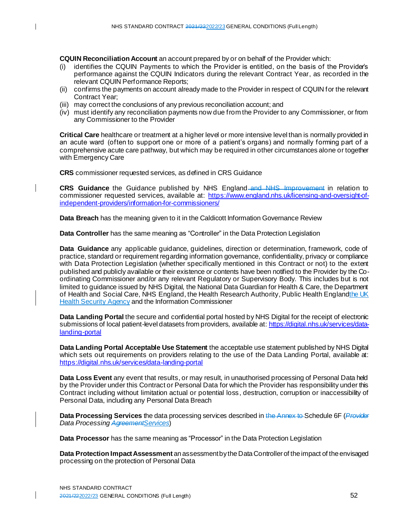**CQUIN Reconciliation Account** an account prepared by or on behalf of the Provider which:

- (i) identifies the CQUIN Payments to which the Provider is entitled, on the basis of the Provider's performance against the CQUIN Indicators during the relevant Contract Year, as recorded in the relevant CQUIN Performance Reports;
- (ii) confirms the payments on account already made to the Provider in respect of CQUIN for the relevant Contract Year;
- (iii) may correct the conclusions of any previous reconciliation account; and
- (iv) must identify any reconciliation payments now due from the Provider to any Commissioner, or from any Commissioner to the Provider

**Critical Care** healthcare or treatment at a higher level or more intensive level than is normally provided in an acute ward (often to support one or more of a patient's organs) and normally forming part of a comprehensive acute care pathway, but which may be required in other circumstances alone or together with Emergency Care

**CRS** commissioner requested services, as defined in CRS Guidance

**CRS Guidance** the Guidance published by NHS England and NHS Improvement in relation to commissioner requested services, available at: [https://www.england.nhs.uk/licensing-and-oversight-of](https://www.england.nhs.uk/licensing-and-oversight-of-independent-providers/information-for-commissioners/)[independent-providers/information-for-commissioners/](https://www.england.nhs.uk/licensing-and-oversight-of-independent-providers/information-for-commissioners/)

**Data Breach** has the meaning given to it in the Caldicott Information Governance Review

**Data Controller** has the same meaning as "Controller" in the Data Protection Legislation

**Data Guidance** any applicable guidance, guidelines, direction or determination, framework, code of practice, standard or requirement regarding information governance, confidentiality, privacy or compliance with Data Protection Legislation (whether specifically mentioned in this Contract or not) to the extent published and publicly available or their existence or contents have been notified to the Provider by the Coordinating Commissioner and/or any relevant Regulatory or Supervisory Body. This includes but is not limited to guidance issued by NHS Digital, the National Data Guardian for Health & Care, the Department of Health and Social Care, NHS England, the Health Research Authority, Public Health Englandthe UK Health Security Agency and the Information Commissioner

**Data Landing Portal** the secure and confidential portal hosted by NHS Digital for the receipt of electronic submissions of local patient-level datasets from providers, available at: [https://digital.nhs.uk/services/data](https://digital.nhs.uk/services/data-landing-portal)[landing-portal](https://digital.nhs.uk/services/data-landing-portal)

**Data Landing Portal Acceptable Use Statement** the acceptable use statement published by NHS Digital which sets out requirements on providers relating to the use of the Data Landing Portal, available at: <https://digital.nhs.uk/services/data-landing-portal>

**Data Loss Event** any event that results, or may result, in unauthorised processing of Personal Data held by the Provider under this Contract or Personal Data for which the Provider has responsibility under this Contract including without limitation actual or potential loss, destruction, corruption or inaccessibility of Personal Data, including any Personal Data Breach

**Data Processing Services** the data processing services described in the Annex to Schedule 6F (*Provider Data Processing AgreementServices*)

**Data Processor** has the same meaning as "Processor" in the Data Protection Legislation

**Data Protection Impact Assessment** an assessment by the Data Controller of the impact of the envisaged processing on the protection of Personal Data

 $\mathbf l$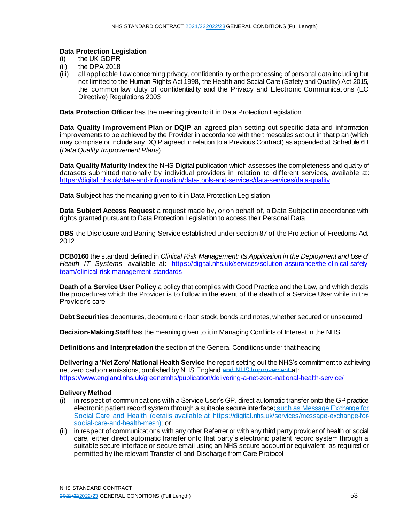#### **Data Protection Legislation**

- (i) the UK GDPR
- (ii) the DPA 2018
- (iii) all applicable Law concerning privacy, confidentiality or the processing of personal data including but not limited to the Human Rights Act 1998, the Health and Social Care (Safety and Quality) Act 2015, the common law duty of confidentiality and the Privacy and Electronic Communications (EC Directive) Regulations 2003

**Data Protection Officer** has the meaning given to it in Data Protection Legislation

**Data Quality Improvement Plan** or **DQIP** an agreed plan setting out specific data and information improvements to be achieved by the Provider in accordance with the timescales set out in that plan (which may comprise or include any DQIP agreed in relation to a Previous Contract) as appended at Schedule 6B (*Data Quality Improvement Plans*)

**Data Quality Maturity Index** the NHS Digital publication which assesses the completeness and quality of datasets submitted nationally by individual providers in relation to different services, available at: <https://digital.nhs.uk/data-and-information/data-tools-and-services/data-services/data-quality>

**Data Subject** has the meaning given to it in Data Protection Legislation

**Data Subject Access Request** a request made by, or on behalf of, a Data Subject in accordance with rights granted pursuant to Data Protection Legislation to access their Personal Data

**DBS** the Disclosure and Barring Service established under section 87 of the Protection of Freedoms Act 2012

**DCB0160** the standard defined in *Clinical Risk Management: its Application in the Deployment and Use of Health IT Systems*, available at: [https://digital.nhs.uk/services/solution-assurance/the-clinical-safety](https://digital.nhs.uk/services/solution-assurance/the-clinical-safety-team/clinical-risk-management-standards)[team/clinical-risk-management-standards](https://digital.nhs.uk/services/solution-assurance/the-clinical-safety-team/clinical-risk-management-standards)

**Death of a Service User Policy** a policy that complies with Good Practice and the Law, and which details the procedures which the Provider is to follow in the event of the death of a Service User while in the Provider's care

**Debt Securities** debentures, debenture or loan stock, bonds and notes, whether secured or unsecured

**Decision-Making Staff** has the meaning given to it in Managing Conflicts of Interest in the NHS

**Definitions and Interpretation** the section of the General Conditions under that heading

**Delivering a 'Net Zero' National Health Service** the report setting out the NHS's commitment to achieving net zero carbon emissions, published by NHS England and NHS Improvement at: <https://www.england.nhs.uk/greenernhs/publication/delivering-a-net-zero-national-health-service/>

## **Delivery Method**

- (i) in respect of communications with a Service User's GP, direct automatic transfer onto the GP practice electronic patient record system through a suitable secure interface; such as Message Exchange for Social Care and Health (details available at [https://digital.nhs.uk/services/message-exchange-for](https://digital.nhs.uk/services/message-exchange-for-social-care-and-health-mesh)[social-care-and-health-mesh](https://digital.nhs.uk/services/message-exchange-for-social-care-and-health-mesh)); or
- (ii) in respect of communications with any other Referrer or with any third party provider of health or social care, either direct automatic transfer onto that party's electronic patient record system through a suitable secure interface or secure email using an NHS secure account or equivalent, as required or permitted by the relevant Transfer of and Discharge from Care Protocol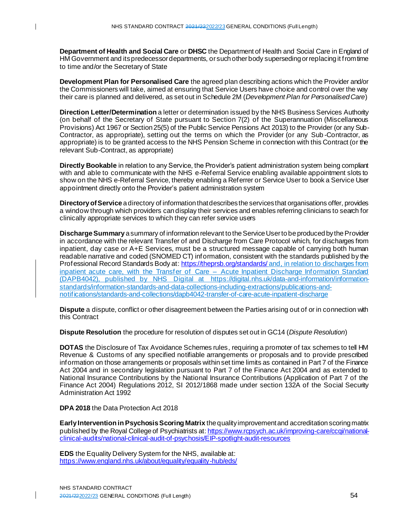**Department of Health and Social Care** or **DHSC** the Department of Health and Social Care in England of HM Government and its predecessor departments, or such other body superseding or replacing it from time to time and/or the Secretary of State

**Development Plan for Personalised Care** the agreed plan describing actions which the Provider and/or the Commissioners will take, aimed at ensuring that Service Users have choice and control over the way their care is planned and delivered, as set out in Schedule 2M (*Development Plan for Personalised Care*)

**Direction Letter/Determination** a letter or determination issued by the NHS Business Services Authority (on behalf of the Secretary of State pursuant to Section 7(2) of the Superannuation (Miscellaneous Provisions) Act 1967 or Section 25(5) of the Public Service Pensions Act 2013) to the Provider (or any Sub-Contractor, as appropriate), setting out the terms on which the Provider (or any Sub -Contractor, as appropriate) is to be granted access to the NHS Pension Scheme in connection with this Contract (or the relevant Sub-Contract, as appropriate)

**Directly Bookable** in relation to any Service, the Provider's patient administration system being compliant with and able to communicate with the NHS e-Referral Service enabling available appointment slots to show on the NHS e-Referral Service, thereby enabling a Referrer or Service User to book a Service User appointment directly onto the Provider's patient administration system

**Directory of Service** a directory of information that describes the services that organisations offer, provides a window through which providers can display their services and enables referring clinicians to search for clinically appropriate services to which they can refer service users

**Discharge Summary** a summary of information relevant to the Service User to be produced by the Provider in accordance with the relevant Transfer of and Discharge from Care Protocol which, for discharges from inpatient, day case or A+E Services, must be a structured message capable of carrying both human readable narrative and coded (SNOMED CT) information, consistent with the standards published by the Professional Record Standards Body at: <https://theprsb.org/standards/> and, in relation to discharges from inpatient acute care, with the Transfer of Care – Acute Inpatient Discharge Information Standard (DAPB4042), published by NHS Digital at [https://digital.nhs.uk/data-and-information/information](https://digital.nhs.uk/data-and-information/information-standards/information-standards-and-data-collections-including-extractions/publications-and-notifications/standards-and-collections/dapb4042-transfer-of-care-acute-inpatient-discharge)[standards/information-standards-and-data-collections-including-extractions/publications-and](https://digital.nhs.uk/data-and-information/information-standards/information-standards-and-data-collections-including-extractions/publications-and-notifications/standards-and-collections/dapb4042-transfer-of-care-acute-inpatient-discharge)[notifications/standards-and-collections/dapb4042-transfer-of-care-acute-inpatient-discharge](https://digital.nhs.uk/data-and-information/information-standards/information-standards-and-data-collections-including-extractions/publications-and-notifications/standards-and-collections/dapb4042-transfer-of-care-acute-inpatient-discharge)

**Dispute** a dispute, conflict or other disagreement between the Parties arising out of or in connection with this Contract

**Dispute Resolution** the procedure for resolution of disputes set out in GC14 (*Dispute Resolution*)

**DOTAS** the Disclosure of Tax Avoidance Schemes rules, requiring a promoter of tax schemes to tell HM Revenue & Customs of any specified notifiable arrangements or proposals and to provide prescribed information on those arrangements or proposals within set time limits as contained in Part 7 of the Finance Act 2004 and in secondary legislation pursuant to Part 7 of the Finance Act 2004 and as extended to National Insurance Contributions by the National Insurance Contributions (Application of Part 7 of the Finance Act 2004) Regulations 2012, SI 2012/1868 made under section 132A of the Social Security Administration Act 1992

**DPA 2018** the Data Protection Act 2018

**Early Intervention in Psychosis Scoring Matrix** the quality improvement and accreditation scoring matrix published by the Royal College of Psychiatrists at: [https://www.rcpsych.ac.uk/improving-care/ccqi/national](https://www.rcpsych.ac.uk/improving-care/ccqi/national-clinical-audits/national-clinical-audit-of-psychosis/EIP-spotlight-audit-resources)[clinical-audits/national-clinical-audit-of-psychosis/EIP-spotlight-audit-resources](https://www.rcpsych.ac.uk/improving-care/ccqi/national-clinical-audits/national-clinical-audit-of-psychosis/EIP-spotlight-audit-resources)

**EDS** the Equality Delivery System for the NHS, available at: <https://www.england.nhs.uk/about/equality/equality-hub/eds/>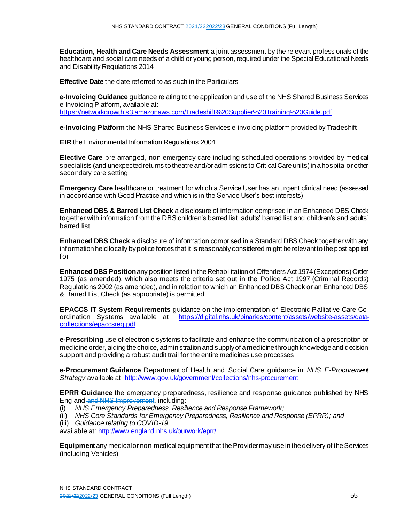**Education, Health and Care Needs Assessment** a joint assessment by the relevant professionals of the healthcare and social care needs of a child or young person, required under the Special Educational Needs and Disability Regulations 2014

**Effective Date** the date referred to as such in the Particulars

**e-Invoicing Guidance** guidance relating to the application and use of the NHS Shared Business Services e-Invoicing Platform, available at: <https://networkgrowth.s3.amazonaws.com/Tradeshift%20Supplier%20Training%20Guide.pdf>

**e-Invoicing Platform** the NHS Shared Business Services e-invoicing platform provided by Tradeshift

**EIR** the Environmental Information Regulations 2004

**Elective Care** pre-arranged, non-emergency care including scheduled operations provided by medical specialists (and unexpected returns to theatre and/or admissions to Critical Care units) in a hospital or other secondary care setting

**Emergency Care** healthcare or treatment for which a Service User has an urgent clinical need (assessed in accordance with Good Practice and which is in the Service User's best interests)

**Enhanced DBS & Barred List Check** a disclosure of information comprised in an Enhanced DBS Check together with information from the DBS children's barred list, adults' barred list and children's and adults' barred list

**Enhanced DBS Check** a disclosure of information comprised in a Standard DBS Check together with any information held locally by police forces that it is reasonably considered might be relevant to the post applied for

**Enhanced DBS Position** any position listed in the Rehabilitation of Offenders Act 1974 (Exceptions) Order 1975 (as amended), which also meets the criteria set out in the Police Act 1997 (Criminal Records) Regulations 2002 (as amended), and in relation to which an Enhanced DBS Check or an Enhanced DBS & Barred List Check (as appropriate) is permitted

**EPACCS IT System Requirements** guidance on the implementation of Electronic Palliative Care Coordination Systems available at: [https://digital.nhs.uk/binaries/content/assets/website-assets/data](https://digital.nhs.uk/binaries/content/assets/website-assets/data-collections/epaccsreq.pdf)[collections/epaccsreq.pdf](https://digital.nhs.uk/binaries/content/assets/website-assets/data-collections/epaccsreq.pdf)

**e-Prescribing** use of electronic systems to facilitate and enhance the communication of a prescription or medicine order, aiding the choice, administration and supply of a medicine through knowledge and decision support and providing a robust audit trail for the entire medicines use processes

**e-Procurement Guidance** Department of Health and Social Care guidance in *NHS E-Procurement Strategy* available at: <http://www.gov.uk/government/collections/nhs-procurement>

**EPRR Guidance** the emergency preparedness, resilience and response guidance published by NHS England and NHS Improvement, including:

- (i) *NHS Emergency Preparedness, Resilience and Response Framework;*
- (ii) *NHS Core Standards for Emergency Preparedness, Resilience and Response (EPRR); and*
- (iii) *Guidance relating to COVID-19*

available at: <http://www.england.nhs.uk/ourwork/eprr/>

**Equipment** any medical or non-medical equipment that the Provider may use in the delivery of the Services (including Vehicles)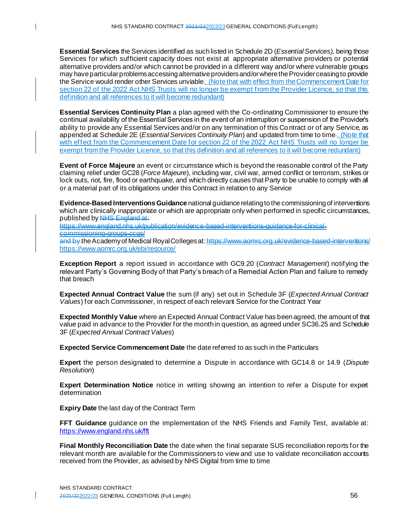**Essential Services** the Services identified as such listed in Schedule 2D (*Essential Services),* being those Services for which sufficient capacity does not exist at appropriate alternative providers or potential alternative providers and/or which cannot be provided in a different way and/or where vulnerable groups may have particular problems accessing alternative providers and/or where the Provider ceasing to provide the Service would render other Services unviable. (Note that with effect from the Commencement Date for section 22 of the 2022 Act NHS Trusts will no longer be exempt from the Provider Licence, so that this definition and all references to it will become redundant)

**Essential Services Continuity Plan** a plan agreed with the Co-ordinating Commissioner to ensure the continual availability of the Essential Services in the event of an interruption or suspension of the Provider's ability to provide any Essential Services and/or on any termination of this Co ntract or of any Service, as appended at Schedule 2E (*Essential Services Continuity Plan*) and updated from time to time . (Note that with effect from the Commencement Date for section 22 of the 2022 Act NHS Trusts will no longer be exempt from the Provider Licence, so that this definition and all references to it will become redundant)

**Event of Force Majeure** an event or circumstance which is beyond the reasonable control of the Party claiming relief under GC28 (*Force Majeure*), including war, civil war, armed conflict or terrorism, strikes or lock outs, riot, fire, flood or earthquake, and which directly causes that Party to be unable to comply with all or a material part of its obligations under this Contract in relation to any Service

**Evidence-Based Interventions Guidance** national guidance relating to the commissioning of interventions which are clinically inappropriate or which are appropriate only when performed in specific circumstances. published by NHS England at:

https://www.england.nhs.uk/publication/evidence-based-interventions-guidance-for-clinicalcommissioning-groups-ccgs/

and by the Academy of Medical Royal Colleges at: https://www.aomrc.org.uk/evidence-based-interventions/ https://www.aomrc.org.uk/ebi/resource/

**Exception Report** a report issued in accordance with GC9.20 (*Contract Management*) notifying the relevant Party's Governing Body of that Party's breach of a Remedial Action Plan and failure to remedy that breach

**Expected Annual Contract Value** the sum (if any) set out in Schedule 3F (*Expected Annual Contract Values*) for each Commissioner, in respect of each relevant Service for the Contract Year

**Expected Monthly Value** where an Expected Annual Contract Value has been agreed, the amount of that value paid in advance to the Provider for the month in question, as agreed under SC36.25 and Schedule 3F (*Expected Annual Contract Values*)

**Expected Service Commencement Date** the date referred to as such in the Particulars

**Expert** the person designated to determine a Dispute in accordance with GC14.8 or 14.9 (*Dispute Resolution*)

**Expert Determination Notice** notice in writing showing an intention to refer a Dispute for expert determination

**Expiry Date** the last day of the Contract Term

 $\mathbf{I}$ 

**FFT Guidance** guidance on the implementation of the NHS Friends and Family Test, available at: <https://www.england.nhs.uk/fft>

**Final Monthly Reconciliation Date** the date when the final separate SUS reconciliation reports for the relevant month are available for the Commissioners to view and use to validate reconciliation accounts received from the Provider, as advised by NHS Digital from time to time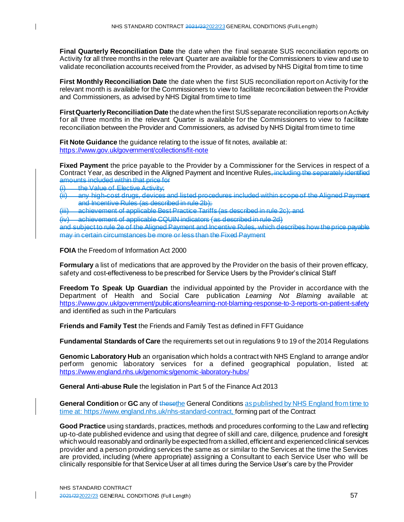**Final Quarterly Reconciliation Date** the date when the final separate SUS reconciliation reports on Activity for all three months in the relevant Quarter are available for the Commissioners to view and use to validate reconciliation accounts received from the Provider, as advised by NHS Digital from time to time

**First Monthly Reconciliation Date** the date when the first SUS reconciliation report on Activity for the relevant month is available for the Commissioners to view to facilitate reconciliation between the Provider and Commissioners, as advised by NHS Digital from time to time

**First Quarterly Reconciliation Date** the date when the first SUS separate reconciliation reports on Activity for all three months in the relevant Quarter is available for the Commissioners to view to facilitate reconciliation between the Provider and Commissioners, as advised by NHS Digital from time to time

**Fit Note Guidance** the guidance relating to the issue of fit notes, available at: <https://www.gov.uk/government/collections/fit-note>

**Fixed Payment** the price payable to the Provider by a Commissioner for the Services in respect of a Contract Year, as described in the Aligned Payment and Incentive Rules, including the separately identified amounts included within that price for

 $\begin{array}{ll} \text{(i)} & \text{the Value of} \end{array}$  Elective Activity;<br>(ii) any high-cost drugs, devices

(ii) any high-cost drugs, devices and listed procedures included within scope of the Aligned Payment and Incentive Rules (as described in rule 2b);

(iii) achievement of applicable Best Practice Tariffs (as described in rule 2c); and

(iv) achievement of applicable CQUIN indicators (as described in rule 2d)

and subject to rule 2e of the Aligned Payment and Incentive Rules, which describes how the price payable may in certain circumstances be more or less than the Fixed Payment

**FOIA** the Freedom of Information Act 2000

**Formulary** a list of medications that are approved by the Provider on the basis of their proven efficacy, safety and cost-effectiveness to be prescribed for Service Users by the Provider's clinical Staff

**Freedom To Speak Up Guardian** the individual appointed by the Provider in accordance with the Department of Health and Social Care publication *Learning Not Blaming* available at: <https://www.gov.uk/government/publications/learning-not-blaming-response-to-3-reports-on-patient-safety> and identified as such in the Particulars

**Friends and Family Test** the Friends and Family Test as defined in FFT Guidance

**Fundamental Standards of Care** the requirements set out in regulations 9 to 19 of the 2014 Regulations

**Genomic Laboratory Hub** an organisation which holds a contract with NHS England to arrange and/or perform genomic laboratory services for a defined geographical population, listed at: <https://www.england.nhs.uk/genomics/genomic-laboratory-hubs/>

**General Anti-abuse Rule** the legislation in Part 5 of the Finance Act 2013

**General Condition** or **GC** any of thesethe General Conditions as published by NHS England from time to time at[: https://www.england.nhs.uk/nhs-standard-contract](https://www.england.nhs.uk/nhs-standard-contract), forming part of the Contract

**Good Practice** using standards, practices, methods and procedures conforming to the Law and reflecting up-to-date published evidence and using that degree of skill and care, diligence, prudence and foresight which would reasonably and ordinarily be expected from a skilled, efficient and experienced clinical services provider and a person providing services the same as or similar to the Services at the time the Services are provided, including (where appropriate) assigning a Consultant to each Service User who will be clinically responsible for that Service User at all times during the Service User's care by the Provider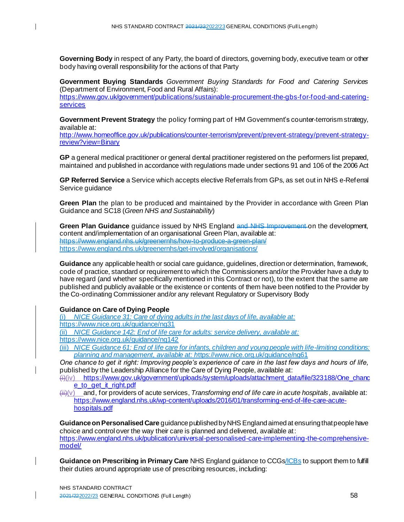**Governing Body** in respect of any Party, the board of directors, governing body, executive team or other body having overall responsibility for the actions of that Party

**Government Buying Standards** *Government Buying Standards for Food and Catering Services* (Department of Environment, Food and Rural Affairs):

[https://www.gov.uk/government/publications/sustainable-procurement-the-gbs-for-food-and-catering](https://www.gov.uk/government/publications/sustainable-procurement-the-gbs-for-food-and-catering-services)**[services](https://www.gov.uk/government/publications/sustainable-procurement-the-gbs-for-food-and-catering-services)** 

**Government Prevent Strategy** the policy forming part of HM Government's counter-terrorism strategy, available at:

[http://www.homeoffice.gov.uk/publications/counter-terrorism/prevent/prevent-strategy/prevent-strategy](http://www.homeoffice.gov.uk/publications/counter-terrorism/prevent/prevent-strategy/prevent-strategy-review?view=Binary)[review?view=Binary](http://www.homeoffice.gov.uk/publications/counter-terrorism/prevent/prevent-strategy/prevent-strategy-review?view=Binary)

**GP** a general medical practitioner or general dental practitioner registered on the performers list prepared, maintained and published in accordance with regulations made under sections 91 and 106 of the 2006 Act

**GP Referred Service** a Service which accepts elective Referrals from GPs, as set out in NHS e-Referral Service guidance

**Green Plan** the plan to be produced and maintained by the Provider in accordance with Green Plan Guidance and SC18 (*Green NHS and Sustainability*)

**Green Plan Guidance** guidance issued by NHS England and NHS Improvement on the development. content and/implementation of an organisational Green Plan, available at: https://www.england.nhs.uk/greenernhs/how-to-produce-a-green-plan/ <https://www.england.nhs.uk/greenernhs/get-involved/organisations/>

**Guidance** any applicable health or social care guidance, guidelines, direction or determination, framework, code of practice, standard or requirement to which the Commissioners and/or the Provider have a duty to have regard (and whether specifically mentioned in this Contract or not), to the extent that the same are published and publicly available or the existence or contents of them have been notified to the Provider by the Co-ordinating Commissioner and/or any relevant Regulatory or Supervisory Body

## **Guidance on Care of Dying People**

 $\mathbf{I}$ 

(i) *NICE Guidance 31: Care of dying adults in the last days of life, available at:* https://www.nice.org.uk/guidance/ng31

(ii) *NICE Guidance 142: End of life care for adults: service delivery, available at:* https://www.nice.org.uk/guidance/ng142

(iii) *NICE Guidance 61: End of life care for infants, children and young people with life-limiting conditions: planning and management, available at: h*ttps://www.nice.org.uk/guidance/ng61

*One chance to get it right: Improving people's experience of care in the last few days and hours of life,*  published by the Leadership Alliance for the Care of Dying People, available at:

(i)(iv) [https://www.gov.uk/government/uploads/system/uploads/attachment\\_data/file/323188/One\\_chanc](https://www.gov.uk/government/uploads/system/uploads/attachment_data/file/323188/One_chance_to_get_it_right.pdf) e to get it right.pdf

(ii)(v) and, for providers of acute services, *Transforming end of life care in acute hospitals*, available at: [https://www.england.nhs.uk/wp-content/uploads/2016/01/transforming-end-of-life-care-acute](https://www.england.nhs.uk/wp-content/uploads/2016/01/transforming-end-of-life-care-acute-hospitals.pdf)[hospitals.pdf](https://www.england.nhs.uk/wp-content/uploads/2016/01/transforming-end-of-life-care-acute-hospitals.pdf)

**Guidance on Personalised Care** guidance published by NHS England aimed at ensuring that people have choice and control over the way their care is planned and delivered, available at: [https://www.england.nhs.uk/publication/universal-personalised-care-implementing-the-comprehensive](https://www.england.nhs.uk/publication/universal-personalised-care-implementing-the-comprehensive-model/)[model/](https://www.england.nhs.uk/publication/universal-personalised-care-implementing-the-comprehensive-model/)

**Guidance on Prescribing in Primary Care** NHS England guidance to CCGs/ICBs to support them to fulfill their duties around appropriate use of prescribing resources, including: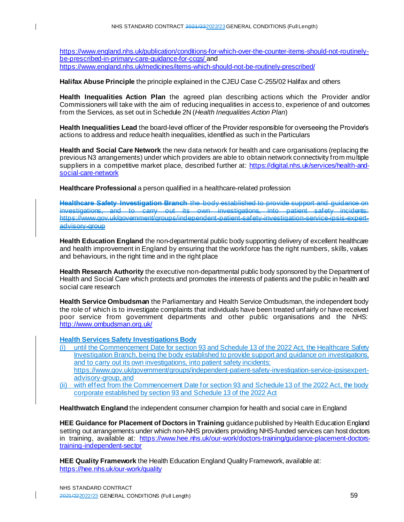[https://www.england.nhs.uk/publication/conditions-for-which-over-the-counter-items-should-not-routinely](https://www.england.nhs.uk/publication/conditions-for-which-over-the-counter-items-should-not-routinely-be-prescribed-in-primary-care-guidance-for-ccgs/)[be-prescribed-in-primary-care-guidance-for-ccgs/](https://www.england.nhs.uk/publication/conditions-for-which-over-the-counter-items-should-not-routinely-be-prescribed-in-primary-care-guidance-for-ccgs/) and <https://www.england.nhs.uk/medicines/items-which-should-not-be-routinely-prescribed/>

**Halifax Abuse Principle** the principle explained in the CJEU Case C-255/02 Halifax and others

**Health Inequalities Action Plan** the agreed plan describing actions which the Provider and/or Commissioners will take with the aim of reducing inequalities in access to, experience of and outcomes from the Services, as set out in Schedule 2N (*Health Inequalities Action Plan*)

**Health Inequalities Lead** the board-level officer of the Provider responsible for overseeing the Provider's actions to address and reduce health inequalities, identified as such in the Particulars

**Health and Social Care Network** the new data network for health and care organisations (replacing the previous N3 arrangements) under which providers are able to obtain network connectivity from multiple suppliers in a competitive market place, described further at: [https://digital.nhs.uk/services/health-and](https://digital.nhs.uk/services/health-and-social-care-network)[social-care-network](https://digital.nhs.uk/services/health-and-social-care-network)

**Healthcare Professional** a person qualified in a healthcare-related profession

**Healthcare Safety Investigation Branch** the body established to provide support and guidance on investigations, and to carry out its own investigations, into patient safety incidents: https://www.gov.uk/government/groups/independent-patient-safety-investigation-service-ipsis-expertadvisory-group

**Health Education England** the non-departmental public body supporting delivery of excellent healthcare and health improvement in England by ensuring that the workforce has the right numbers, skills, values and behaviours, in the right time and in the right place

**Health Research Authority** the executive non-departmental public body sponsored by the Department of Health and Social Care which protects and promotes the interests of patients and the public in health and social care research

**Health Service Ombudsman** the Parliamentary and Health Service Ombudsman, the independent body the role of which is to investigate complaints that individuals have been treated unfairly or have received poor service from government departments and other public organisations and the NHS: <http://www.ombudsman.org.uk/>

**Health Services Safety Investigations Body**

- (i) until the Commencement Date for section 93 and Schedule 13 of the 2022 Act, the Healthcare Safety Investigation Branch, being the body established to provide support and guidance on investigations, and to carry out its own investigations, into patient safety incidents: https://www.gov.uk/government/groups/independent-patient-safety-investigation-service-ipsisexpert-
- advisory-group, and (ii) with effect from the Commencement Date for section 93 and Schedule 13 of the 2022 Act, the body corporate established by section 93 and Schedule 13 of the 2022 Act

**Healthwatch England** the independent consumer champion for health and social care in England

**HEE Guidance for Placement of Doctors in Training** guidance published by Health Education England setting out arrangements under which non-NHS providers providing NHS-funded services can host doctors in training, available at: [https://www.hee.nhs.uk/our-work/doctors-training/guidance-placement-doctors](https://www.hee.nhs.uk/our-work/doctors-training/guidance-placement-doctors-training-independent-sector)[training-independent-sector](https://www.hee.nhs.uk/our-work/doctors-training/guidance-placement-doctors-training-independent-sector)

**HEE Quality Framework** the Health Education England Quality Framework, available at: <https://hee.nhs.uk/our-work/quality>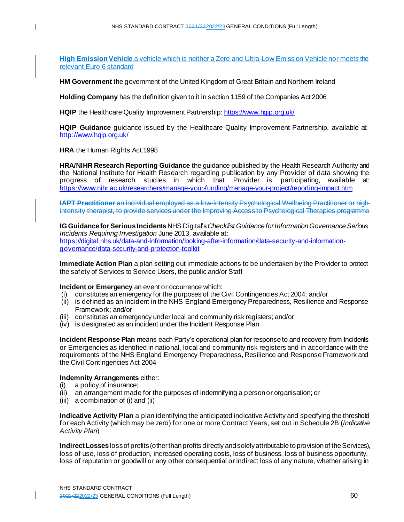**High Emission Vehicle** a vehicle which is neither a Zero and Ultra-Low Emission Vehicle nor meets the relevant Euro 6 standard

**HM Government** the government of the United Kingdom of Great Britain and Northern Ireland

**Holding Company** has the definition given to it in section 1159 of the Companies Act 2006

HQIP the Healthcare Quality Improvement Partnership[: https://www.hqip.org.uk/](https://www.hqip.org.uk/)

**HQIP Guidance** guidance issued by the Healthcare Quality Improvement Partnership, available at: <http://www.hqip.org.uk/>

**HRA** the Human Rights Act 1998

 $\mathbf{I}$ 

**HRA/NIHR Research Reporting Guidance** the guidance published by the Health Research Authority and the National Institute for Health Research regarding publication by any Provider of data showing the progress of research studies in which that Provider is participating, available at: <https://www.nihr.ac.uk/researchers/manage-your-funding/manage-your-project/reporting-impact.htm>

**IAPT Practitioner** an individual employed as a low-intensity Psychological Wellbeing Practitioner or highintensity therapist, to provide services under the Improving Access to Psychological Therapies programme

**IG Guidance for Serious Incidents** NHS Digital's *Checklist Guidance for Information Governance Serious Incidents Requiring Investigation* June 2013, available at: [https://digital.nhs.uk/data-and-information/looking-after-information/data-security-and-information](https://digital.nhs.uk/data-and-information/looking-after-information/data-security-and-information-governance/data-security-and-protection-toolkit)[governance/data-security-and-protection-toolkit](https://digital.nhs.uk/data-and-information/looking-after-information/data-security-and-information-governance/data-security-and-protection-toolkit)

**Immediate Action Plan** a plan setting out immediate actions to be undertaken by the Provider to protect the safety of Services to Service Users, the public and/or Staff

#### **Incident or Emergency** an event or occurrence which:

- (i) constitutes an emergency for the purposes of the Civil Contingencies Act 2004; and/or
- (ii) is defined as an incident in the NHS England Emergency Preparedness, Resilience and Response Framework; and/or
- (iii) constitutes an emergency under local and community risk registers; and/or
- (iv) is designated as an incident under the Incident Response Plan

**Incident Response Plan** means each Party's operational plan for response to and recovery from Incidents or Emergencies as identified in national, local and community risk registers and in accordance with the requirements of the NHS England Emergency Preparedness, Resilience and Response Framework and the Civil Contingencies Act 2004

#### **Indemnity Arrangements** either:

- (i) a policy of insurance;
- (ii) an arrangement made for the purposes of indemnifying a person or organisation; or
- (iii) a combination of (i) and (ii)

**Indicative Activity Plan** a plan identifying the anticipated indicative Activity and specifying the threshold for each Activity (which may be zero) for one or more Contract Years, set out in Schedule 2B (*Indicative Activity Plan*)

**Indirect Losses** loss of profits (other than profits directly and solely attributable to provision of the Services), loss of use, loss of production, increased operating costs, loss of business, loss of business opportunity, loss of reputation or goodwill or any other consequential or indirect loss of any nature, whether arising in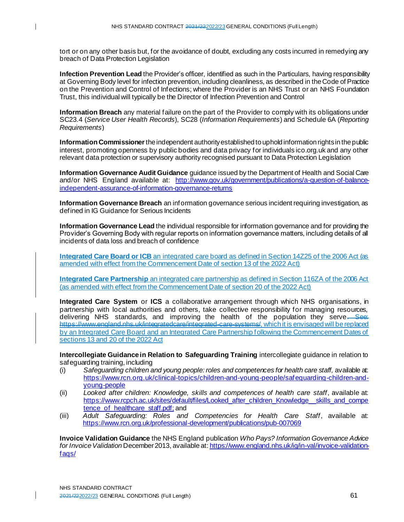tort or on any other basis but, for the avoidance of doubt, excluding any costs incurred in remedying any breach of Data Protection Legislation

**Infection Prevention Lead** the Provider's officer, identified as such in the Particulars, having responsibility at Governing Body level for infection prevention, including cleanliness, as described in the Code of Practice on the Prevention and Control of Infections; where the Provider is an NHS Trust or an NHS Foundation Trust, this individual will typically be the Director of Infection Prevention and Control

**Information Breach** any material failure on the part of the Provider to comply with its obligations under SC23.4 (*Service User Health Records*), SC28 (*Information Requirements*) and Schedule 6A (*Reporting Requirements*)

**Information Commissioner**the independent authority established to uphold information rights in the public interest, promoting openness by public bodies and data privacy for individuals ico.org.uk and any other relevant data protection or supervisory authority recognised pursuant to Data Protection Legislation

**Information Governance Audit Guidance** guidance issued by the Department of Health and Social Care and/or NHS England available at: [http://www.gov.uk/government/publications/a-question-of-balance](http://www.gov.uk/government/publications/a-question-of-balance-independent-assurance-of-information-governance-returns)[independent-assurance-of-information-governance-returns](http://www.gov.uk/government/publications/a-question-of-balance-independent-assurance-of-information-governance-returns)

**Information Governance Breach** an information governance serious incident requiring investigation, as defined in IG Guidance for Serious Incidents

**Information Governance Lead** the individual responsible for information governance and for providing the Provider's Governing Body with regular reports on information governance matters, including details of all incidents of data loss and breach of confidence

**Integrated Care Board or ICB** an integrated care board as defined in Section 14Z25 of the 2006 Act (as amended with effect from the Commencement Date of section 13 of the 2022 Act)

**Integrated Care Partnership** an integrated care partnership as defined in Section 116ZA of the 2006 Act (as amended with effect from the Commencement Date of section 20 of the 2022 Act)

**Integrated Care System** or **ICS** a collaborative arrangement through which NHS organisations, in partnership with local authorities and others, take collective responsibility for managing resources, delivering NHS standards, and improving the health of the population they serve. See: https://www.england.nhs.uk/integratedcare/integrated-care-systems/, which it is envisaged will be replaced by an Integrated Care Board and an Integrated Care Partnership following the Commencement Dates of sections 13 and 20 of the 2022 Act

**Intercollegiate Guidance in Relation to Safeguarding Training** intercollegiate guidance in relation to safeguarding training, including

- (i) *Safeguarding children and young people: roles and competences for health care staff,* available at: [https://www.rcn.org.uk/clinical-topics/children-and-young-people/safeguarding-children-and](https://www.rcn.org.uk/clinical-topics/children-and-young-people/safeguarding-children-and-young-people)[young-people](https://www.rcn.org.uk/clinical-topics/children-and-young-people/safeguarding-children-and-young-people)
- (ii) *Looked after children: Knowledge, skills and competences of health care staff*, available at: https://www.rcpch.ac.uk/sites/default/files/Looked after children Knowledge skills and compe tence of healthcare staff.pdf; and
- (iii) *Adult Safeguarding: Roles and Competencies for Health Care Staff*, available at: <https://www.rcn.org.uk/professional-development/publications/pub-007069>

**Invoice Validation Guidance** the NHS England publication *Who Pays? Information Governance Advice for Invoice Validation* December 2013, available at: [https://www.england.nhs.uk/ig/in-val/invoice-validation](https://www.england.nhs.uk/ig/in-val/invoice-validation-faqs/)[faqs/](https://www.england.nhs.uk/ig/in-val/invoice-validation-faqs/)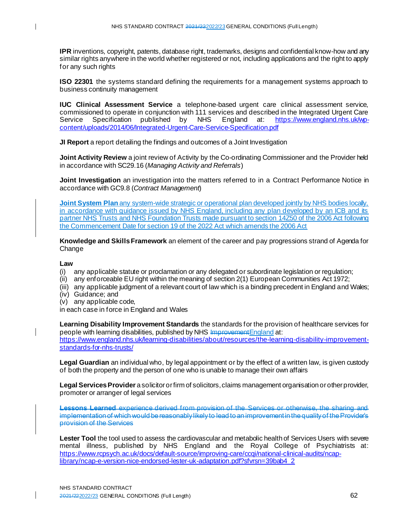**IPR** inventions, copyright, patents, database right, trademarks, designs and confidential know-how and any similar rights anywhere in the world whether registered or not, including applications and the right to apply for any such rights

**ISO 22301** the systems standard defining the requirements for a management systems approach to business continuity management

**IUC Clinical Assessment Service** a telephone-based urgent care clinical assessment service, commissioned to operate in conjunction with 111 services and described in the Integrated Urgent Care<br>Service Specification published by NHS England at: https://www.england.nhs.uk/wp-Service Specification published by NHS England at: [content/uploads/2014/06/Integrated-Urgent-Care-Service-Specification.pdf](https://www.england.nhs.uk/wp-content/uploads/2014/06/Integrated-Urgent-Care-Service-Specification.pdf)

**JI Report** a report detailing the findings and outcomes of a Joint Investigation

**Joint Activity Review** a joint review of Activity by the Co-ordinating Commissioner and the Provider held in accordance with SC29.16 (*Managing Activity and Referrals*)

**Joint Investigation** an investigation into the matters referred to in a Contract Performance Notice in accordance with GC9.8 (*Contract Management*)

**Joint System Plan** any system-wide strategic or operational plan developed jointly by NHS bodies locally, in accordance with guidance issued by NHS England, including any plan developed by an ICB and its partner NHS Trusts and NHS Foundation Trusts made pursuant to section 14Z50 of the 2006 Act following the Commencement Date for section 19 of the 2022 Act which amends the 2006 Act

**Knowledge and Skills Framework** an element of the career and pay progressions strand of Agenda for Change

#### **Law**

 $\mathbf{I}$ 

- (i) any applicable statute or proclamation or any delegated or subordinate legislation or regulation;
- (ii) any enforceable EU right within the meaning of section 2(1) European Communities Act 1972;
- (iii) any applicable judgment of a relevant court of law which is a binding precedent in England and Wales;
- (iv) Guidance; and
- (v) any applicable code,

in each case in force in England and Wales

**Learning Disability Improvement Standards** the standards for the provision of healthcare services for people with learning disabilities, published by NHS Improvement England at: https://www.england.nhs.uk/learning-disabilities/about/resources/the-learning-disability-improvementstandards-for-nhs-trusts/

**Legal Guardian** an individual who, by legal appointment or by the effect of a written law, is given custody of both the property and the person of one who is unable to manage their own affairs

**Legal Services Provider** a solicitor or firm of solicitors, claims management organisation or other provider, promoter or arranger of legal services

**Lessons Learned** experience derived from provision of the Services or otherwise, the sharing and implementation of which would be reasonably likely to lead to an improvement in the quality of the Provider's provision of the Services

Lester Tool the tool used to assess the cardiovascular and metabolic health of Services Users with severe mental illness, published by NHS England and the Royal College of Psychiatrists at: [https://www.rcpsych.ac.uk/docs/default-source/improving-care/ccqi/national-clinical-audits/ncap](https://www.rcpsych.ac.uk/docs/default-source/improving-care/ccqi/national-clinical-audits/ncap-library/ncap-e-version-nice-endorsed-lester-uk-adaptation.pdf?sfvrsn=39bab4_2)[library/ncap-e-version-nice-endorsed-lester-uk-adaptation.pdf?sfvrsn=39bab4\\_2](https://www.rcpsych.ac.uk/docs/default-source/improving-care/ccqi/national-clinical-audits/ncap-library/ncap-e-version-nice-endorsed-lester-uk-adaptation.pdf?sfvrsn=39bab4_2)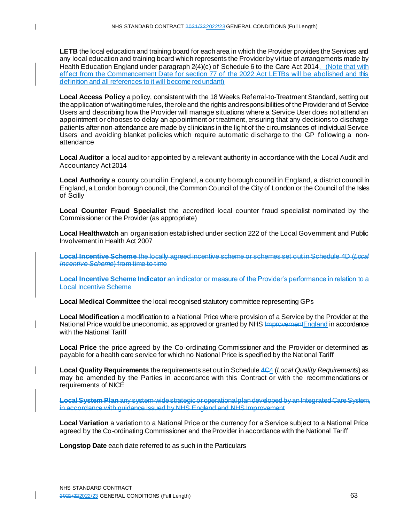$\mathbf{I}$ 

**LETB** the local education and training board for each area in which the Provider provides the Services and any local education and training board which represents the Provider by virtue of arrangements made by Health Education England under paragraph 2(4)(c) of Schedule 6 to the Care Act 2014. (Note that with effect from the Commencement Date for section 77 of the 2022 Act LETBs will be abolished and this definition and all references to it will become redundant)

**Local Access Policy** a policy, consistent with the 18 Weeks Referral-to-Treatment Standard, setting out the application of waiting time rules, the role and the rights and responsibilities of the Provider and of Service Users and describing how the Provider will manage situations where a Service User does not attend an appointment or chooses to delay an appointment or treatment, ensuring that any decisions to discharge patients after non-attendance are made by clinicians in the light of the circumstances of individual Service Users and avoiding blanket policies which require automatic discharge to the GP following a nonattendance

**Local Auditor** a local auditor appointed by a relevant authority in accordance with the Local Audit and Accountancy Act 2014

**Local Authority** a county council in England, a county borough council in England, a district council in England, a London borough council, the Common Council of the City of London or the Council of the Isles of Scilly

**Local Counter Fraud Specialist** the accredited local counter fraud specialist nominated by the Commissioner or the Provider (as appropriate)

**Local Healthwatch** an organisation established under section 222 of the Local Government and Public Involvement in Health Act 2007

**Local Incentive Scheme** the locally agreed incentive scheme or schemes set out in Schedule 4D (*Local Incentive Scheme*) from time to time

**Local Incentive Scheme Indicator** an indicator or measure of the Provider's performance in relation to a Local Incentive Scheme

**Local Medical Committee** the local recognised statutory committee representing GPs

**Local Modification** a modification to a National Price where provision of a Service by the Provider at the National Price would be uneconomic, as approved or granted by NHS Improvement England in accordance with the National Tariff

**Local Price** the price agreed by the Co-ordinating Commissioner and the Provider or determined as payable for a health care service for which no National Price is specified by the National Tariff

**Local Quality Requirements** the requirements set out in Schedule 4C4 (*Local Quality Requirements*) as may be amended by the Parties in accordance with this Contract or with the recommendations or requirements of NICE

**Local System Plan** any system-wide strategic or operational plan developed by an Integrated Care System, in accordance with guidance issued by NHS England and NHS Improvement

**Local Variation** a variation to a National Price or the currency for a Service subject to a National Price agreed by the Co-ordinating Commissioner and the Provider in accordance with the National Tariff

**Longstop Date** each date referred to as such in the Particulars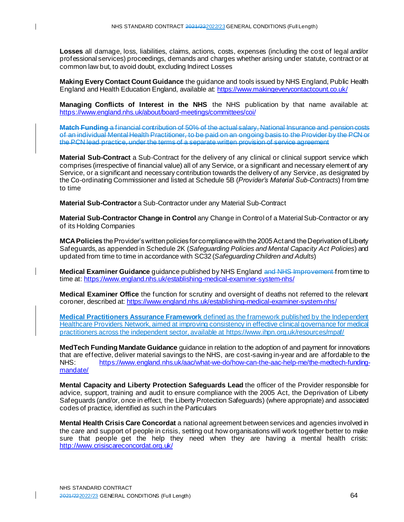**Losses** all damage, loss, liabilities, claims, actions, costs, expenses (including the cost of legal and/or professional services) proceedings, demands and charges whether arising under statute, contract or at common law but, to avoid doubt, excluding Indirect Losses

**Making Every Contact Count Guidance** the guidance and tools issued by NHS England, Public Health England and Health Education England, available at: <https://www.makingeverycontactcount.co.uk/>

**Managing Conflicts of Interest in the NHS** the NHS publication by that name available at: <https://www.england.nhs.uk/about/board-meetings/committees/coi/>

**Match Funding** a financial contribution of 50% of the actual salary, National Insurance and pension costs of an individual Mental Health Practitioner, to be paid on an ongoing basis to the Provider by the PCN or the PCN lead practice, under the terms of a separate written provision of service agreement

**Material Sub-Contract** a Sub-Contract for the delivery of any clinical or clinical support service which comprises (irrespective of financial value) all of any Service, or a significant and necessary element of any Service, or a significant and necessary contribution towards the delivery of any Service, as designated by the Co-ordinating Commissioner and listed at Schedule 5B (*Provider's Material Sub-Contracts*) from time to time

**Material Sub-Contractor** a Sub-Contractor under any Material Sub-Contract

 $\mathbf{I}$ 

**Material Sub-Contractor Change in Control** any Change in Control of a Material Sub-Contractor or any of its Holding Companies

**MCA Policies** the Provider's written policies for compliance with the 2005 Act and the Deprivation of Liberty Safeguards, as appended in Schedule 2K (*Safeguarding Policies and Mental Capacity Act Policies*) and updated from time to time in accordance with SC32 (*Safeguarding Children and Adults*)

**Medical Examiner Guidance** guidance published by NHS England and NHS Improvement from time to time at: https://www.england.nhs.uk/establishing-medical-examiner-system-nhs/

**Medical Examiner Office** the function for scrutiny and oversight of deaths not referred to the relevant coroner, described at: https://www.england.nhs.uk/establishing-medical-examiner-system-nhs/

**Medical Practitioners Assurance Framework** defined as the framework published by the Independent Healthcare Providers Network, aimed at improving consistency in effective clinical governance for medical practitioners across the independent sector, available at https://www.ihpn.org.uk/resources/mpaf/

**MedTech Funding Mandate Guidance** guidance in relation to the adoption of and payment for innovations that are effective, deliver material savings to the NHS, are cost-saving in-year and are affordable to the<br>NHS: https://www.england.nhs.uk/aac/what-we-do/how-can-the-aac-help-me/the-medtech-funding[https://www.england.nhs.uk/aac/what-we-do/how-can-the-aac-help-me/the-medtech-funding](https://www.england.nhs.uk/aac/what-we-do/how-can-the-aac-help-me/the-medtech-funding-mandate/)[mandate/](https://www.england.nhs.uk/aac/what-we-do/how-can-the-aac-help-me/the-medtech-funding-mandate/)

**Mental Capacity and Liberty Protection Safeguards Lead** the officer of the Provider responsible for advice, support, training and audit to ensure compliance with the 2005 Act, the Deprivation of Liberty Safeguards (and/or, once in effect, the Liberty Protection Safeguards) (where appropriate) and associated codes of practice, identified as such in the Particulars

**Mental Health Crisis Care Concordat** a national agreement between services and agencies involved in the care and support of people in crisis, setting out how organisations will work together better to make sure that people get the help they need when they are having a mental health crisis: <http://www.crisiscareconcordat.org.uk/>

NHS STANDARD CONTRACT 2021/222022/23 GENERAL CONDITIONS (Full Length) 64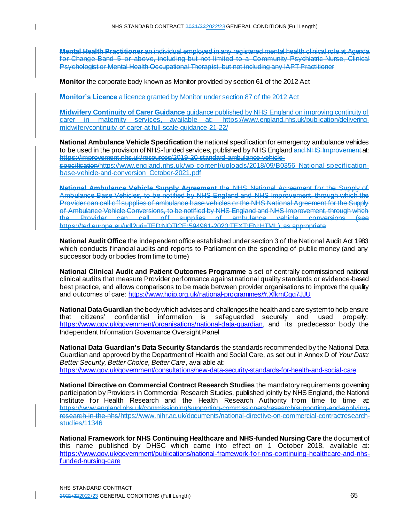**Mental Health Practitioner** an individual employed in any registered mental health clinical role at Agenda for Change Band 5 or above, including but not limited to a Community Psychiatric Nurse, Clinical Psychologist or Mental Health Occupational Therapist, but not including any IAPT Practitioner

**Monitor** the corporate body known as Monitor provided by section 61 of the 2012 Act

**Monitor's Licence** a licence granted by Monitor under section 87 of the 2012 Act

 $\mathsf{l}$ 

**Midwifery Continuity of Carer Guidance** guidance published by NHS England on improving continuity of carer in maternity services, available at: [https://www.england.nhs.uk/publication/delivering](https://www.england.nhs.uk/publication/delivering-midwiferycontinuity-of-carer-at-full-scale-guidance-21-22/)[midwiferycontinuity-of-carer-at-full-scale-guidance-21-22/](https://www.england.nhs.uk/publication/delivering-midwiferycontinuity-of-carer-at-full-scale-guidance-21-22/)

**National Ambulance Vehicle Specification** the national specification for emergency ambulance vehicles to be used in the provision of NHS-funded services, published by NHS England and NHS Improvement at: https://improvement.nhs.uk/resources/2019-20-standard-ambulance-vehiclespecificatio[n/https://www.england.nhs.uk/wp-content/uploads/2018/09/B0356\\_National-specification](https://www.england.nhs.uk/wp-content/uploads/2018/09/B0356_National-specification-base-vehicle-and-conversion_October-2021.pdf)[base-vehicle-and-conversion\\_October-2021.pdf](https://www.england.nhs.uk/wp-content/uploads/2018/09/B0356_National-specification-base-vehicle-and-conversion_October-2021.pdf)

**National Ambulance Vehicle Supply Agreement** the NHS National Agreement for the Supply of Ambulance Base Vehicles, to be notified by NHS England and NHS Improvement, through which the Provider can call off supplies of ambulance base vehicles or the NHS National Agreement for the Supply of Ambulance Vehicle Conversions, to be notified by NHS England and NHS Improvement, through which the Provider can call off supplies of ambulance vehicle conversions (see https://ted.europa.eu/udl?uri=TED:NOTICE:594961-2020:TEXT:EN:HTML), as appropriate

**National Audit Office** the independent office established under section 3 of the National Audit Act 1983 which conducts financial audits and reports to Parliament on the spending of public money (and any successor body or bodies from time to time)

**National Clinical Audit and Patient Outcomes Programme** a set of centrally commissioned national clinical audits that measure Provider performance against national quality standards or evidence-based best practice, and allows comparisons to be made between provider organisations to improve the quality and outcomes of care: <https://www.hqip.org.uk/national-programmes/#.XfkmCqq7JJU>

**National Data Guardian** the body which advises and challenges the health and care system to help ensure that<br>that citizens' confidential information is safequarded securely and used properly: that citizens' confidential information is safeguarded securely and used properly: <https://www.gov.uk/government/organisations/national-data-guardian>, and its predecessor body the Independent Information Governance Oversight Panel

**National Data Guardian's Data Security Standards** the standards recommended by the National Data Guardian and approved by the Department of Health and Social Care, as set out in Annex D of *Your Data: Better Security, Better Choice, Better Care*, available at: <https://www.gov.uk/government/consultations/new-data-security-standards-for-health-and-social-care>

**National Directive on Commercial Contract Research Studies** the mandatory requirements governing participation by Providers in Commercial Research Studies, published jointly by NHS England, the National Institute for Health Research and the Health Research Authority from time to time at: https://www.england.nhs.uk/commissioning/supporting-commissioners/research/supporting-and-applyingresearch-in-the-nh[s/https://www.nihr.ac.uk/documents/national-directive-on-commercial-contractresearch](https://www.nihr.ac.uk/documents/national-directive-on-commercial-contractresearch-studies/11346)[studies/11346](https://www.nihr.ac.uk/documents/national-directive-on-commercial-contractresearch-studies/11346)

**National Framework for NHS Continuing Healthcare and NHS-funded Nursing Care** the document of this name published by DHSC which came into effect on 1 October 2018, available at: [https://www.gov.uk/government/publications/national-framework-for-nhs-continuing-healthcare-and-nhs](https://www.gov.uk/government/publications/national-framework-for-nhs-continuing-healthcare-and-nhs-funded-nursing-care)[funded-nursing-care](https://www.gov.uk/government/publications/national-framework-for-nhs-continuing-healthcare-and-nhs-funded-nursing-care)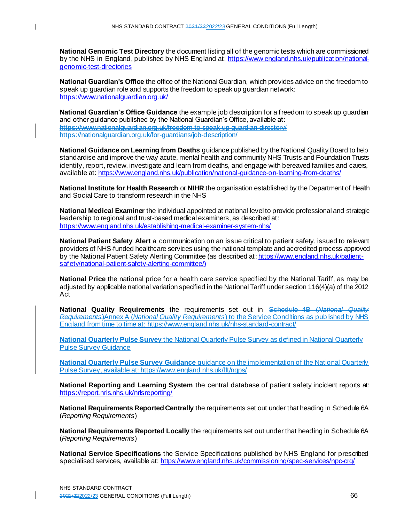**National Genomic Test Directory** the document listing all of the genomic tests which are commissioned by the NHS in England, published by NHS England at: [https://www.england.nhs.uk/publication/national](https://www.england.nhs.uk/publication/national-genomic-test-directories)[genomic-test-directories](https://www.england.nhs.uk/publication/national-genomic-test-directories)

**National Guardian's Office** the office of the National Guardian, which provides advice on the freedom to speak up guardian role and supports the freedom to speak up guardian network: <https://www.nationalguardian.org.uk/>

**National Guardian's Office Guidance** the example job description for a freedom to speak up guardian and other guidance published by the National Guardian's Office, available at: https://www.nationalguardian.org.uk/freedom-to-speak-up-guardian-directory/ <https://nationalguardian.org.uk/for-guardians/job-description/>

**National Guidance on Learning from Deaths** guidance published by the National Quality Board to help standardise and improve the way acute, mental health and community NHS Trusts and Foundation Trusts identify, report, review, investigate and learn from deaths, and engage with bereaved families and carers, available at: <https://www.england.nhs.uk/publication/national-guidance-on-learning-from-deaths/>

**National Institute for Health Research** or **NIHR** the organisation established by the Department of Health and Social Care to transform research in the NHS

**National Medical Examiner** the individual appointed at national level to provide professional and strategic leadership to regional and trust-based medical examiners, as described at: <https://www.england.nhs.uk/establishing-medical-examiner-system-nhs/>

**National Patient Safety Alert** a communication on an issue critical to patient safety, issued to relevant providers of NHS-funded healthcare services using the national template and accredited process approved by the National Patient Safety Alerting Committee (as described at: [https://www.england.nhs.uk/patient](https://www.england.nhs.uk/patient-safety/national-patient-safety-alerting-committee/))[safety/national-patient-safety-alerting-committee/\)](https://www.england.nhs.uk/patient-safety/national-patient-safety-alerting-committee/))

**National Price** the national price for a health care service specified by the National Tariff, as may be adjusted by applicable national variation specified in the National Tariff under section 116(4)(a) of the 2012 Act

**National Quality Requirements** the requirements set out in Schedule 4B (*National Quality Requirements*)Annex A (*National Quality Requirements*) to the Service Conditions as published by NHS England from time to time at[: https://www.england.nhs.uk/nhs-standard-contract/](https://www.england.nhs.uk/nhs-standard-contract/)

**National Quarterly Pulse Survey** the National Quarterly Pulse Survey as defined in National Quarterly Pulse Survey Guidance

**National Quarterly Pulse Survey Guidance** guidance on the implementation of the National Quarterly Pulse Survey, available at: https://www.england.nhs.uk/fft/ngps/

**National Reporting and Learning System** the central database of patient safety incident reports at: <https://report.nrls.nhs.uk/nrlsreporting/>

**National Requirements Reported Centrally** the requirements set out under that heading in Schedule 6A (*Reporting Requirements*)

**National Requirements Reported Locally** the requirements set out under that heading in Schedule 6A (*Reporting Requirements*)

**National Service Specifications** the Service Specifications published by NHS England for prescribed specialised services, available at: <https://www.england.nhs.uk/commissioning/spec-services/npc-crg/>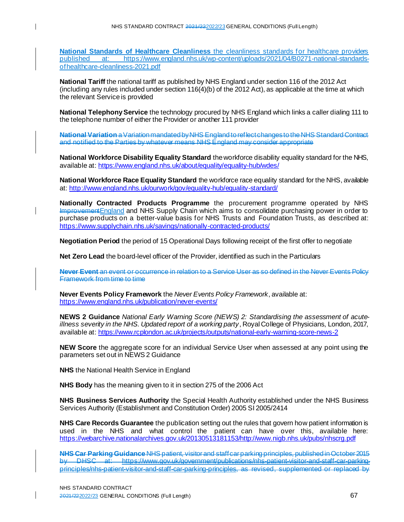**National Standards of Healthcare Cleanliness** the cleanliness standards for healthcare providers<br>published at: https://www.england.nhs.uk/wp-content/uploads/2021/04/B0271-national-standards[https://www.england.nhs.uk/wp-content/uploads/2021/04/B0271-national-standards](https://www.england.nhs.uk/wp-content/uploads/2021/04/B0271-national-standards-ofhealthcare-cleanliness-2021.pdf)[ofhealthcare-cleanliness-2021.pdf](https://www.england.nhs.uk/wp-content/uploads/2021/04/B0271-national-standards-ofhealthcare-cleanliness-2021.pdf)

**National Tariff** the national tariff as published by NHS England under section 116 of the 2012 Act (including any rules included under section 116(4)(b) of the 2012 Act), as applicable at the time at which the relevant Service is provided

**National Telephony Service** the technology procured by NHS England which links a caller dialing 111 to the telephone number of either the Provider or another 111 provider

**National Variation** a Variation mandated by NHS England to reflect changes to the NHS Standard Contract and notified to the Parties by whatever means NHS England may consider appropriate

**National Workforce Disability Equality Standard** the workforce disability equality standard for the NHS, available at[: https://www.england.nhs.uk/about/equality/equality-hub/wdes/](https://www.england.nhs.uk/about/equality/equality-hub/wdes/)

**National Workforce Race Equality Standard** the workforce race equality standard for the NHS, available at: <http://www.england.nhs.uk/ourwork/gov/equality-hub/equality-standard/>

**Nationally Contracted Products Programme** the procurement programme operated by NHS ImprovementEngland and NHS Supply Chain which aims to consolidate purchasing power in order to purchase products on a better-value basis for NHS Trusts and Foundation Trusts, as described at: <https://www.supplychain.nhs.uk/savings/nationally-contracted-products/>

**Negotiation Period** the period of 15 Operational Days following receipt of the first offer to negotiate

**Net Zero Lead** the board-level officer of the Provider, identified as such in the Particulars

**Never Event** an event or occurrence in relation to a Service User as so defined in the Never Events Policy Framework from time to time

**Never Events Policy Framework** the *Never Events Policy Framework*, available at: <https://www.england.nhs.uk/publication/never-events/>

**NEWS 2 Guidance** *National Early Warning Score (NEWS) 2: Standardising the assessment of acuteillness severity in the NHS. Updated report of a working party*, Royal College of Physicians, London, 2017, available at: <https://www.rcplondon.ac.uk/projects/outputs/national-early-warning-score-news-2>

**NEW Score** the aggregate score for an individual Service User when assessed at any point using the parameters set out in NEWS 2 Guidance

**NHS** the National Health Service in England

**NHS Body** has the meaning given to it in section 275 of the 2006 Act

**NHS Business Services Authority** the Special Health Authority established under the NHS Business Services Authority (Establishment and Constitution Order) 2005 SI 2005/2414

**NHS Care Records Guarantee** the publication setting out the rules that govern how patient information is used in the NHS and what control the patient can have over this, available here: [https://webarchive.nationalarchives.gov.uk/20130513181153/http://www.nigb.nhs.uk/pubs/nhscrg.pdf](https://webarchive.nationalarchives.gov.uk/20130513181153/http:/www.nigb.nhs.uk/pubs/nhscrg.pdf)

**NHS Car Parking Guidance** NHS patient, visitor and staff car parking principles, published in October 2015 by DHSC at: https://www.gov.uk/government/publications/nhs-patient-visitor-and-staff-car-parkingprinciples/nhs-patient-visitor-and-staff-car-parking-principles, as revised, supplemented or replaced by

 $\mathbf l$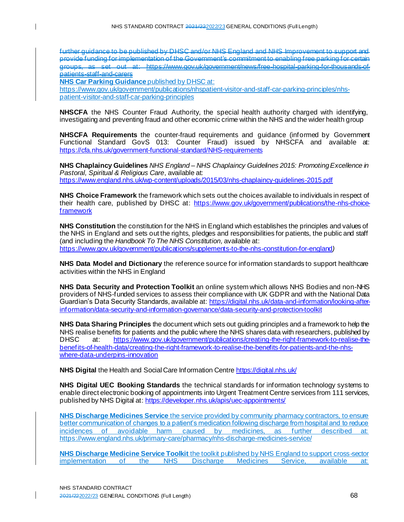further guidance to be published by DHSC and/or NHS England and NHS Improvement to support provide funding for implementation of the Government's commitment to enabling free parking for certain examples. as set out at: https://www.gov.uk/government/news/free-hospital-parking-for-thousandspatients-staff-and-carers

**NHS Car Parking Guidance** published by DHSC at:

 $\mathsf{l}$ 

[https://www.gov.uk/government/publications/nhspatient-visitor-and-staff-car-parking-principles/nhs](https://www.gov.uk/government/publications/nhspatient-visitor-and-staff-car-parking-principles/nhs-patient-visitor-and-staff-car-parking-principles)[patient-visitor-and-staff-car-parking-principles](https://www.gov.uk/government/publications/nhspatient-visitor-and-staff-car-parking-principles/nhs-patient-visitor-and-staff-car-parking-principles)

**NHSCFA** the NHS Counter Fraud Authority, the special health authority charged with identifying, investigating and preventing fraud and other economic crime within the NHS and the wider health group

**NHSCFA Requirements** the counter-fraud requirements and guidance (informed by Government Functional Standard GovS 013: Counter Fraud) issued by NHSCFA and available at: <https://cfa.nhs.uk/government-functional-standard/NHS-requirements>

**NHS Chaplaincy Guidelines** *NHS England – NHS Chaplaincy Guidelines 2015: Promoting Excellence in Pastoral, Spiritual & Religious Care*, available at: <https://www.england.nhs.uk/wp-content/uploads/2015/03/nhs-chaplaincy-guidelines-2015.pdf>

**NHS Choice Framework** the framework which sets out the choices available to individuals in respect of their health care, published by DHSC at: [https://www.gov.uk/government/publications/the-nhs-choice](https://www.gov.uk/government/publications/the-nhs-choice-framework)[framework](https://www.gov.uk/government/publications/the-nhs-choice-framework)

**NHS Constitution** the constitution for the NHS in England which establishes the principles and values of the NHS in England and sets out the rights, pledges and responsibilities for patients, the public and staff (and including the *Handbook To The NHS Constitution,* available at: <https://www.gov.uk/government/publications/supplements-to-the-nhs-constitution-for-england>*)*

**NHS Data Model and Dictionary** the reference source for information standards to support healthcare activities within the NHS in England

**NHS Data Security and Protection Toolkit** an online system which allows NHS Bodies and non-NHS providers of NHS-funded services to assess their compliance with UK GDPR and with the National Data Guardian's Data Security Standards, available at[: https://digital.nhs.uk/data-and-information/looking-after](https://digital.nhs.uk/data-and-information/looking-after-information/data-security-and-information-governance/data-security-and-protection-toolkit)[information/data-security-and-information-governance/data-security-and-protection-toolkit](https://digital.nhs.uk/data-and-information/looking-after-information/data-security-and-information-governance/data-security-and-protection-toolkit)

**NHS Data Sharing Principles** the document which sets out guiding principles and a framework to help the NHS realise benefits for patients and the public where the NHS shares data with researchers, published by DHSC at: [https://www.gov.uk/government/publications/creating-the-right-framework-to-realise-the](https://www.gov.uk/government/publications/creating-the-right-framework-to-realise-the-benefits-of-health-data/creating-the-right-framework-to-realise-the-benefits-for-patients-and-the-nhs-where-data-underpins-innovation)[benefits-of-health-data/creating-the-right-framework-to-realise-the-benefits-for-patients-and-the-nhs](https://www.gov.uk/government/publications/creating-the-right-framework-to-realise-the-benefits-of-health-data/creating-the-right-framework-to-realise-the-benefits-for-patients-and-the-nhs-where-data-underpins-innovation)[where-data-underpins-innovation](https://www.gov.uk/government/publications/creating-the-right-framework-to-realise-the-benefits-of-health-data/creating-the-right-framework-to-realise-the-benefits-for-patients-and-the-nhs-where-data-underpins-innovation)

**NHS Digital** the Health and Social Care Information Centr[e https://digital.nhs.uk/](https://digital.nhs.uk/)

**NHS Digital UEC Booking Standards** the technical standards for information technology systems to enable direct electronic booking of appointments into Urgent Treatment Centre services from 111 services, published by NHS Digital at: <https://developer.nhs.uk/apis/uec-appointments/>

**NHS Discharge Medicines Service** the service provided by community pharmacy contractors, to ensure better communication of changes to a patient's medication following discharge from hospital and to reduce incidences of avoidable harm caused by medicines, as further described at: <https://www.england.nhs.uk/primary-care/pharmacy/nhs-discharge-medicines-service/>

**NHS Discharge Medicine Service Toolkit** the toolkit published by NHS England to support cross-sector<br>
implementation of the NHS Discharge Medicines Service, available at: implementation of the NHS Discharge Medicines Service, available at: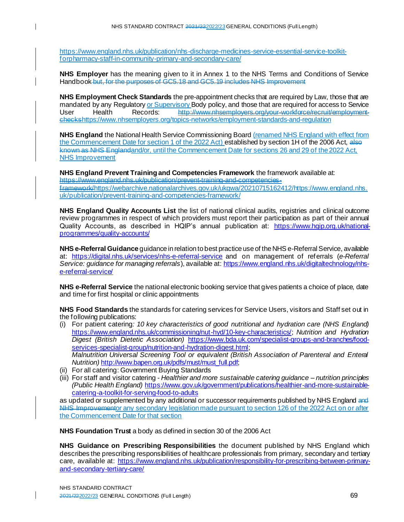[https://www.england.nhs.uk/publication/nhs-discharge-medicines-service-essential-service-toolkit](https://www.england.nhs.uk/publication/nhs-discharge-medicines-service-essential-service-toolkit-forpharmacy-staff-in-community-primary-and-secondary-care/)[forpharmacy-staff-in-community-primary-and-secondary-care/](https://www.england.nhs.uk/publication/nhs-discharge-medicines-service-essential-service-toolkit-forpharmacy-staff-in-community-primary-and-secondary-care/)

**NHS Employer** has the meaning given to it in Annex 1 to the NHS Terms and Conditions of Service Handbook but, for the purposes of GC5.18 and GC5.19 includes NHS Improvement

**NHS Employment Check Standards** the pre-appointment checks that are required by Law, those that are mandated by any Regulatory or Supervisory Body policy, and those that are required for access to Service<br>User Health Records: http://www.nhsemployers.org/your-workforce/recruit/employment-User Health Records: http://www.nhsemployers.org/your-workforce/recruit/employmentcheck[shttps://www.nhsemployers.org/topics-networks/employment-standards-and-regulation](https://www.nhsemployers.org/topics-networks/employment-standards-and-regulation)

**NHS England** the National Health Service Commissioning Board (renamed NHS England with effect from the Commencement Date for section 1 of the 2022 Act) established by section 1H of the 2006 Act, also known as NHS Englandand/or, until the Commencement Date for sections 26 and 29 of the 2022 Act, NHS Improvement

**NHS England Prevent Training and Competencies Framework** the framework available at: https://www.england.nhs.uk/publication/prevent-training-and-competencies-

framewor[k/https://webarchive.nationalarchives.gov.uk/ukgwa/20210715162412/https://www.england.nhs.](https://webarchive.nationalarchives.gov.uk/ukgwa/20210715162412/https:/www.england.nhs.uk/publication/prevent-training-and-competencies-framework/) [uk/publication/prevent-training-and-competencies-framework/](https://webarchive.nationalarchives.gov.uk/ukgwa/20210715162412/https:/www.england.nhs.uk/publication/prevent-training-and-competencies-framework/)

**NHS England Quality Accounts List** the list of national clinical audits, registries and clinical outcome review programmes in respect of which providers must report their participation as part of their annual Quality Accounts, as described in HQIP's annual publication at: [https://www.hqip.org.uk/national](https://www.hqip.org.uk/national-programmes/quality-accounts/)[programmes/quality-accounts/](https://www.hqip.org.uk/national-programmes/quality-accounts/)

**NHS e-Referral Guidance** guidance in relation to best practice use of the NHS e-Referral Service, available at: <https://digital.nhs.uk/services/nhs-e-referral-service> and on management of referrals (*e-Referral Service: guidance for managing referrals*), available at: [https://www.england.nhs.uk/digitaltechnology/nhs](https://www.england.nhs.uk/digitaltechnology/nhs-e-referral-service/)[e-referral-service/](https://www.england.nhs.uk/digitaltechnology/nhs-e-referral-service/)

**NHS e-Referral Service** the national electronic booking service that gives patients a choice of place, date and time for first hospital or clinic appointments

**NHS Food Standards** the standards for catering services for Service Users, visitors and Staff set out in the following publications:

- (i) For patient catering*: 10 key characteristics of good nutritional and hydration care (NHS England)*  <https://www.england.nhs.uk/commissioning/nut-hyd/10-key-characteristics/>; *Nutrition and Hydration Digest (British Dietetic Association)* [https://www.bda.uk.com/specialist-groups-and-branches/food](https://www.bda.uk.com/specialist-groups-and-branches/food-services-specialist-group/nutrition-and-hydration-digest.html)[services-specialist-group/nutrition-and-hydration-digest.html](https://www.bda.uk.com/specialist-groups-and-branches/food-services-specialist-group/nutrition-and-hydration-digest.html); *Malnutrition Universal Screening Tool or equivalent (British Association of Parenteral and Enteral Nutrition)* [http://www.bapen.org.uk/pdfs/must/must\\_full.pdf](http://www.bapen.org.uk/pdfs/must/must_full.pdf);
- (ii) For all catering: Government Buying Standards

 $\mathbf{I}$ 

(iii) For staff and visitor catering - *Healthier and more sustainable catering guidance – nutrition principles (Public Health England)* [https://www.gov.uk/government/publications/healthier-and-more-sustainable](https://www.gov.uk/government/publications/healthier-and-more-sustainable-catering-a-toolkit-for-serving-food-to-adults)[catering-a-toolkit-for-serving-food-to-adults](https://www.gov.uk/government/publications/healthier-and-more-sustainable-catering-a-toolkit-for-serving-food-to-adults)

as updated or supplemented by any additional or successor requirements published by NHS England and NHS Improvementor any secondary legislation made pursuant to section 126 of the 2022 Act on or after the Commencement Date for that section

**NHS Foundation Trust** a body as defined in section 30 of the 2006 Act

**NHS Guidance on Prescribing Responsibilities** the document published by NHS England which describes the prescribing responsibilities of healthcare professionals from primary, secondary and tertiary care, available at: [https://www.england.nhs.uk/publication/responsibility-for-prescribing-between-primary](https://www.england.nhs.uk/publication/responsibility-for-prescribing-between-primary-and-secondary-tertiary-care/)[and-secondary-tertiary-care/](https://www.england.nhs.uk/publication/responsibility-for-prescribing-between-primary-and-secondary-tertiary-care/)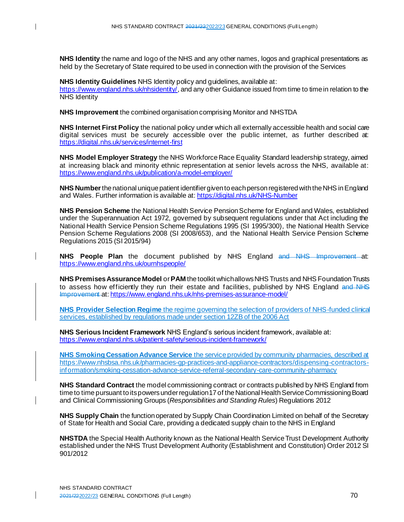**NHS Identity** the name and logo of the NHS and any other names, logos and graphical presentations as held by the Secretary of State required to be used in connection with the provision of the Services

**NHS Identity Guidelines** NHS Identity policy and guidelines, available at: <https://www.england.nhs.uk/nhsidentity/>, and any other Guidance issued from time to time in relation to the NHS Identity

**NHS Improvement** the combined organisation comprising Monitor and NHSTDA

**NHS Internet First Policy** the national policy under which all externally accessible health and social care digital services must be securely accessible over the public internet, as further described at: <https://digital.nhs.uk/services/internet-first>

**NHS Model Employer Strategy** the NHS Workforce Race Equality Standard leadership strategy, aimed at increasing black and minority ethnic representation at senior levels across the NHS, available at: <https://www.england.nhs.uk/publication/a-model-employer/>

**NHS Number**the national unique patient identifier given to each person registered with the NHS in England and Wales. Further information is available at[: https://digital.nhs.uk/NHS-Number](https://digital.nhs.uk/NHS-Number)

**NHS Pension Scheme** the National Health Service Pension Scheme for England and Wales, established under the Superannuation Act 1972, governed by subsequent regulations under that Act including the National Health Service Pension Scheme Regulations 1995 (SI 1995/300), the National Health Service Pension Scheme Regulations 2008 (SI 2008/653), and the National Health Service Pension Scheme Regulations 2015 (SI 2015/94)

**NHS People Plan** the document published by NHS England and NHS Improvement at: <https://www.england.nhs.uk/ournhspeople/>

**NHS Premises Assurance Model** or**PAM** the toolkit which allows NHS Trusts and NHS Foundation Trusts to assess how efficiently they run their estate and facilities, published by NHS England and NHS Improvement at: https://www.england.nhs.uk/nhs-premises-assurance-model/

**NHS Provider Selection Regime** the regime governing the selection of providers of NHS-funded clinical services, established by regulations made under section 12ZB of the 2006 Act

**NHS Serious Incident Framework** NHS England's serious incident framework, available at: https://www.england.nhs.uk/patient-safety/serious-incident-framework/

**NHS Smoking Cessation Advance Service** the service provided by community pharmacies, described at [https://www.nhsbsa.nhs.uk/pharmacies-gp-practices-and-appliance-contractors/dispensing-contractors](https://www.nhsbsa.nhs.uk/pharmacies-gp-practices-and-appliance-contractors/dispensing-contractors-information/smoking-cessation-advance-service-referral-secondary-care-community-pharmacy)[information/smoking-cessation-advance-service-referral-secondary-care-community-pharmacy](https://www.nhsbsa.nhs.uk/pharmacies-gp-practices-and-appliance-contractors/dispensing-contractors-information/smoking-cessation-advance-service-referral-secondary-care-community-pharmacy)

**NHS Standard Contract** the model commissioning contract or contracts published by NHS England from time to time pursuant to its powers under regulation 17 of the National Health Service Commissioning Board and Clinical Commissioning Groups (*Responsibilities and Standing Rules*) Regulations 2012

**NHS Supply Chain** the function operated by Supply Chain Coordination Limited on behalf of the Secretary of State for Health and Social Care, providing a dedicated supply chain to the NHS in England

**NHSTDA** the Special Health Authority known as the National Health Service Trust Development Authority established under the NHS Trust Development Authority (Establishment and Constitution) Order 2012 SI 901/2012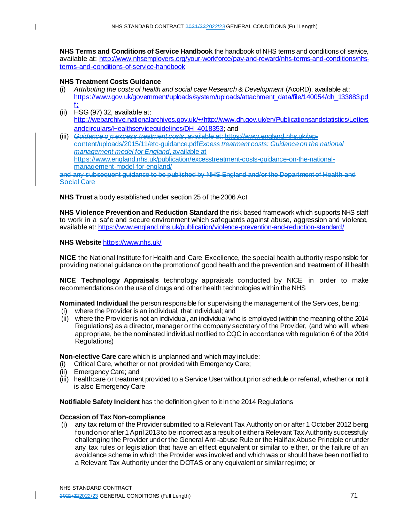**NHS Terms and Conditions of Service Handbook** the handbook of NHS terms and conditions of service, available at: [http://www.nhsemployers.org/your-workforce/pay-and-reward/nhs-terms-and-conditions/nhs](http://www.nhsemployers.org/your-workforce/pay-and-reward/nhs-terms-and-conditions/nhs-terms-and-conditions-of-service-handbook)[terms-and-conditions-of-service-handbook](http://www.nhsemployers.org/your-workforce/pay-and-reward/nhs-terms-and-conditions/nhs-terms-and-conditions-of-service-handbook)

### **NHS Treatment Costs Guidance**

- (i) *Attributing the costs of health and social care Research & Development* (AcoRD), available at: [https://www.gov.uk/government/uploads/system/uploads/attachment\\_data/file/140054/dh\\_133883.pd](https://www.gov.uk/government/uploads/system/uploads/attachment_data/file/140054/dh_133883.pdf) [f](https://www.gov.uk/government/uploads/system/uploads/attachment_data/file/140054/dh_133883.pdf);
- (ii) HSG (97) 32, available at: [http://webarchive.nationalarchives.gov.uk/+/http://www.dh.gov.uk/en/Publicationsandstatistics/Letters](http://webarchive.nationalarchives.gov.uk/+/http:/www.dh.gov.uk/en/Publicationsandstatistics/Lettersandcirculars/Healthserviceguidelines/DH_4018353) [andcirculars/Healthserviceguidelines/DH\\_4018353](http://webarchive.nationalarchives.gov.uk/+/http:/www.dh.gov.uk/en/Publicationsandstatistics/Lettersandcirculars/Healthserviceguidelines/DH_4018353); and<br>Guidance e n excess treatment costs available at bitras
- (iii) Guidance o *n* e content/uploads/2015/11/etc-guidance.pdf*Excess treatment costs: Guidance on the national management model for England*, available at https://www.england.nhs.uk/publication/excesstreatment-costs-guidance-on-the-nationalmanagement-model-for-england/ any subsequent guidance to be published by NHS England and/or the Department of Health and

Social Care

**NHS Trust** a body established under section 25 of the 2006 Act

**NHS Violence Prevention and Reduction Standard** the risk-based framework which supports NHS staff to work in a safe and secure environment which safeguards against abuse, aggression and violence, available at: <https://www.england.nhs.uk/publication/violence-prevention-and-reduction-standard/>

#### **NHS Website** <https://www.nhs.uk/>

**NICE** the National Institute for Health and Care Excellence, the special health authority responsible for providing national guidance on the promotion of good health and the prevention and treatment of ill health

**NICE Technology Appraisals** technology appraisals conducted by NICE in order to make recommendations on the use of drugs and other health technologies within the NHS

**Nominated Individual** the person responsible for supervising the management of the Services, being:

- (i) where the Provider is an individual, that individual; and
- (ii) where the Provider is not an individual, an individual who is employed (within the meaning of the 2014 Regulations) as a director, manager or the company secretary of the Provider, (and who will, where appropriate, be the nominated individual notified to CQC in accordance with regulation 6 of the 2014 Regulations)

**Non-elective Care** care which is unplanned and which may include:

- (i) Critical Care, whether or not provided with Emergency Care;
- (ii) Emergency Care; and
- (iii) healthcare or treatment provided to a Service User without prior schedule or referral, whether or not it is also Emergency Care

**Notifiable Safety Incident** has the definition given to it in the 2014 Regulations

#### **Occasion of Tax Non-compliance**

(i) any tax return of the Provider submitted to a Relevant Tax Authority on or after 1 October 2012 being found on or after 1 April 2013 to be incorrect as a result of either a Relevant Tax Authority successfully challenging the Provider under the General Anti-abuse Rule or the Halifax Abuse Principle or under any tax rules or legislation that have an effect equivalent or similar to either, or the failure of an avoidance scheme in which the Provider was involved and which was or should have been notified to a Relevant Tax Authority under the DOTAS or any equivalent or similar regime; or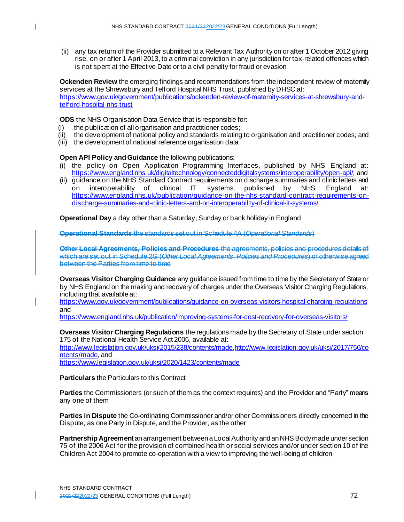(ii) any tax return of the Provider submitted to a Relevant Tax Authority on or after 1 October 2012 giving rise, on or after 1 April 2013, to a criminal conviction in any jurisdiction for tax-related offences which is not spent at the Effective Date or to a civil penalty for fraud or evasion

**Ockenden Review** the emerging findings and recommendations from the independent review of matemity services at the Shrewsbury and Telford Hospital NHS Trust, published by DHSC at: [https://www.gov.uk/government/publications/ockenden-review-of-maternity-services-at-shrewsbury-and](https://www.gov.uk/government/publications/ockenden-review-of-maternity-services-at-shrewsbury-and-telford-hospital-nhs-trust)[telford-hospital-nhs-trust](https://www.gov.uk/government/publications/ockenden-review-of-maternity-services-at-shrewsbury-and-telford-hospital-nhs-trust)

**ODS** the NHS Organisation Data Service that is responsible for:

- (i) the publication of all organisation and practitioner codes;
- (ii) the development of national policy and standards relating to organisation and practitioner codes; and
- (iii) the development of national reference organisation data

#### **Open API Policy and Guidance** the following publications:

- (i) the policy on Open Application Programming Interfaces, published by NHS England at: <https://www.england.nhs.uk/digitaltechnology/connecteddigitalsystems/interoperability/open-api/>; and
- (ii) guidance on the NHS Standard Contract requirements on discharge summaries and clinic letters and on interoperability of clinical IT systems, published by NHS England at: [https://www.england.nhs.uk/publication/guidance-on-the-nhs-standard-contract-requirements-on](https://www.england.nhs.uk/publication/guidance-on-the-nhs-standard-contract-requirements-on-discharge-summaries-and-clinic-letters-and-on-interoperability-of-clinical-it-systems/)[discharge-summaries-and-clinic-letters-and-on-interoperability-of-clinical-it-systems/](https://www.england.nhs.uk/publication/guidance-on-the-nhs-standard-contract-requirements-on-discharge-summaries-and-clinic-letters-and-on-interoperability-of-clinical-it-systems/)

**Operational Day** a day other than a Saturday, Sunday or bank holiday in England

**Operational Standards** the standards set out in Schedule 4A (*Operational Standards*)

**Other Local Agreements, Policies and Procedures** the agreements, policies and procedures details of which are set out in Schedule 2G (*Other Local Agreements, Policies and Procedures*) or otherwise agreed between the Parties from time to time

**Overseas Visitor Charging Guidance** any guidance issued from time to time by the Secretary of State or by NHS England on the making and recovery of charges under the Overseas Visitor Charging Regulations, including that available at:

<https://www.gov.uk/government/publications/guidance-on-overseas-visitors-hospital-charging-regulations> and

<https://www.england.nhs.uk/publication/improving-systems-for-cost-recovery-for-overseas-visitors/>

**Overseas Visitor Charging Regulations** the regulations made by the Secretary of State under section 175 of the National Health Service Act 2006, available at:

<http://www.legislation.gov.uk/uksi/2015/238/contents/made>[,http://www.legislation.gov.uk/uksi/2017/756/co](http://www.legislation.gov.uk/uksi/2017/756/contents/made) [ntents/made](http://www.legislation.gov.uk/uksi/2017/756/contents/made), and

<https://www.legislation.gov.uk/uksi/2020/1423/contents/made>

**Particulars** the Particulars to this Contract

**Parties** the Commissioners (or such of them as the context requires) and the Provider and "Party" means any one of them

**Parties in Dispute** the Co-ordinating Commissioner and/or other Commissioners directly concerned in the Dispute, as one Party in Dispute, and the Provider, as the other

**Partnership Agreement** an arrangement between a Local Authority and an NHS Body made under section 75 of the 2006 Act for the provision of combined health or social services and/or under section 10 of the Children Act 2004 to promote co-operation with a view to improving the well-being of children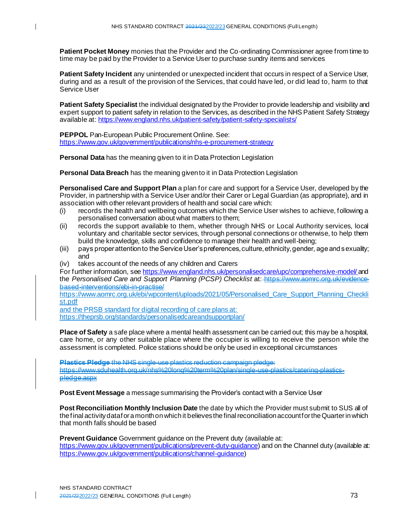**Patient Pocket Money** monies that the Provider and the Co-ordinating Commissioner agree from time to time may be paid by the Provider to a Service User to purchase sundry items and services

**Patient Safety Incident** any unintended or unexpected incident that occurs in respect of a Service User, during and as a result of the provision of the Services, that could have led, or did lead to, harm to that Service User

**Patient Safety Specialist** the individual designated by the Provider to provide leadership and visibility and expert support to patient safety in relation to the Services, as described in the NHS Patient Safety Strategy available at: <https://www.england.nhs.uk/patient-safety/patient-safety-specialists/>

**PEPPOL** Pan-European Public Procurement Online. See: <https://www.gov.uk/government/publications/nhs-e-procurement-strategy>

 $\mathbf{I}$ 

**Personal Data** has the meaning given to it in Data Protection Legislation

**Personal Data Breach** has the meaning given to it in Data Protection Legislation

**Personalised Care and Support Plan** a plan for care and support for a Service User, developed by the Provider, in partnership with a Service User and/or their Carer or Legal Guardian (as appropriate), and in association with other relevant providers of health and social care which:

- (i) records the health and wellbeing outcomes which the Service User wishes to achieve, following a personalised conversation about what matters to them;
- (ii) records the support available to them, whether through NHS or Local Authority services, local voluntary and charitable sector services, through personal connections or otherwise, to help them build the knowledge, skills and confidence to manage their health and well-being;
- (iii) pays proper attention to the Service User's preferences, culture, ethnicity, gender, age and sexuality; and
- (iv) takes account of the needs of any children and Carers

For further information, se[e https://www.england.nhs.uk/personalisedcare/upc/comprehensive-model/](https://www.england.nhs.uk/personalisedcare/upc/comprehensive-model/) and the *Personalised Care and Support Planning (PCSP) Checklist* at: https://www.aomrc.org.uk/evidencebased-interventions/ebi-in-practise/

https://www.aomrc.org.uk/ebi/wpcontent/uploads/2021/05/Personalised Care Support Planning Checkli [st.pdf](https://www.aomrc.org.uk/ebi/wpcontent/uploads/2021/05/Personalised_Care_Support_Planning_Checklist.pdf)

and the PRSB standard for digital recording of care plans at: <https://theprsb.org/standards/personalisedcareandsupportplan/>

**Place of Safety** a safe place where a mental health assessment can be carried out; this may be a hospital, care home, or any other suitable place where the occupier is willing to receive the person while the assessment is completed. Police stations should be only be used in exceptional circumstances

**Plastics Pledge** the NHS single-use plastics reduction campaign pledge: https://www.sduhealth.org.uk/nhs%20long%20term%20plan/single-use-plastics/catering-plasticspledge.aspx

**Post Event Message** a message summarising the Provider's contact with a Service User

**Post Reconciliation Monthly Inclusion Date** the date by which the Provider must submit to SUS all of the final activity data for a month on which it believes the final reconciliation account for the Quarter in which that month falls should be based

**Prevent Guidance** Government guidance on the Prevent duty (available at:

<https://www.gov.uk/government/publications/prevent-duty-guidance>) and on the Channel duty (available at: <https://www.gov.uk/government/publications/channel-guidance>)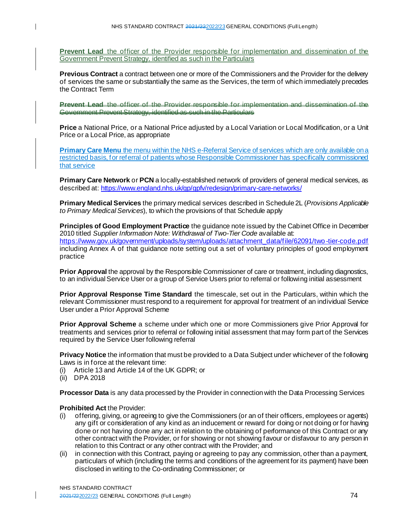**Prevent Lead** the officer of the Provider responsible for implementation and dissemination of the Government Prevent Strategy, identified as such in the Particulars

**Previous Contract** a contract between one or more of the Commissioners and the Provider for the delivery of services the same or substantially the same as the Services, the term of which immediately precedes the Contract Term

**Prevent Lead the officer of the Provider responsible for implementation and** Government Prevent Strategy, identified as such in the Particulars

**Price** a National Price, or a National Price adjusted by a Local Variation or Local Modification, or a Unit Price or a Local Price, as appropriate

**Primary Care Menu** the menu within the NHS e-Referral Service of services which are only available on a restricted basis, for referral of patients whose Responsible Commissioner has specifically commissioned that service

**Primary Care Network** or **PCN** a locally-established network of providers of general medical services, as described at: <https://www.england.nhs.uk/gp/gpfv/redesign/primary-care-networks/>

**Primary Medical Services** the primary medical services described in Schedule 2L (*Provisions Applicable to Primary Medical Services*), to which the provisions of that Schedule apply

**Principles of Good Employment Practice** the guidance note issued by the Cabinet Office in December 2010 titled *Supplier Information Note: Withdrawal of Two-Tier Code* available at: [https://www.gov.uk/government/uploads/system/uploads/attachment\\_data/file/62091/two](https://www.gov.uk/government/uploads/system/uploads/attachment_data/file/62091/two-tier-code.pdf) -tier-code.pdf including Annex A of that guidance note setting out a set of voluntary principles of good employment practice

**Prior Approval** the approval by the Responsible Commissioner of care or treatment, including diagnostics, to an individual Service User or a group of Service Users prior to referral or following initial assessment

**Prior Approval Response Time Standard** the timescale, set out in the Particulars, within which the relevant Commissioner must respond to a requirement for approval for treatment of an individual Service User under a Prior Approval Scheme

**Prior Approval Scheme** a scheme under which one or more Commissioners give Prior Approval for treatments and services prior to referral or following initial assessment that may form part of the Services required by the Service User following referral

**Privacy Notice** the information that must be provided to a Data Subject under whichever of the following Laws is in force at the relevant time:

- (i) Article 13 and Article 14 of the UK GDPR; or
- (ii) DPA 2018

 $\mathbf{I}$ 

**Processor Data** is any data processed by the Provider in connection with the Data Processing Services

### **Prohibited Act** the Provider:

- (i) offering, giving, or agreeing to give the Commissioners (or an of their officers, employees or agents) any gift or consideration of any kind as an inducement or reward for doing or not doing or for having done or not having done any act in relation to the obtaining of performance of this Contract or any other contract with the Provider, or for showing or not showing favour or disfavour to any person in relation to this Contract or any other contract with the Provider; and
- (ii) in connection with this Contract, paying or agreeing to pay any commission, other than a payment, particulars of which (including the terms and conditions of the agreement for its payment) have been disclosed in writing to the Co-ordinating Commissioner; or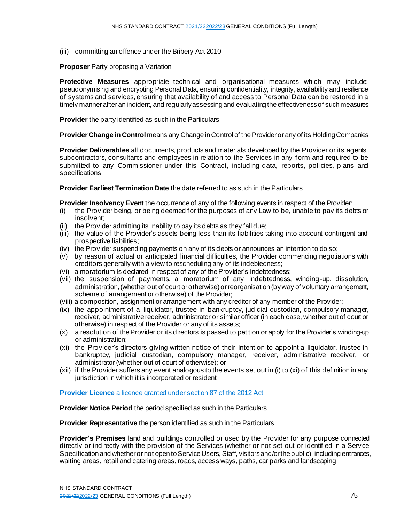(iii) committing an offence under the Bribery Act 2010

**Proposer** Party proposing a Variation

 $\mathsf{I}$ 

**Protective Measures** appropriate technical and organisational measures which may include: pseudonymising and encrypting Personal Data, ensuring confidentiality, integrity, availability and resilience of systems and services, ensuring that availability of and access to Personal Data can be restored in a timely manner after an incident, and regularly assessing and evaluating the effectiveness of such measures

**Provider** the party identified as such in the Particulars

**Provider Change in Control** means any Change in Control of the Provider or any of its Holding Companies

**Provider Deliverables** all documents, products and materials developed by the Provider or its agents, subcontractors, consultants and employees in relation to the Services in any form and required to be submitted to any Commissioner under this Contract, including data, reports, policies, plans and specifications

**Provider Earliest Termination Date** the date referred to as such in the Particulars

**Provider Insolvency Event** the occurrence of any of the following events in respect of the Provider:

- (i) the Provider being, or being deemed for the purposes of any Law to be, unable to pay its debts or insolvent;
- (ii) the Provider admitting its inability to pay its debts as they fall due;
- (iii) the value of the Provider's assets being less than its liabilities taking into account contingent and prospective liabilities;
- (iv) the Provider suspending payments on any of its debts or announces an intention to do so;
- (v) by reason of actual or anticipated financial difficulties, the Provider commencing negotiations with creditors generally with a view to rescheduling any of its indebtedness;
- (vi) a moratorium is declared in respect of any of the Provider's indebtedness;
- (vii) the suspension of payments, a moratorium of any indebtedness, winding -up, dissolution, administration, (whether out of court or otherwise) or reorganisation (by way of voluntary arrangement, scheme of arrangement or otherwise) of the Provider;
- (viii) a composition, assignment or arrangement with any creditor of any member of the Provider;
- (ix) the appointment of a liquidator, trustee in bankruptcy, judicial custodian, compulsory manager, receiver, administrative receiver, administrator or similar officer (in each case, whether out of court or otherwise) in respect of the Provider or any of its assets;
- (x) a resolution of the Provider or its directors is passed to petition or apply for the Provider's winding-up or administration;
- (xi) the Provider's directors giving written notice of their intention to appoint a liquidator, trustee in bankruptcy, judicial custodian, compulsory manager, receiver, administrative receiver, or administrator (whether out of court of otherwise); or
- (xii) if the Provider suffers any event analogous to the events set out in (i) to (xi) of this definition in any jurisdiction in which it is incorporated or resident

**Provider Licence** a licence granted under section 87 of the 2012 Act

**Provider Notice Period** the period specified as such in the Particulars

**Provider Representative** the person identified as such in the Particulars

**Provider's Premises** land and buildings controlled or used by the Provider for any purpose connected directly or indirectly with the provision of the Services (whether or not set out or identified in a Service Specification and whether or not open to Service Users, Staff, visitors and/or the public), including entrances, waiting areas, retail and catering areas, roads, access ways, paths, car parks and landscaping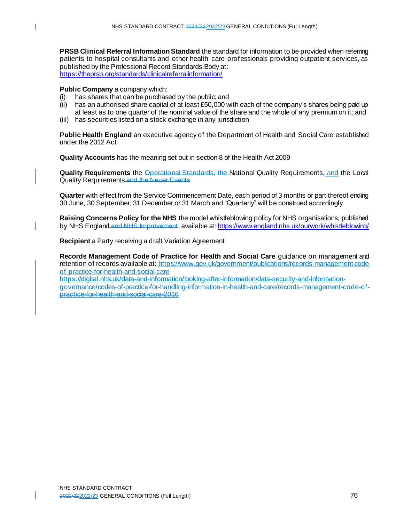**PRSB Clinical Referral Information Standard** the standard for information to be provided when referring patients to hospital consultants and other health care professionals providing outpatient services, as published by the Professional Record Standards Body at: <https://theprsb.org/standards/clinicalreferralinformation/>

#### **Public Company** a company which:

- (i) has shares that can be purchased by the public; and
- (ii) has an authorised share capital of at least £50,000 with each of the company's shares being paid up at least as to one quarter of the nominal value of the share and the whole of any premium on it; and
- (iii) has securities listed on a stock exchange in any jurisdiction

**Public Health England** an executive agency of the Department of Health and Social Care established under the 2012 Act

**Quality Accounts** has the meaning set out in section 8 of the Health Act 2009

**Quality Requirements** the Operational Standards, the National Quality Requirements, and the Local Quality Requirements and the Never Events

**Quarter** with effect from the Service Commencement Date, each period of 3 months or part thereof ending 30 June, 30 September, 31 December or 31 March and "Quarterly" will be construed accordingly

**Raising Concerns Policy for the NHS** the model whistleblowing policy for NHS organisations, published by NHS England and NHS Improvement, available at: <https://www.england.nhs.uk/ourwork/whistleblowing/>

**Recipient** a Party receiving a draft Variation Agreement

**Records Management Code of Practice for Health and Social Care** guidance on management and retention of records available at: [https://www.gov.uk/government/publications/records-management-code](https://www.gov.uk/government/publications/records-management-code-of-practice-for-health-and-social-care)[of-practice-for-health-and-social-care](https://www.gov.uk/government/publications/records-management-code-of-practice-for-health-and-social-care)

https://digital.nhs.uk/data-and-information/looking-after-information/data-security-and-informationgovernance/codes-of-practice-for-handling-information-in-health-and-care/records-management-code-ofpractice-for-health-and-social-care-2016

 $\mathbf{I}$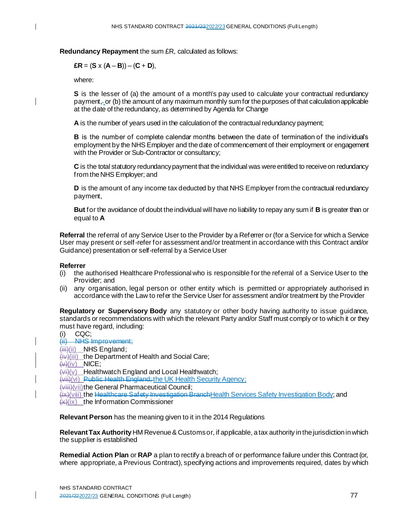$\mathbf{I}$ 

**Redundancy Repayment** the sum £R, calculated as follows:

$$
ER = (S \times (A - B)) - (C + D),
$$

where:

**S** is the lesser of (a) the amount of a month's pay used to calculate your contractual redundancy payment, or (b) the amount of any maximum monthly sum for the purposes of that calculation applicable at the date of the redundancy, as determined by Agenda for Change

**A** is the number of years used in the calculation of the contractual redundancy payment;

**B** is the number of complete calendar months between the date of termination of the individual's employment by the NHS Employer and the date of commencement of their employment or engagement with the Provider or Sub-Contractor or consultancy;

**C** is the total statutory redundancy payment that the individual was were entitled to receive on redundancy from the NHS Employer; and

**D** is the amount of any income tax deducted by that NHS Employer from the contractual redundancy payment,

**But** for the avoidance of doubt the individual will have no liability to repay any sum if **B** is greater than or equal to **A**

**Referral** the referral of any Service User to the Provider by a Referrer or (for a Service for which a Service User may present or self-refer for assessment and/or treatment in accordance with this Contract and/or Guidance) presentation or self-referral by a Service User

### **Referrer**

- (i) the authorised Healthcare Professional who is responsible for the referral of a Service User to the Provider; and
- (ii) any organisation, legal person or other entity which is permitted or appropriately authorised in accordance with the Law to refer the Service User for assessment and/or treatment by the Provider

**Regulatory or Supervisory Body** any statutory or other body having authority to issue guidance, standards or recommendations with which the relevant Party and/or Staff must comply or to which it or they must have regard, including:

(i) CQC;

(ii) NHS Improvement;  $(iii)(ii)$  NHS England:  $\overline{f(x)}$ (iii) the Department of Health and Social Care;  $(x)(iv)$  NICE:  $(xi)(y)$  Healthwatch England and Local Healthwatch; (vii)(vi) Public Health England; the UK Health Security Agency; (viii)(vii)the General Pharmaceutical Council; (ix)(viii) the Healthcare Safety Investigation BranchHealth Services Safety Investigation Body; and  $(x)(ix)$  the Information Commissioner

**Relevant Person** has the meaning given to it in the 2014 Regulations

**Relevant Tax Authority** HM Revenue & Customs or, if applicable, a tax authority in the jurisdiction in which the supplier is established

**Remedial Action Plan** or **RAP** a plan to rectify a breach of or performance failure under this Contract (or, where appropriate, a Previous Contract), specifying actions and improvements required, dates by which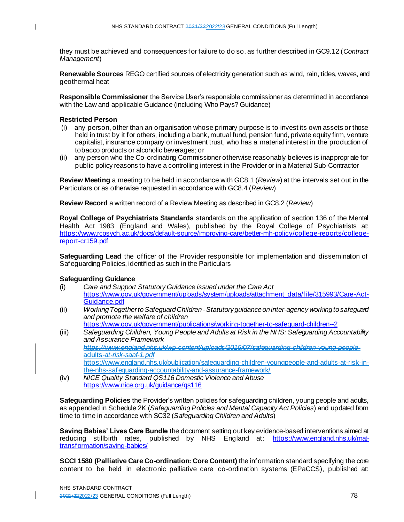they must be achieved and consequences for failure to do so, as further described in GC9.12 (*Contract Management*)

**Renewable Sources** REGO certified sources of electricity generation such as wind, rain, tides, waves, and geothermal heat

**Responsible Commissioner** the Service User's responsible commissioner as determined in accordance with the Law and applicable Guidance (including Who Pays? Guidance)

## **Restricted Person**

- (i) any person, other than an organisation whose primary purpose is to invest its own assets or those held in trust by it for others, including a bank, mutual fund, pension fund, private equity firm, venture capitalist, insurance company or investment trust, who has a material interest in the production of tobacco products or alcoholic beverages; or
- (ii) any person who the Co-ordinating Commissioner otherwise reasonably believes is inappropriate for public policy reasons to have a controlling interest in the Provider or in a Material Sub-Contractor

**Review Meeting** a meeting to be held in accordance with GC8.1 (*Review*) at the intervals set out in the Particulars or as otherwise requested in accordance with GC8.4 (*Review*)

**Review Record** a written record of a Review Meeting as described in GC8.2 (*Review*)

**Royal College of Psychiatrists Standards** standards on the application of section 136 of the Mental Health Act 1983 (England and Wales), published by the Royal College of Psychiatrists at: [https://www.rcpsych.ac.uk/docs/default-source/improving-care/better-mh-policy/college-reports/college](https://www.rcpsych.ac.uk/docs/default-source/improving-care/better-mh-policy/college-reports/college-report-cr159.pdf)[report-cr159.pdf](https://www.rcpsych.ac.uk/docs/default-source/improving-care/better-mh-policy/college-reports/college-report-cr159.pdf)

**Safeguarding Lead** the officer of the Provider responsible for implementation and dissemination of Safeguarding Policies, identified as such in the Particulars

# **Safeguarding Guidance**

- (i) *Care and Support Statutory Guidance issued under the Care Act* [https://www.gov.uk/government/uploads/system/uploads/attachment\\_data/file/315993/Care-Act-](https://www.gov.uk/government/uploads/system/uploads/attachment_data/file/315993/Care-Act-Guidance.pdf)[Guidance.pdf](https://www.gov.uk/government/uploads/system/uploads/attachment_data/file/315993/Care-Act-Guidance.pdf)
- (ii) *Working Together to Safeguard Children -Statutory guidance on inter-agency working to safeguard and promote the welfare of children* <https://www.gov.uk/government/publications/working-together-to-safeguard-children--2>
- (iii) *Safeguarding Children, Young People and Adults at Risk in the NHS: Safeguarding Accountability and Assurance Framework https://www.england.nhs.uk/wp-content/uploads/2015/07/safeguarding-children-young-people*adults*-at-risk-saaf-1.pdf* [https://www.england.nhs.uk/publication/safeguarding-children-youngpeople-and-adults-at-risk-in](https://www.england.nhs.uk/publication/safeguarding-children-youngpeople-and-adults-at-risk-in-the-nhs-safeguarding-accountability-and-assurance-framework/)[the-nhs-safeguarding-accountability-and-assurance-framework/](https://www.england.nhs.uk/publication/safeguarding-children-youngpeople-and-adults-at-risk-in-the-nhs-safeguarding-accountability-and-assurance-framework/)
- (iv) *NICE Quality Standard QS116 Domestic Violence and Abuse* <https://www.nice.org.uk/guidance/qs116>

**Safeguarding Policies** the Provider's written policies for safeguarding children, young people and adults, as appended in Schedule 2K (*Safeguarding Policies and Mental Capacity Act Policies*) and updated from time to time in accordance with SC32 (*Safeguarding Children and Adults*)

**Saving Babies' Lives Care Bundle** the document setting out key evidence-based interventions aimed at reducing stillbirth rates, published by NHS England at: [https://www.england.nhs.uk/mat](https://www.england.nhs.uk/mat-transformation/saving-babies/)[transformation/saving-babies/](https://www.england.nhs.uk/mat-transformation/saving-babies/)

**SCCI 1580 (Palliative Care Co-ordination: Core Content)** the information standard specifying the core content to be held in electronic palliative care co-ordination systems (EPaCCS), published at: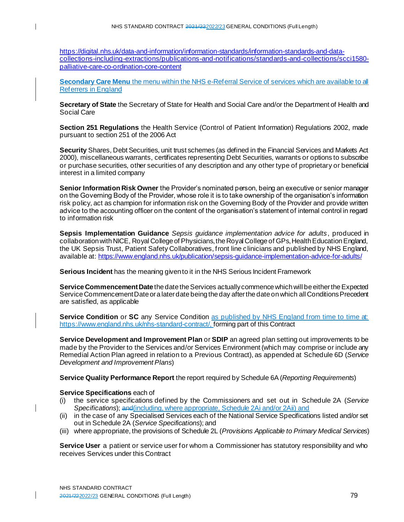[https://digital.nhs.uk/data-and-information/information-standards/information-standards-and-data](https://digital.nhs.uk/data-and-information/information-standards/information-standards-and-data-collections-including-extractions/publications-and-notifications/standards-and-collections/scci1580-palliative-care-co-ordination-core-content)[collections-including-extractions/publications-and-notifications/standards-and-collections/scci1580](https://digital.nhs.uk/data-and-information/information-standards/information-standards-and-data-collections-including-extractions/publications-and-notifications/standards-and-collections/scci1580-palliative-care-co-ordination-core-content) [palliative-care-co-ordination-core-content](https://digital.nhs.uk/data-and-information/information-standards/information-standards-and-data-collections-including-extractions/publications-and-notifications/standards-and-collections/scci1580-palliative-care-co-ordination-core-content)

**Secondary Care Menu** the menu within the NHS e-Referral Service of services which are available to all Referrers in England

**Secretary of State** the Secretary of State for Health and Social Care and/or the Department of Health and Social Care

**Section 251 Regulations** the Health Service (Control of Patient Information) Regulations 2002, made pursuant to section 251 of the 2006 Act

**Security** Shares, Debt Securities, unit trust schemes (as defined in the Financial Services and Markets Act 2000), miscellaneous warrants, certificates representing Debt Securities, warrants or options to subscribe or purchase securities, other securities of any description and any other type of proprietary or beneficial interest in a limited company

**Senior Information Risk Owner** the Provider's nominated person, being an executive or senior manager on the Governing Body of the Provider, whose role it is to take ownership of the organisation's information risk policy, act as champion for information risk on the Governing Body of the Provider and provide written advice to the accounting officer on the content of the organisation's statement of internal control in regard to information risk

**Sepsis Implementation Guidance** *Sepsis guidance implementation advice for adults*, produced in collaboration with NICE, Royal College of Physicians, the Royal College of GPs, Health Education England, the UK Sepsis Trust, Patient Safety Collaboratives, front line clinicians and published by NHS England, available at[: https://www.england.nhs.uk/publication/sepsis-guidance-implementation-advice-for-adults/](https://www.england.nhs.uk/publication/sepsis-guidance-implementation-advice-for-adults/)

**Serious Incident** has the meaning given to it in the NHS Serious Incident Framework

**Service Commencement Date** the date the Services actually commence which will be either the Expected Service Commencement Date or a later date being the day after the date on which all Conditions Precedent are satisfied, as applicable

**Service Condition or SC** any Service Condition as published by NHS England from time to time at: <https://www.england.nhs.uk/nhs-standard-contract/>, forming part of this Contract

**Service Development and Improvement Plan** or **SDIP** an agreed plan setting out improvements to be made by the Provider to the Services and/or Services Environment (which may comprise or include any Remedial Action Plan agreed in relation to a Previous Contract), as appended at Schedule 6D (*Service Development and Improvement Plans*)

**Service Quality Performance Report** the report required by Schedule 6A (*Reporting Requirements*)

### **Service Specifications** each of

 $\mathbf{I}$ 

- (i) the service specifications defined by the Commissioners and set out in Schedule 2A (*Service Specifications*); and(including, where appropriate, Schedule 2Ai and/or 2Aii) and
- (ii) in the case of any Specialised Services each of the National Service Specifications listed and/or set out in Schedule 2A (*Service Specifications*); and
- (iii) where appropriate, the provisions of Schedule 2L (*Provisions Applicable to Primary Medical Services*)

**Service User** a patient or service user for whom a Commissioner has statutory responsibility and who receives Services under this Contract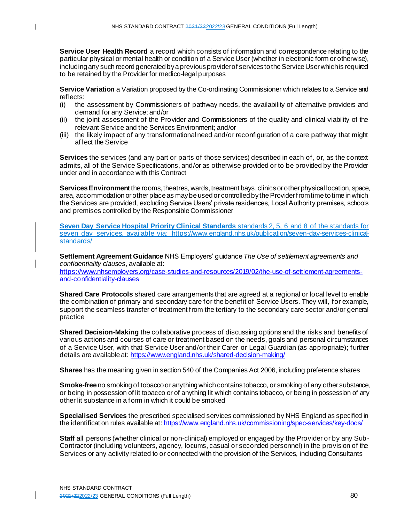**Service User Health Record** a record which consists of information and correspondence relating to the particular physical or mental health or condition of a Service User (whether in electronic form or otherwise), including any such record generated by a previous provider of services to the Service User which is required to be retained by the Provider for medico-legal purposes

**Service Variation** a Variation proposed by the Co-ordinating Commissioner which relates to a Service and reflects:

- (i) the assessment by Commissioners of pathway needs, the availability of alternative providers and demand for any Service; and/or
- (ii) the joint assessment of the Provider and Commissioners of the quality and clinical viability of the relevant Service and the Services Environment; and/or
- (iii) the likely impact of any transformational need and/or reconfiguration of a care pathway that might affect the Service

**Services** the services (and any part or parts of those services) described in each of, or, as the context admits, all of the Service Specifications, and/or as otherwise provided or to be provided by the Provider under and in accordance with this Contract

**Services Environment** the rooms, theatres, wards, treatment bays, clinics or other physical location, space, area, accommodation or other place as may be used or controlled by the Provider from time to time in which the Services are provided, excluding Service Users' private residences, Local Authority premises, schools and premises controlled by the Responsible Commissioner

**Seven Day Service Hospital Priority Clinical Standards** standards 2, 5, 6 and 8 of the standards for seven day services, available via: [https://www.england.nhs.uk/publication/seven-day-services-clinical](https://www.england.nhs.uk/publication/seven-day-services-clinical-standards/)[standards/](https://www.england.nhs.uk/publication/seven-day-services-clinical-standards/)

**Settlement Agreement Guidance** NHS Employers' guidance *The Use of settlement agreements and confidentiality clauses*, available at:

[https://www.nhsemployers.org/case-studies-and-resources/2019/02/the-use-of-settlement-agreements](https://www.nhsemployers.org/case-studies-and-resources/2019/02/the-use-of-settlement-agreements-and-confidentiality-clauses)[and-confidentiality-clauses](https://www.nhsemployers.org/case-studies-and-resources/2019/02/the-use-of-settlement-agreements-and-confidentiality-clauses)

**Shared Care Protocols** shared care arrangements that are agreed at a regional or local level to enable the combination of primary and secondary care for the benefit of Service Users. They will, for example, support the seamless transfer of treatment from the tertiary to the secondary care sector and/or general practice

**Shared Decision-Making** the collaborative process of discussing options and the risks and benefits of various actions and courses of care or treatment based on the needs, goals and personal circumstances of a Service User, with that Service User and/or their Carer or Legal Guardian (as appropriate); further details are available at: <https://www.england.nhs.uk/shared-decision-making/>

**Shares** has the meaning given in section 540 of the Companies Act 2006, including preference shares

**Smoke-free** no smoking of tobacco or anything which contains tobacco, or smoking of any other substance, or being in possession of lit tobacco or of anything lit which contains tobacco, or being in possession of any other lit substance in a form in which it could be smoked

**Specialised Services** the prescribed specialised services commissioned by NHS England as specified in the identification rules available at: <https://www.england.nhs.uk/commissioning/spec-services/key-docs/>

**Staff** all persons (whether clinical or non-clinical) employed or engaged by the Provider or by any Sub-Contractor (including volunteers, agency, locums, casual or seconded personnel) in the provision of the Services or any activity related to or connected with the provision of the Services, including Consultants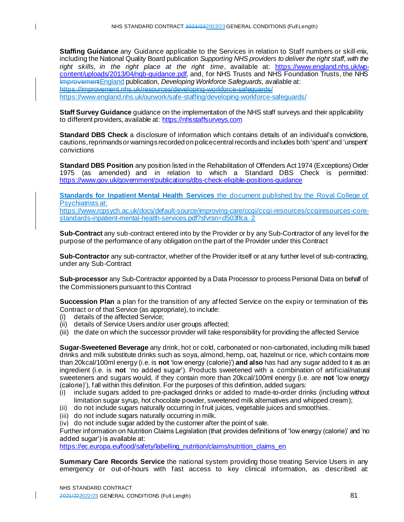**Staffing Guidance** any Guidance applicable to the Services in relation to Staff numbers or skill-mix, including the National Quality Board publication *Supporting NHS providers to deliver the right staff, with the*  right skills, in the right place at the right time, available at: [https://www.england.nhs.uk/wp](https://www.england.nhs.uk/wp-content/uploads/2013/04/nqb-guidance.pdf)[content/uploads/2013/04/nqb-guidance.pdf](https://www.england.nhs.uk/wp-content/uploads/2013/04/nqb-guidance.pdf), and, for NHS Trusts and NHS Foundation Trusts, the NHS ImprovementEngland publication, *Developing Workforce Safeguards*, available at: https://improvement.nhs.uk/resources/developing-workforce-safeguards/ <https://www.england.nhs.uk/ourwork/safe-staffing/developing-workforce-safeguards/>

**Staff Survey Guidance** guidance on the implementation of the NHS staff surveys and their applicability to different providers, available at: [https://nhsstaffsurveys.com](https://nhsstaffsurveys.com/)

**Standard DBS Check** a disclosure of information which contains details of an individual's convictions, cautions, reprimands or warnings recorded on police central records and includes both 'spent' and 'unspent' convictions

**Standard DBS Position** any position listed in the Rehabilitation of Offenders Act 1974 (Exceptions) Order 1975 (as amended) and in relation to which a Standard DBS Check is permitted: <https://www.gov.uk/government/publications/dbs-check-eligible-positions-guidance>

**Standards for Inpatient Mental Health Services** the document published by the Royal College of Psychiatrists at: [https://www.rcpsych.ac.uk/docs/default-source/improving-care/ccqi/ccqi-resources/ccqiresources-core-](https://www.rcpsych.ac.uk/docs/default-source/improving-care/ccqi/ccqi-resources/ccqiresources-core-standards-inpatient-mental-health-services.pdf?sfvrsn=d503ffca_2)

[standards-inpatient-mental-health-services.pdf?sfvrsn=d503ffca\\_2](https://www.rcpsych.ac.uk/docs/default-source/improving-care/ccqi/ccqi-resources/ccqiresources-core-standards-inpatient-mental-health-services.pdf?sfvrsn=d503ffca_2)

**Sub-Contract** any sub-contract entered into by the Provider or by any Sub-Contractor of any level for the purpose of the performance of any obligation on the part of the Provider under this Contract

**Sub-Contractor** any sub-contractor, whether of the Provider itself or at any further level of sub-contracting, under any Sub-Contract

**Sub-processor** any Sub-Contractor appointed by a Data Processor to process Personal Data on behalf of the Commissioners pursuant to this Contract

**Succession Plan** a plan for the transition of any affected Service on the expiry or termination of this Contract or of that Service (as appropriate), to include:

(i) details of the affected Service;

 $\mathbf{I}$ 

- (ii) details of Service Users and/or user groups affected;
- (iii) the date on which the successor provider will take responsibility for providing the affected Service

**Sugar-Sweetened Beverage** any drink, hot or cold, carbonated or non-carbonated, including milk based drinks and milk substitute drinks such as soya, almond, hemp, oat, hazelnut or rice, which contains more than 20kcal/100ml energy (i.e. is **not** 'low energy (calorie)') **and also** has had any sugar added to it as an ingredient (i.e. is **not** 'no added sugar'). Products sweetened with a combination of artificial/natural sweeteners and sugars would, if they contain more than 20kcal/100ml energy (i.e. are **not** 'low energy (calorie)'), fall within this definition. For the purposes of this definition, added sugars:

- (i) include sugars added to pre-packaged drinks or added to made-to-order drinks (including without limitation sugar syrup, hot chocolate powder, sweetened milk alternatives and whipped cream);
- (ii) do not include sugars naturally occurring in fruit juices, vegetable juices and smoothies.
- (iii) do not include sugars naturally occurring in milk.
- (iv) do not include sugar added by the customer after the point of sale.

Further information on Nutrition Claims Legislation (that provides definitions of 'low energy (calorie)' and 'no added sugar') is available at:

[https://ec.europa.eu/food/safety/labelling\\_nutrition/claims/nutrition\\_claims\\_en](https://ec.europa.eu/food/safety/labelling_nutrition/claims/nutrition_claims_en)

**Summary Care Records Service** the national system providing those treating Service Users in any emergency or out-of-hours with fast access to key clinical information, as described at: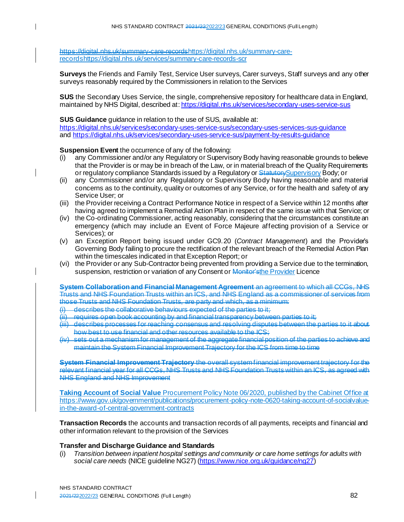https://digital.nhs.uk/summary-care-recordshttps://digital.nhs.uk/summary-carerecordshttps://digital.nhs.uk/services/summary-care-records-scr

**Surveys** the Friends and Family Test, Service User surveys, Carer surveys, Staff surveys and any other surveys reasonably required by the Commissioners in relation to the Services

**SUS** the Secondary Uses Service, the single, comprehensive repository for healthcare data in England, maintained by NHS Digital, described at: <https://digital.nhs.uk/services/secondary-uses-service-sus>

**SUS Guidance** guidance in relation to the use of SUS, available at: <https://digital.nhs.uk/services/secondary-uses-service-sus/secondary-uses-services-sus-guidance> an[d https://digital.nhs.uk/services/secondary-uses-service-sus/payment-by-results-guidance](https://digital.nhs.uk/services/secondary-uses-service-sus/payment-by-results-guidance)

**Suspension Event** the occurrence of any of the following:

 $\mathsf{l}$ 

 $\mathbf l$ 

- (i) any Commissioner and/or any Regulatory or Supervisory Body having reasonable grounds to believe that the Provider is or may be in breach of the Law, or in material breach of the Quality Requirements or regulatory compliance Standards issued by a Regulatory or Statutory Supervisory Body; or
- (ii) any Commissioner and/or any Regulatory or Supervisory Body having reasonable and material concerns as to the continuity, quality or outcomes of any Service, or for the health and safety of any Service User; or
- (iii) the Provider receiving a Contract Performance Notice in respect of a Service within 12 months after having agreed to implement a Remedial Action Plan in respect of the same issue with that Service; or
- (iv) the Co-ordinating Commissioner, acting reasonably, considering that the circumstances constitute an emergency (which may include an Event of Force Majeure affecting provision of a Service or Services); or
- (v) an Exception Report being issued under GC9.20 (*Contract Management*) and the Provider's Governing Body failing to procure the rectification of the relevant breach of the Remedial Action Plan within the timescales indicated in that Exception Report; or
- (vi) the Provider or any Sub-Contractor being prevented from providing a Service due to the termination, suspension, restriction or variation of any Consent or Monitor'sthe Provider Licence

**System Collaboration and Financial Management Agreement** an agreement to which all CCGs, NHS Trusts and NHS Foundation Trusts within an ICS, and NHS England as a commissioner of services from those Trusts and NHS Foundation Trusts, are party and which, as a minimum:

- describes the collaborative behaviours expected of the parties to it;
- requires open book accounting by and financial transparency between parties to it;
- (iii) describes processes for reaching consensus and resolving disputes between the parties to it about how best to use financial and other resources available to the ICS;
- (iv) sets out a mechanism for management of the aggregate financial position of the parties to achieve and maintain the System Financial Improvement Trajectory for the ICS from time to time

**System Financial Improvement Trajectory** the overall system financial improvement trajectory for the relevant financial year for all CCGs, NHS Trusts and NHS Foundation Trusts within an ICS, as agreed with NHS England and NHS Improvement

**Taking Account of Social Value** Procurement Policy Note 06/2020, published by the Cabinet Office at [https://www.gov.uk/government/publications/procurement-policy-note-0620-taking-account-of-socialvalue](https://www.gov.uk/government/publications/procurement-policy-note-0620-taking-account-of-socialvalue-in-the-award-of-central-government-contracts)[in-the-award-of-central-government-contracts](https://www.gov.uk/government/publications/procurement-policy-note-0620-taking-account-of-socialvalue-in-the-award-of-central-government-contracts)

**Transaction Records** the accounts and transaction records of all payments, receipts and financial and other information relevant to the provision of the Services

### **Transfer and Discharge Guidance and Standards**

(i) *Transition between inpatient hospital settings and community or care home settings for adults with social care needs* (NICE guideline NG27) [\(https://www.nice.org.uk/guidance/ng27](https://www.nice.org.uk/guidance/ng27))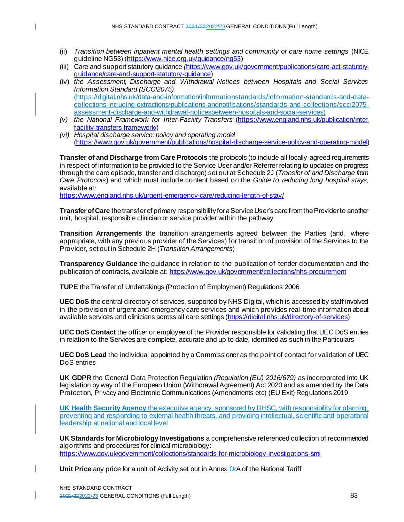- (ii) *Transition between inpatient mental health settings and community or care home settings* (NICE guideline NG53) [\(https://www.nice.org.uk/guidance/ng53](https://www.nice.org.uk/guidance/ng53))
- (iii) Care and support statutory guidance *(*[https://www.gov.uk/government/publications/care-act-statutory](https://www.gov.uk/government/publications/care-act-statutory-guidance/care-and-support-statutory-guidance)[guidance/care-and-support-statutory-guidance](https://www.gov.uk/government/publications/care-act-statutory-guidance/care-and-support-statutory-guidance))
- (iv) *the Assessment, Discharge and Withdrawal Notices between Hospitals and Social Services Information Standard (SCCI2075)* [\(https://digital.nhs.uk/data-and-information/informationstandards/information-standards-and-data](https://digital.nhs.uk/data-and-information/informationstandards/information-standards-and-data-collections-including-extractions/publications-andnotifications/standards-and-collections/scci2075-assessment-discharge-and-withdrawal-noticesbetween-hospitals-and-social-services)[collections-including-extractions/publications-andnotifications/standards-and-collections/scci2075](https://digital.nhs.uk/data-and-information/informationstandards/information-standards-and-data-collections-including-extractions/publications-andnotifications/standards-and-collections/scci2075-assessment-discharge-and-withdrawal-noticesbetween-hospitals-and-social-services) [assessment-discharge-and-withdrawal-noticesbetween-hospitals-and-social-services](https://digital.nhs.uk/data-and-information/informationstandards/information-standards-and-data-collections-including-extractions/publications-andnotifications/standards-and-collections/scci2075-assessment-discharge-and-withdrawal-noticesbetween-hospitals-and-social-services))
- *(v) the National Framework for Inter-Facility Transfers* [\(https://www.england.nhs.uk/publication/inter](https://www.england.nhs.uk/publication/inter-facility-transfers-framework/)[facility-transfers-framework/](https://www.england.nhs.uk/publication/inter-facility-transfers-framework/))
- *(vi) Hospital discharge service: policy and operating model* [\(https://www.gov.uk/government/publications/hospital-discharge-service-policy-and-operating-mode](https://www.gov.uk/government/publications/hospital-discharge-service-policy-and-operating-model)l)

**Transfer of and Discharge from Care Protocols** the protocols (to include all locally-agreed requirements in respect of information to be provided to the Service User and/or Referrer relating to updates on progress through the care episode, transfer and discharge) set out at Schedule 2J (*Transfer of and Discharge from Care Protocols*) and which must include content based on the *Guide to reducing long hospital stays*, available at:

<https://www.england.nhs.uk/urgent-emergency-care/reducing-length-of-stay/>

**Transfer of Care** the transfer of primary responsibility for a Service User's care from the Provider to another unit, hospital, responsible clinician or service provider within the pathway

**Transition Arrangements** the transition arrangements agreed between the Parties (and, where appropriate, with any previous provider of the Services) for transition of provision of the Services to the Provider, set out in Schedule 2H (*Transition Arrangements*)

**Transparency Guidance** the guidance in relation to the publication of tender documentation and the publication of contracts, available at[: https://www.gov.uk/government/collections/nhs-procurement](https://www.gov.uk/government/collections/nhs-procurement)

**TUPE** the Transfer of Undertakings (Protection of Employment) Regulations 2006

**UEC DoS** the central directory of services, supported by NHS Digital, which is accessed by staff involved in the provision of urgent and emergency care services and which provides real-time information about available services and clinicians across all care settings [\(https://digital.nhs.uk/directory-of-services](https://digital.nhs.uk/directory-of-services))

**UEC DoS Contact** the officer or employee of the Provider responsible for validating that UEC DoS entries in relation to the Services are complete, accurate and up to date, identified as such in the Particulars

**UEC DoS Lead** the individual appointed by a Commissioner as the point of contact for validation of UEC DoS entries

**UK GDPR** the General Data Protection Regulation *(Regulation (EU) 2016/679)* as incorporated into UK legislation by way of the European Union (Withdrawal Agreement) Act 2020 and as amended by the Data Protection, Privacy and Electronic Communications (Amendments etc) (EU Exit) Regulations 2019

**UK Health Security Agency** the executive agency, sponsored by DHSC, with responsibility for planning, preventing and responding to external health threats, and providing intellectual, scientific and operational leadership at national and local level

**UK Standards for Microbiology Investigations** a comprehensive referenced collection of recommended algorithms and procedures for clinical microbiology: <https://www.gov.uk/government/collections/standards-for-microbiology-investigations-smi>

Unit Price any price for a unit of Activity set out in Annex D<sub>t</sub>A of the National Tariff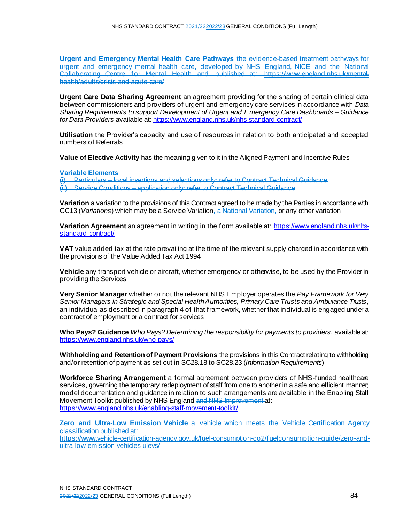Urgent and Emergency Mental Health Care Pathways the evidence-based treatment pathway urgent and emergency mental health care, developed by NHS England, NICE and the National Collaborating Centre for Mental Health and published at: https://www.england.nhs.uk/mentalhealth/adults/crisis-and-acute-care/

**Urgent Care Data Sharing Agreement** an agreement providing for the sharing of certain clinical data between commissioners and providers of urgent and emergency care services in accordance with *Data Sharing Requirements to support Development of Urgent and Emergency Care Dashboards – Guidance for Data Providers* available at: <https://www.england.nhs.uk/nhs-standard-contract/>

**Utilisation** the Provider's capacity and use of resources in relation to both anticipated and accepted numbers of Referrals

**Value of Elective Activity** has the meaning given to it in the Aligned Payment and Incentive Rules

**Variable Elements**

 $\mathbf{I}$ 

(i) Particulars – local insertions and selections only: refer to Contract Technical Guidance  $\langle \hat{u} \rangle$  Service Conditions – application only: refer to Contract Technical Guidance

**Variation** a variation to the provisions of this Contract agreed to be made by the Parties in accordance with GC13 (*Variations*) which may be a Service Variation, a National Variation, or any other variation

**Variation Agreement** an agreement in writing in the form available at[: https://www.england.nhs.uk/nhs](https://www.england.nhs.uk/nhs-standard-contract/)[standard-contract/](https://www.england.nhs.uk/nhs-standard-contract/)

**VAT** value added tax at the rate prevailing at the time of the relevant supply charged in accordance with the provisions of the Value Added Tax Act 1994

**Vehicle** any transport vehicle or aircraft, whether emergency or otherwise, to be used by the Provider in providing the Services

**Very Senior Manager** whether or not the relevant NHS Employer operates the *Pay Framework for Very Senior Managers in Strategic and Special Health Authorities, Primary Care Trusts and Ambulance Trusts*, an individual as described in paragraph 4 of that framework, whether that individual is engaged under a contract of employment or a contract for services

**Who Pays? Guidance** *Who Pays? Determining the responsibility for payments to providers*, available at: <https://www.england.nhs.uk/who-pays/>

**Withholding and Retention of Payment Provisions** the provisions in this Contract relating to withholding and/or retention of payment as set out in SC28.18 to SC28.23 (*Information Requirements*)

**Workforce Sharing Arrangement** a formal agreement between providers of NHS-funded healthcare services, governing the temporary redeployment of staff from one to another in a safe and efficient manner; model documentation and guidance in relation to such arrangements are available in the Enabling Staff Movement Toolkit published by NHS England and NHS Improvement at: <https://www.england.nhs.uk/enabling-staff-movement-toolkit/>

**Zero and Ultra-Low Emission Vehicle** a vehicle which meets the Vehicle Certification Agency classification published at: [https://www.vehicle-certification-agency.gov.uk/fuel-consumption-co2/fuelconsumption-guide/zero-and-](https://www.vehicle-certification-agency.gov.uk/fuel-consumption-co2/fuelconsumption-guide/zero-and-ultra-low-emission-vehicles-ulevs/)

[ultra-low-emission-vehicles-ulevs/](https://www.vehicle-certification-agency.gov.uk/fuel-consumption-co2/fuelconsumption-guide/zero-and-ultra-low-emission-vehicles-ulevs/)